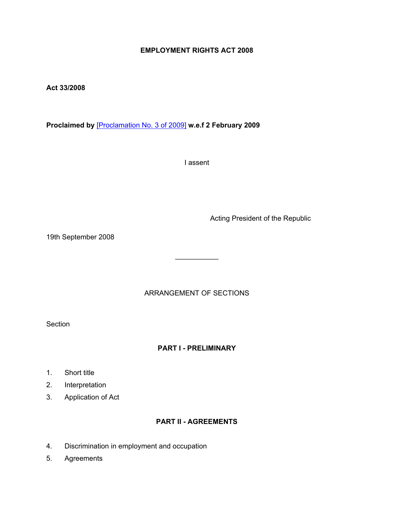# **EMPLOYMENT RIGHTS ACT 2008**

**Act 33/2008**

**Proclaimed by** [\[Proclamation](https://supremecourt.govmu.org/_layouts/CLIS.DMS/search/searchdocumentbykey.aspx?ID=%5BProclamation%20No.%203%20of%202009%5D&list=Legislations) No. 3 of 2009] **w.e.f 2 February 2009**

I assent

Acting President of the Republic

19th September 2008

ARRANGEMENT OF SECTIONS

 $\mathcal{L}_\text{max}$ 

**Section** 

# **PART I - PRELIMINARY**

- 1. Short title
- 2. Interpretation
- 3. Application of Act

# **PART II - AGREEMENTS**

- 4. Discrimination in employment and occupation
- 5. Agreements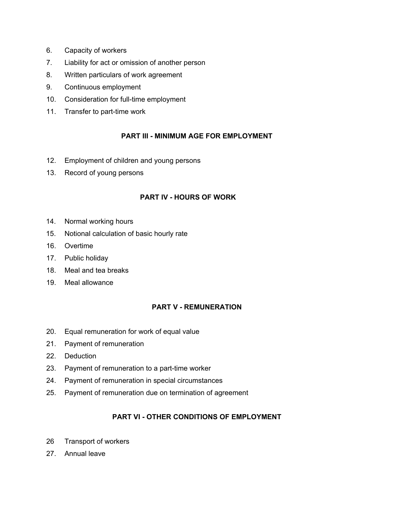- 6. Capacity of workers
- 7. Liability for act or omission of another person
- 8. Written particulars of work agreement
- 9. Continuous employment
- 10. Consideration for full-time employment
- 11. Transfer to part-time work

# **PART III - MINIMUM AGE FOR EMPLOYMENT**

- 12. Employment of children and young persons
- 13. Record of young persons

# **PART IV - HOURS OF WORK**

- 14. Normal working hours
- 15. Notional calculation of basic hourly rate
- 16. Overtime
- 17. Public holiday
- 18. Meal and tea breaks
- 19. Meal allowance

# **PART V - REMUNERATION**

- 20. Equal remuneration for work of equal value
- 21. Payment of remuneration
- 22. Deduction
- 23. Payment of remuneration to a part-time worker
- 24. Payment of remuneration in special circumstances
- 25. Payment of remuneration due on termination of agreement

# **PART VI - OTHER CONDITIONS OF EMPLOYMENT**

- 26 Transport of workers
- 27. Annual leave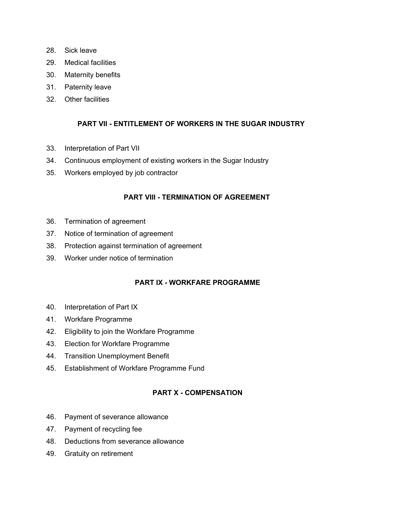- 28. Sick leave
- 29. Medical facilities
- 30. Maternity benefits
- 31. Paternity leave
- 32. Other facilities

# **PART VII - ENTITLEMENT OF WORKERS IN THE SUGAR INDUSTRY**

- 33. Interpretation of Part VII
- 34. Continuous employment of existing workers in the Sugar Industry
- 35. Workers employed by job contractor

# **PART VIII - TERMINATION OF AGREEMENT**

- 36. Termination of agreement
- 37. Notice of termination of agreement
- 38. Protection against termination of agreement
- 39. Worker under notice of termination

# **PART IX - WORKFARE PROGRAMME**

- 40. Interpretation of Part IX
- 41. Workfare Programme
- 42. Eligibility to join the Workfare Programme
- 43. Election for Workfare Programme
- 44. Transition Unemployment Benefit
- 45. Establishment of Workfare Programme Fund

# **PART X - COMPENSATION**

- 46. Payment of severance allowance
- 47. Payment of recycling fee
- 48. Deductions from severance allowance
- 49. Gratuity on retirement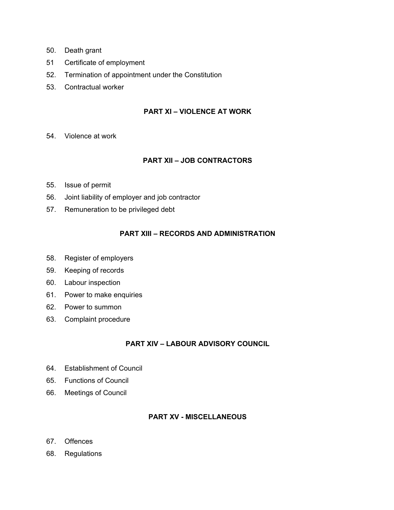- 50. Death grant
- 51 Certificate of employment
- 52. Termination of appointment under the Constitution
- 53. Contractual worker

### **PART XI – VIOLENCE AT WORK**

54. Violence at work

# **PART XII – JOB CONTRACTORS**

- 55. Issue of permit
- 56. Joint liability of employer and job contractor
- 57. Remuneration to be privileged debt

# **PART XIII – RECORDS AND ADMINISTRATION**

- 58. Register of employers
- 59. Keeping of records
- 60. Labour inspection
- 61. Power to make enquiries
- 62. Power to summon
- 63. Complaint procedure

# **PART XIV – LABOUR ADVISORY COUNCIL**

- 64. Establishment of Council
- 65. Functions of Council
- 66. Meetings of Council

#### **PART XV - MISCELLANEOUS**

- 67. Offences
- 68. Regulations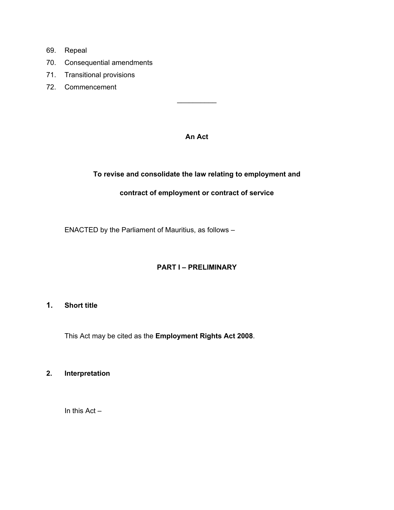- 69. Repeal
- 70. Consequential amendments
- 71. Transitional provisions
- 72. Commencement

### **An Act**

 $\mathcal{L}$ 

# **To revise and consolidate the law relating to employment and**

# **contract of employment or contract of service**

ENACTED by the Parliament of Mauritius, as follows –

# **PART I – PRELIMINARY**

# **1. Short title**

This Act may be cited as the **Employment Rights Act 2008**.

### **2. Interpretation**

In this Act –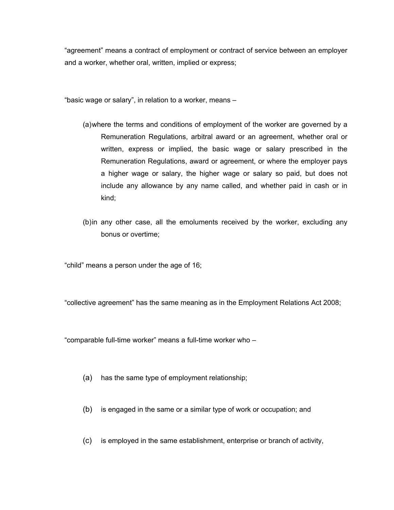"agreement" means a contract of employment or contract of service between an employer and a worker, whether oral, written, implied or express;

"basic wage or salary", in relation to a worker, means –

- (a)where the terms and conditions of employment of the worker are governed by a Remuneration Regulations, arbitral award or an agreement, whether oral or written, express or implied, the basic wage or salary prescribed in the Remuneration Regulations, award or agreement, or where the employer pays a higher wage or salary, the higher wage or salary so paid, but does not include any allowance by any name called, and whether paid in cash or in kind;
- (b)in any other case, all the emoluments received by the worker, excluding any bonus or overtime;

"child" means a person under the age of 16;

"collective agreement" has the same meaning as in the Employment Relations Act 2008;

"comparable full-time worker" means a full-time worker who –

- (a) has the same type of employment relationship;
- (b) is engaged in the same or a similar type of work or occupation; and
- (c) is employed in the same establishment, enterprise or branch of activity,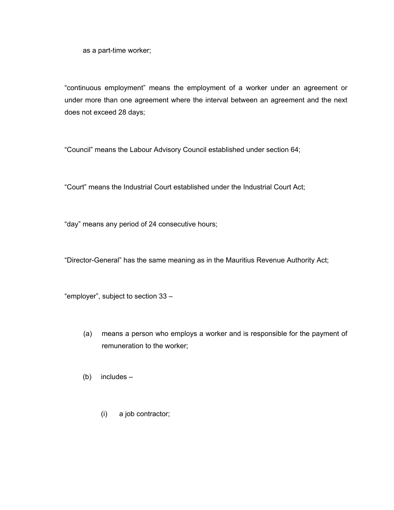as a part-time worker;

"continuous employment" means the employment of a worker under an agreement or under more than one agreement where the interval between an agreement and the next does not exceed 28 days;

"Council" means the Labour Advisory Council established under section 64;

"Court" means the Industrial Court established under the Industrial Court Act;

"day" means any period of 24 consecutive hours;

"Director-General" has the same meaning as in the Mauritius Revenue Authority Act;

"employer", subject to section 33 –

- (a) means a person who employs a worker and is responsible for the payment of remuneration to the worker;
- (b) includes
	- (i) a job contractor;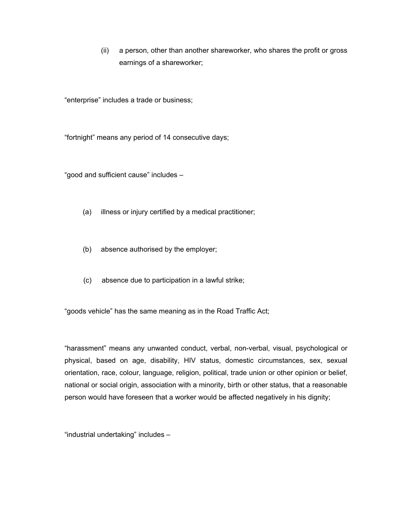(ii) a person, other than another shareworker, who shares the profit or gross earnings of a shareworker;

"enterprise" includes a trade or business;

"fortnight" means any period of 14 consecutive days;

"good and sufficient cause" includes –

- (a) illness or injury certified by a medical practitioner;
- (b) absence authorised by the employer;
- (c) absence due to participation in a lawful strike;

"goods vehicle" has the same meaning as in the Road Traffic Act;

"harassment" means any unwanted conduct, verbal, non-verbal, visual, psychological or physical, based on age, disability, HIV status, domestic circumstances, sex, sexual orientation, race, colour, language, religion, political, trade union or other opinion or belief, national or social origin, association with a minority, birth or other status, that a reasonable person would have foreseen that a worker would be affected negatively in his dignity;

"industrial undertaking" includes –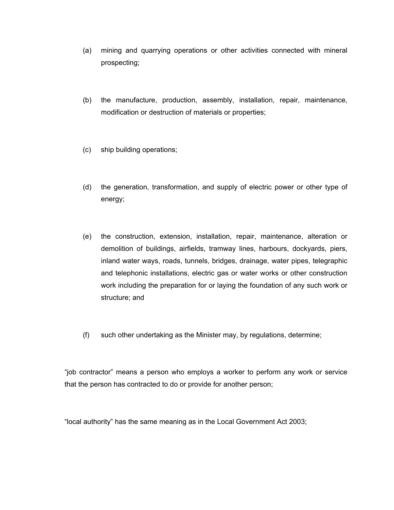- (a) mining and quarrying operations or other activities connected with mineral prospecting;
- (b) the manufacture, production, assembly, installation, repair, maintenance, modification or destruction of materials or properties;
- (c) ship building operations;
- (d) the generation, transformation, and supply of electric power or other type of energy;
- (e) the construction, extension, installation, repair, maintenance, alteration or demolition of buildings, airfields, tramway lines, harbours, dockyards, piers, inland water ways, roads, tunnels, bridges, drainage, water pipes, telegraphic and telephonic installations, electric gas or water works or other construction work including the preparation for or laying the foundation of any such work or structure; and
- (f) such other undertaking as the Minister may, by regulations, determine;

"job contractor" means a person who employs a worker to perform any work or service that the person has contracted to do or provide for another person;

"local authority" has the same meaning as in the Local Government Act 2003;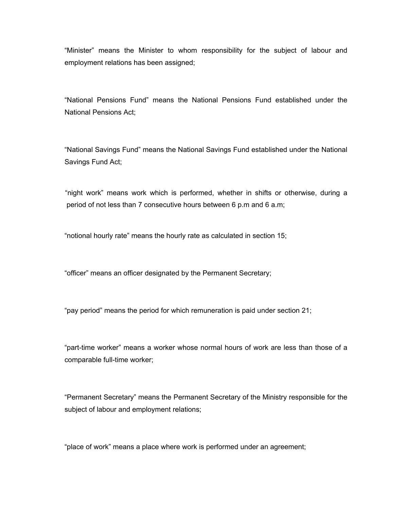"Minister" means the Minister to whom responsibility for the subject of labour and employment relations has been assigned;

"National Pensions Fund" means the National Pensions Fund established under the National Pensions Act;

"National Savings Fund" means the National Savings Fund established under the National Savings Fund Act;

"night work" means work which is performed, whether in shifts or otherwise, during a period of not less than 7 consecutive hours between 6 p.m and 6 a.m;

"notional hourly rate" means the hourly rate as calculated in section 15;

"officer" means an officer designated by the Permanent Secretary;

"pay period" means the period for which remuneration is paid under section 21;

"part-time worker" means a worker whose normal hours of work are less than those of a comparable full-time worker;

"Permanent Secretary" means the Permanent Secretary of the Ministry responsible for the subject of labour and employment relations;

"place of work" means a place where work is performed under an agreement;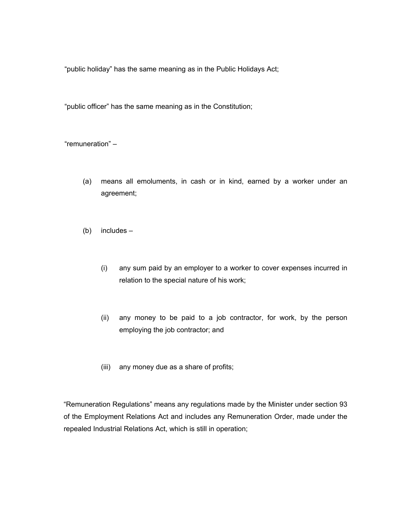"public holiday" has the same meaning as in the Public Holidays Act;

"public officer" has the same meaning as in the Constitution;

"remuneration" –

- (a) means all emoluments, in cash or in kind, earned by a worker under an agreement;
- (b) includes
	- (i) any sum paid by an employer to a worker to cover expenses incurred in relation to the special nature of his work;
	- (ii) any money to be paid to a job contractor, for work, by the person employing the job contractor; and
	- (iii) any money due as a share of profits;

"Remuneration Regulations" means any regulations made by the Minister under section 93 of the Employment Relations Act and includes any Remuneration Order, made under the repealed Industrial Relations Act, which is still in operation;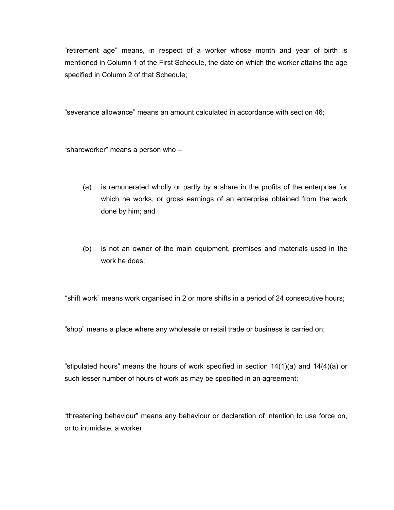"retirement age" means, in respect of a worker whose month and year of birth is mentioned in Column 1 of the First Schedule, the date on which the worker attains the age specified in Column 2 of that Schedule;

"severance allowance" means an amount calculated in accordance with section 46;

"shareworker" means a person who –

- (a) is remunerated wholly or partly by a share in the profits of the enterprise for which he works, or gross earnings of an enterprise obtained from the work done by him; and
- (b) is not an owner of the main equipment, premises and materials used in the work he does;

"shift work" means work organised in 2 or more shifts in a period of 24 consecutive hours;

"shop" means a place where any wholesale or retail trade or business is carried on;

"stipulated hours" means the hours of work specified in section  $14(1)(a)$  and  $14(4)(a)$  or such lesser number of hours of work as may be specified in an agreement;

"threatening behaviour" means any behaviour or declaration of intention to use force on, or to intimidate, a worker;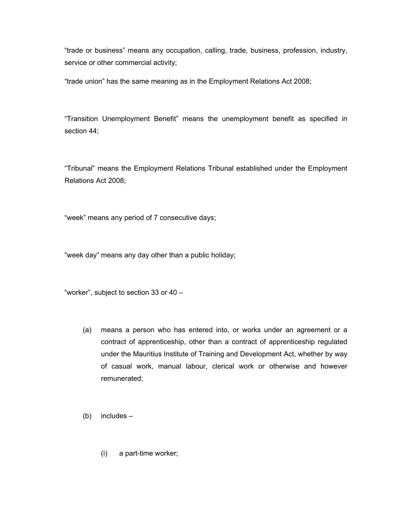"trade or business" means any occupation, calling, trade, business, profession, industry, service or other commercial activity;

"trade union" has the same meaning as in the Employment Relations Act 2008;

"Transition Unemployment Benefit" means the unemployment benefit as specified in section 44;

"Tribunal" means the Employment Relations Tribunal established under the Employment Relations Act 2008;

"week" means any period of 7 consecutive days;

"week day" means any day other than a public holiday;

"worker", subject to section 33 or 40 –

- (a) means a person who has entered into, or works under an agreement or a contract of apprenticeship, other than a contract of apprenticeship regulated under the Mauritius Institute of Training and Development Act, whether by way of casual work, manual labour, clerical work or otherwise and however remunerated;
- (b) includes
	- (i) a part-time worker;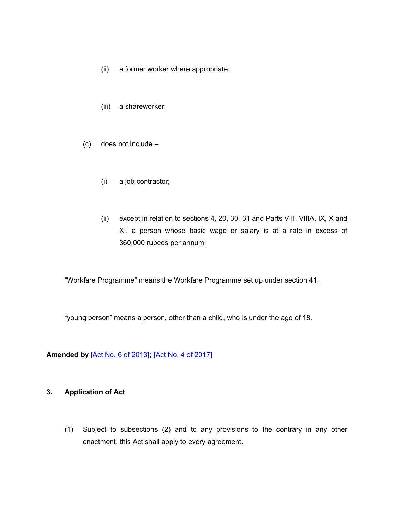- (ii) a former worker where appropriate;
- (iii) a shareworker;
- (c) does not include
	- (i) a job contractor;
	- (ii) except in relation to sections 4, 20, 30, 31 and Parts VIII, VIIIA, IX, X and XI, a person whose basic wage or salary is at a rate in excess of 360,000 rupees per annum;

"Workfare Programme" means the Workfare Programme set up under section 41;

"young person" means a person, other than a child, who is under the age of 18.

# **Amended by** [Act No. 6 of [2013\]](https://supremecourt.govmu.org/_layouts/CLIS.DMS/search/searchdocumentbykey.aspx?ID=%5BAct%20No.%206%20of%202013%5D&list=Legislations)**;** [Act No. 4 of [2017\]](https://supremecourt.govmu.org/_layouts/CLIS.DMS/search/searchdocumentbykey.aspx?ID=%5BAct%20No.%204%20of%202017%5D&list=Legislations)

#### **3. Application of Act**

(1) Subject to subsections (2) and to any provisions to the contrary in any other enactment, this Act shall apply to every agreement.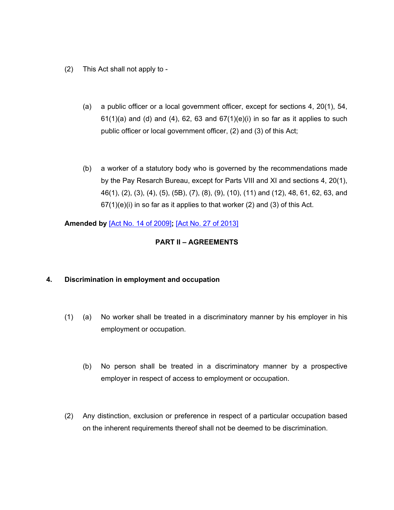- (2) This Act shall not apply to
	- (a) a public officer or a local government officer, except for sections 4, 20(1), 54,  $61(1)(a)$  and (d) and (4),  $62$ ,  $63$  and  $67(1)(e)(i)$  in so far as it applies to such public officer or local government officer, (2) and (3) of this Act;
	- (b) a worker of a statutory body who is governed by the recommendations made by the Pay Resarch Bureau, except for Parts VIII and XI and sections 4, 20(1), 46(1), (2), (3), (4), (5), (5B), (7), (8), (9), (10), (11) and (12), 48, 61, 62, 63, and  $67(1)(e)(i)$  in so far as it applies to that worker (2) and (3) of this Act.

**Amended by** [Act No. 14 of [2009\]](https://supremecourt.govmu.org/_layouts/CLIS.DMS/search/searchdocumentbykey.aspx?ID=%5BAct%20No.%2014%20of%202009%5D&list=Legislations)**;** [Act No. 27 of [2013\]](https://supremecourt.govmu.org/_layouts/CLIS.DMS/search/searchdocumentbykey.aspx?ID=%5BAct%20No.%2027%20of%202013%5D&list=Legislations)

# **PART II – AGREEMENTS**

# **4. Discrimination in employment and occupation**

- (1) (a) No worker shall be treated in a discriminatory manner by his employer in his employment or occupation.
	- (b) No person shall be treated in a discriminatory manner by a prospective employer in respect of access to employment or occupation.
- (2) Any distinction, exclusion or preference in respect of a particular occupation based on the inherent requirements thereof shall not be deemed to be discrimination.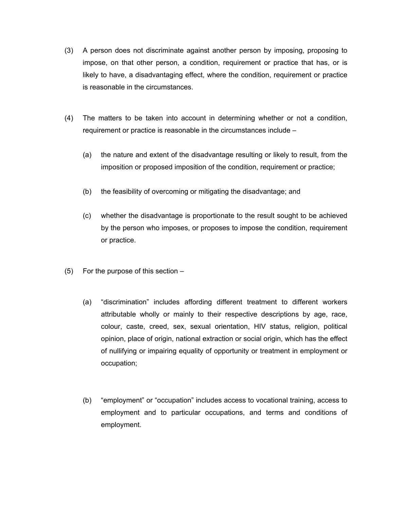- (3) A person does not discriminate against another person by imposing, proposing to impose, on that other person, a condition, requirement or practice that has, or is likely to have, a disadvantaging effect, where the condition, requirement or practice is reasonable in the circumstances.
- (4) The matters to be taken into account in determining whether or not a condition, requirement or practice is reasonable in the circumstances include –
	- (a) the nature and extent of the disadvantage resulting or likely to result, from the imposition or proposed imposition of the condition, requirement or practice;
	- (b) the feasibility of overcoming or mitigating the disadvantage; and
	- (c) whether the disadvantage is proportionate to the result sought to be achieved by the person who imposes, or proposes to impose the condition, requirement or practice.
- (5) For the purpose of this section
	- (a) "discrimination" includes affording different treatment to different workers attributable wholly or mainly to their respective descriptions by age, race, colour, caste, creed, sex, sexual orientation, HIV status, religion, political opinion, place of origin, national extraction or social origin, which has the effect of nullifying or impairing equality of opportunity or treatment in employment or occupation;
	- (b) "employment" or "occupation" includes access to vocational training, access to employment and to particular occupations, and terms and conditions of employment.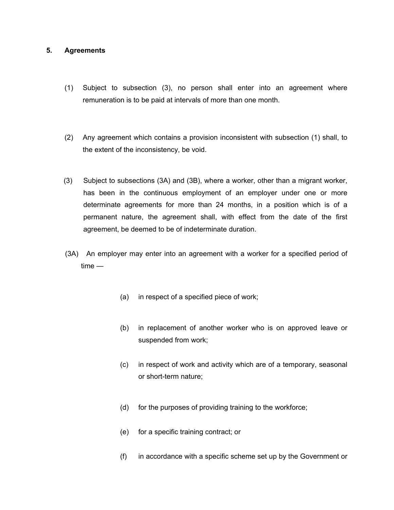#### **5. Agreements**

- (1) Subject to subsection (3), no person shall enter into an agreement where remuneration is to be paid at intervals of more than one month.
- (2) Any agreement which contains a provision inconsistent with subsection (1) shall, to the extent of the inconsistency, be void.
- (3) Subject to subsections (3A) and (3B), where a worker, other than a migrant worker, has been in the continuous employment of an employer under one or more determinate agreements for more than 24 months, in a position which is of a permanent nature, the agreement shall, with effect from the date of the first agreement, be deemed to be of indeterminate duration.
- (3A) An employer may enter into an agreement with a worker for a specified period of time —
	- (a) in respect of a specified piece of work;
	- (b) in replacement of another worker who is on approved leave or suspended from work;
	- (c) in respect of work and activity which are of a temporary, seasonal or short-term nature;
	- (d) for the purposes of providing training to the workforce;
	- (e) for a specific training contract; or
	- (f) in accordance with a specific scheme set up by the Government or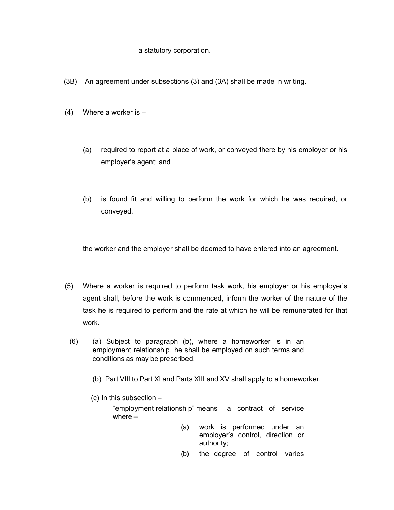#### a statutory corporation.

- (3B) An agreement under subsections (3) and (3A) shall be made in writing.
- (4) Where a worker is
	- (a) required to report at a place of work, or conveyed there by his employer or his employer's agent; and
	- (b) is found fit and willing to perform the work for which he was required, or conveyed,

the worker and the employer shall be deemed to have entered into an agreement.

- (5) Where a worker is required to perform task work, his employer or his employer's agent shall, before the work is commenced, inform the worker of the nature of the task he is required to perform and the rate at which he will be remunerated for that work.
	- (6) (a) Subject to paragraph (b), where a homeworker is in an employment relationship, he shall be employed on such terms and conditions as may be prescribed.
		- (b) Part VIII to Part XI and Parts XIII and XV shall apply to a homeworker.
		- (c) In this subsection –

"employment relationship" means a contract of service where –

- (a) work is performed under an employer's control, direction or authority;
- (b) the degree of control varies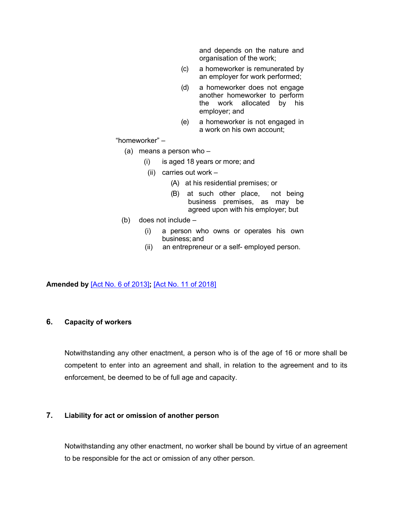and depends on the nature and organisation of the work;

- (c) a homeworker is remunerated by an employer for work performed;
- (d) a homeworker does not engage another homeworker to perform the work allocated by his employer; and
- (e) a homeworker is not engaged in a work on his own account;

"homeworker" –

- (a) means a person who
	- (i) is aged 18 years or more; and
	- (ii) carries out work
		- (A) at his residential premises; or
		- (B) at such other place, not being business premises, as may be agreed upon with his employer; but
- (b) does not include
	- (i) a person who owns or operates his own business; and
	- (ii) an entrepreneur or a self- employed person.

### **Amended by** [Act No. 6 of [2013\]](https://supremecourt.govmu.org/_layouts/CLIS.DMS/search/searchdocumentbykey.aspx?ID=%5BAct%20No.%206%20of%202013%5D&list=Legislations)**;** [Act No. 11 of [2018\]](https://supremecourt.govmu.org/_layouts/CLIS.DMS/search/searchdocumentbykey.aspx?ID=%5BAct%20No.%2011%20of%202018%5D&list=Legislations)

### **6. Capacity of workers**

Notwithstanding any other enactment, a person who is of the age of 16 or more shall be competent to enter into an agreement and shall, in relation to the agreement and to its enforcement, be deemed to be of full age and capacity.

### **7. Liability for act or omission of another person**

Notwithstanding any other enactment, no worker shall be bound by virtue of an agreement to be responsible for the act or omission of any other person.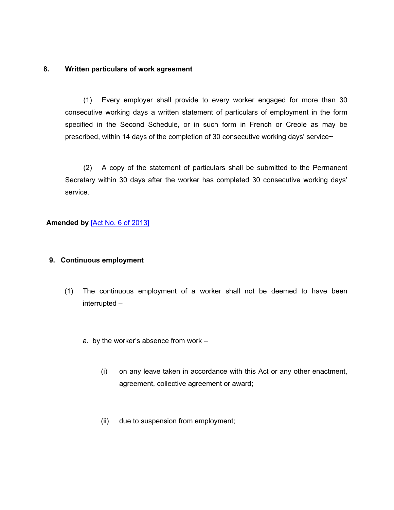### **8. Written particulars of work agreement**

(1) Every employer shall provide to every worker engaged for more than 30 consecutive working days a written statement of particulars of employment in the form specified in the Second Schedule, or in such form in French or Creole as may be prescribed, within 14 days of the completion of 30 consecutive working days' service~

(2) A copy of the statement of particulars shall be submitted to the Permanent Secretary within 30 days after the worker has completed 30 consecutive working days' service.

# **Amended by** [Act No. 6 of [2013\]](https://supremecourt.govmu.org/_layouts/CLIS.DMS/search/searchdocumentbykey.aspx?ID=%5BAct%20No.%206%20of%202013%5D&list=Legislations)

# **9. Continuous employment**

- (1) The continuous employment of a worker shall not be deemed to have been interrupted –
	- a. by the worker's absence from work
		- (i) on any leave taken in accordance with this Act or any other enactment, agreement, collective agreement or award;
		- (ii) due to suspension from employment;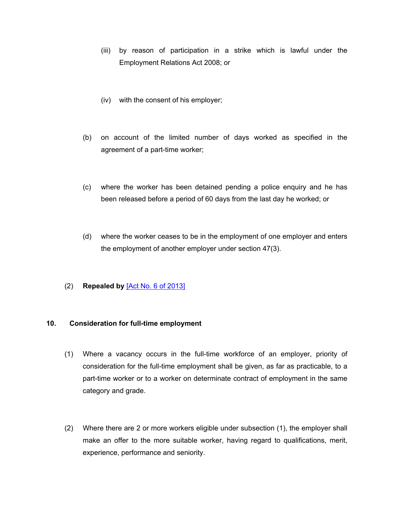- (iii) by reason of participation in a strike which is lawful under the Employment Relations Act 2008; or
- (iv) with the consent of his employer;
- (b) on account of the limited number of days worked as specified in the agreement of a part-time worker;
- (c) where the worker has been detained pending a police enquiry and he has been released before a period of 60 days from the last day he worked; or
- (d) where the worker ceases to be in the employment of one employer and enters the employment of another employer under section 47(3).
- (2) **Repealed by** [Act No. 6 of [2013\]](https://supremecourt.govmu.org/_layouts/CLIS.DMS/search/searchdocumentbykey.aspx?ID=%5BAct%20No.%206%20of%202013%5D&list=Legislations)

#### **10. Consideration for full-time employment**

- (1) Where a vacancy occurs in the full-time workforce of an employer, priority of consideration for the full-time employment shall be given, as far as practicable, to a part-time worker or to a worker on determinate contract of employment in the same category and grade.
- (2) Where there are 2 or more workers eligible under subsection (1), the employer shall make an offer to the more suitable worker, having regard to qualifications, merit, experience, performance and seniority.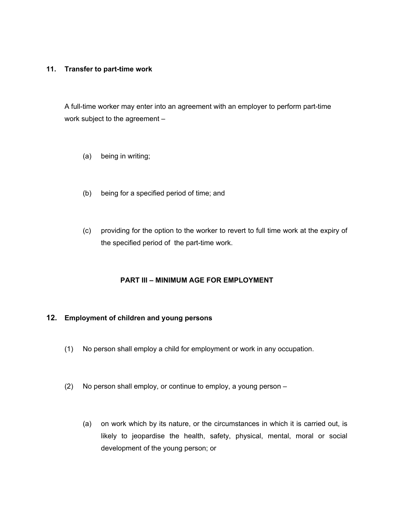# **11. Transfer to part-time work**

A full-time worker may enter into an agreement with an employer to perform part-time work subject to the agreement –

- (a) being in writing;
- (b) being for a specified period of time; and
- (c) providing for the option to the worker to revert to full time work at the expiry of the specified period of the part-time work.

# **PART III – MINIMUM AGE FOR EMPLOYMENT**

### **12. Employment of children and young persons**

- (1) No person shall employ a child for employment or work in any occupation.
- (2) No person shall employ, or continue to employ, a young person
	- (a) on work which by its nature, or the circumstances in which it is carried out, is likely to jeopardise the health, safety, physical, mental, moral or social development of the young person; or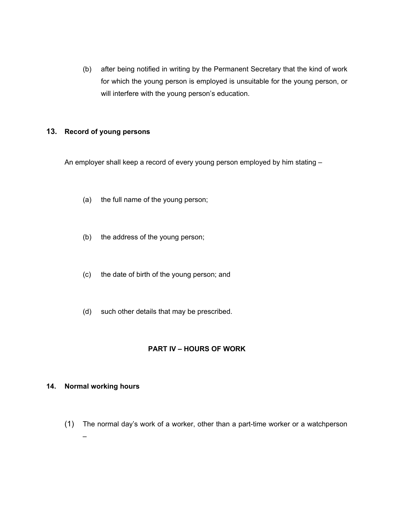(b) after being notified in writing by the Permanent Secretary that the kind of work for which the young person is employed is unsuitable for the young person, or will interfere with the young person's education.

# **13. Record of young persons**

An employer shall keep a record of every young person employed by him stating –

- (a) the full name of the young person;
- (b) the address of the young person;
- (c) the date of birth of the young person; and
- (d) such other details that may be prescribed.

# **PART IV – HOURS OF WORK**

### **14. Normal working hours**

(1) The normal day's work of a worker, other than a part-time worker or a watchperson –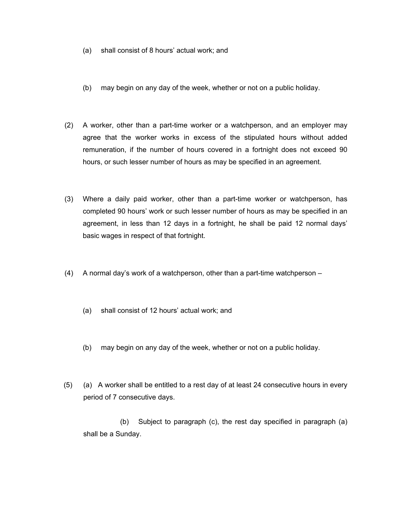- (a) shall consist of 8 hours' actual work; and
- (b) may begin on any day of the week, whether or not on a public holiday.
- (2) A worker, other than a part-time worker or a watchperson, and an employer may agree that the worker works in excess of the stipulated hours without added remuneration, if the number of hours covered in a fortnight does not exceed 90 hours, or such lesser number of hours as may be specified in an agreement.
- (3) Where a daily paid worker, other than a part-time worker or watchperson, has completed 90 hours' work or such lesser number of hours as may be specified in an agreement, in less than 12 days in a fortnight, he shall be paid 12 normal days' basic wages in respect of that fortnight.
- (4) A normal day's work of a watchperson, other than a part-time watchperson
	- (a) shall consist of 12 hours' actual work; and
	- (b) may begin on any day of the week, whether or not on a public holiday.
- (5) (a) A worker shall be entitled to a rest day of at least 24 consecutive hours in every period of 7 consecutive days.

(b) Subject to paragraph (c), the rest day specified in paragraph (a) shall be a Sunday.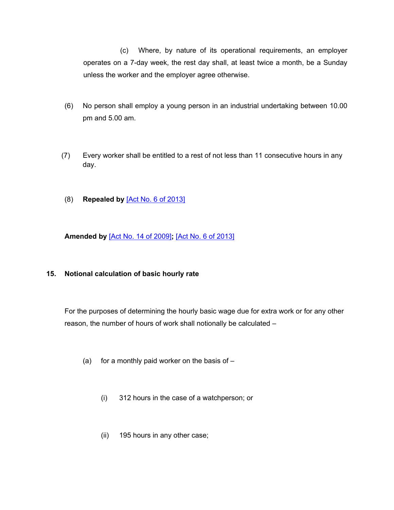(c) Where, by nature of its operational requirements, an employer operates on a 7-day week, the rest day shall, at least twice a month, be a Sunday unless the worker and the employer agree otherwise.

- (6) No person shall employ a young person in an industrial undertaking between 10.00 pm and 5.00 am.
- (7) Every worker shall be entitled to a rest of not less than 11 consecutive hours in any day.
- (8) **Repealed by** [Act No. 6 of [2013\]](https://supremecourt.govmu.org/_layouts/CLIS.DMS/search/searchdocumentbykey.aspx?ID=%5BAct%20No.%206%20of%202013%5D&list=Legislations)

**Amended by** [Act No. 14 of [2009\]](https://supremecourt.govmu.org/_layouts/CLIS.DMS/search/searchdocumentbykey.aspx?ID=%5BAct%20No.%2014%20of%202009%5D&list=Legislations)**;** [Act No. 6 of [2013\]](https://supremecourt.govmu.org/_layouts/CLIS.DMS/search/searchdocumentbykey.aspx?ID=%5BAct%20No.%206%20of%202013%5D&list=Legislations)

# **15. Notional calculation of basic hourly rate**

For the purposes of determining the hourly basic wage due for extra work or for any other reason, the number of hours of work shall notionally be calculated –

- (a) for a monthly paid worker on the basis of  $-$ 
	- (i) 312 hours in the case of a watchperson; or
	- (ii) 195 hours in any other case;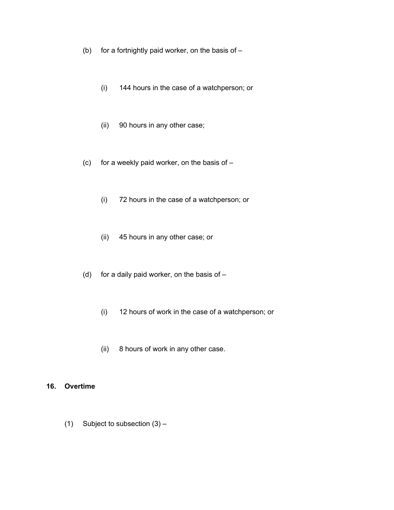- (b) for a fortnightly paid worker, on the basis of  $-$ 
	- (i) 144 hours in the case of a watchperson; or
	- (ii) 90 hours in any other case;
- (c) for a weekly paid worker, on the basis of  $-$ 
	- (i) 72 hours in the case of a watchperson; or
	- (ii) 45 hours in any other case; or
- (d) for a daily paid worker, on the basis of  $-$ 
	- (i) 12 hours of work in the case of a watchperson; or
	- (ii) 8 hours of work in any other case.

#### **16. Overtime**

(1) Subject to subsection  $(3)$  –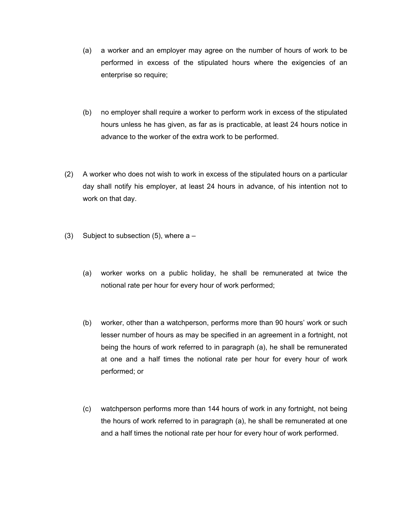- (a) a worker and an employer may agree on the number of hours of work to be performed in excess of the stipulated hours where the exigencies of an enterprise so require;
- (b) no employer shall require a worker to perform work in excess of the stipulated hours unless he has given, as far as is practicable, at least 24 hours notice in advance to the worker of the extra work to be performed.
- (2) A worker who does not wish to work in excess of the stipulated hours on a particular day shall notify his employer, at least 24 hours in advance, of his intention not to work on that day.
- (3) Subject to subsection (5), where  $a -$ 
	- (a) worker works on a public holiday, he shall be remunerated at twice the notional rate per hour for every hour of work performed;
	- (b) worker, other than a watchperson, performs more than 90 hours' work or such lesser number of hours as may be specified in an agreement in a fortnight, not being the hours of work referred to in paragraph (a), he shall be remunerated at one and a half times the notional rate per hour for every hour of work performed; or
	- (c) watchperson performs more than 144 hours of work in any fortnight, not being the hours of work referred to in paragraph (a), he shall be remunerated at one and a half times the notional rate per hour for every hour of work performed.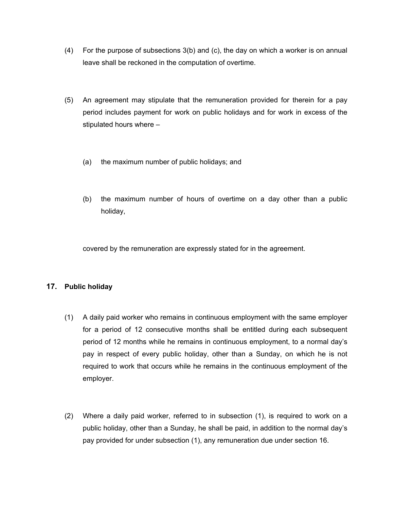- (4) For the purpose of subsections 3(b) and (c), the day on which a worker is on annual leave shall be reckoned in the computation of overtime.
- (5) An agreement may stipulate that the remuneration provided for therein for a pay period includes payment for work on public holidays and for work in excess of the stipulated hours where –
	- (a) the maximum number of public holidays; and
	- (b) the maximum number of hours of overtime on a day other than a public holiday,

covered by the remuneration are expressly stated for in the agreement.

# **17. Public holiday**

- (1) A daily paid worker who remains in continuous employment with the same employer for a period of 12 consecutive months shall be entitled during each subsequent period of 12 months while he remains in continuous employment, to a normal day's pay in respect of every public holiday, other than a Sunday, on which he is not required to work that occurs while he remains in the continuous employment of the employer.
- (2) Where a daily paid worker, referred to in subsection (1), is required to work on a public holiday, other than a Sunday, he shall be paid, in addition to the normal day's pay provided for under subsection (1), any remuneration due under section 16.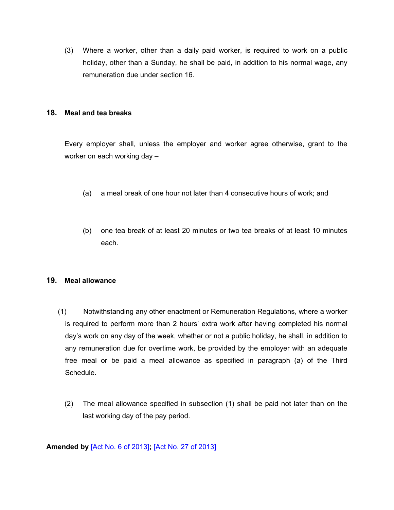(3) Where a worker, other than a daily paid worker, is required to work on a public holiday, other than a Sunday, he shall be paid, in addition to his normal wage, any remuneration due under section 16.

# **18. Meal and tea breaks**

Every employer shall, unless the employer and worker agree otherwise, grant to the worker on each working day –

- (a) a meal break of one hour not later than 4 consecutive hours of work; and
- (b) one tea break of at least 20 minutes or two tea breaks of at least 10 minutes each.

#### **19. Meal allowance**

- (1) Notwithstanding any other enactment or Remuneration Regulations, where a worker is required to perform more than 2 hours' extra work after having completed his normal day's work on any day of the week, whether or not a public holiday, he shall, in addition to any remuneration due for overtime work, be provided by the employer with an adequate free meal or be paid a meal allowance as specified in paragraph (a) of the Third Schedule.
	- (2) The meal allowance specified in subsection (1) shall be paid not later than on the last working day of the pay period.

**Amended by** [Act No. 6 of [2013\]](https://supremecourt.govmu.org/_layouts/CLIS.DMS/search/searchdocumentbykey.aspx?ID=%5BAct%20No.%206%20of%202013%5D&list=Legislations)**;** [Act No. 27 of [2013\]](https://supremecourt.govmu.org/_layouts/CLIS.DMS/search/searchdocumentbykey.aspx?ID=%5BAct%20No.%2027%20of%202013%5D&list=Legislations)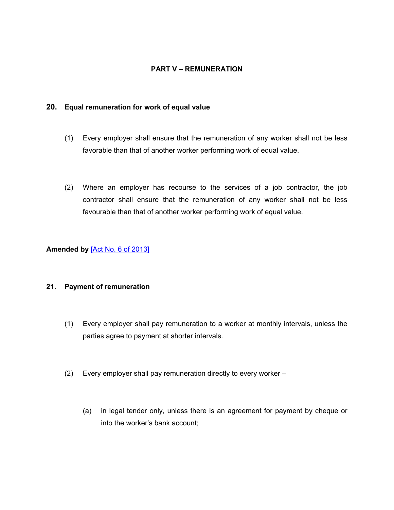# **PART V – REMUNERATION**

### **20. Equal remuneration for work of equal value**

- (1) Every employer shall ensure that the remuneration of any worker shall not be less favorable than that of another worker performing work of equal value.
- (2) Where an employer has recourse to the services of a job contractor, the job contractor shall ensure that the remuneration of any worker shall not be less favourable than that of another worker performing work of equal value.

# **Amended by** [Act No. 6 of [2013\]](https://supremecourt.govmu.org/_layouts/CLIS.DMS/search/searchdocumentbykey.aspx?ID=%5BAct%20No.%206%20of%202013%5D&list=Legislations)

# **21. Payment of remuneration**

- (1) Every employer shall pay remuneration to a worker at monthly intervals, unless the parties agree to payment at shorter intervals.
- (2) Every employer shall pay remuneration directly to every worker
	- (a) in legal tender only, unless there is an agreement for payment by cheque or into the worker's bank account;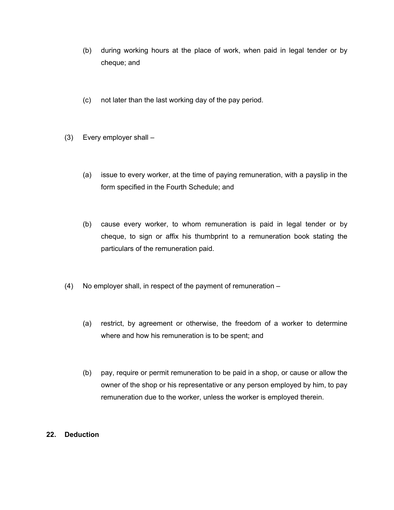- (b) during working hours at the place of work, when paid in legal tender or by cheque; and
- (c) not later than the last working day of the pay period.
- (3) Every employer shall
	- (a) issue to every worker, at the time of paying remuneration, with a payslip in the form specified in the Fourth Schedule; and
	- (b) cause every worker, to whom remuneration is paid in legal tender or by cheque, to sign or affix his thumbprint to a remuneration book stating the particulars of the remuneration paid.
- (4) No employer shall, in respect of the payment of remuneration
	- (a) restrict, by agreement or otherwise, the freedom of a worker to determine where and how his remuneration is to be spent; and
	- (b) pay, require or permit remuneration to be paid in a shop, or cause or allow the owner of the shop or his representative or any person employed by him, to pay remuneration due to the worker, unless the worker is employed therein.

# **22. Deduction**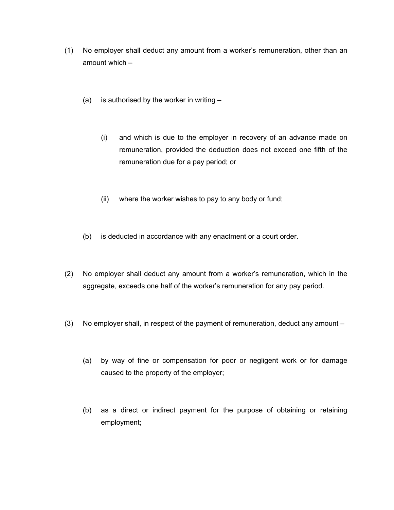- (1) No employer shall deduct any amount from a worker's remuneration, other than an amount which –
	- (a) is authorised by the worker in writing  $-$ 
		- (i) and which is due to the employer in recovery of an advance made on remuneration, provided the deduction does not exceed one fifth of the remuneration due for a pay period; or
		- (ii) where the worker wishes to pay to any body or fund;
	- (b) is deducted in accordance with any enactment or a court order.
- (2) No employer shall deduct any amount from a worker's remuneration, which in the aggregate, exceeds one half of the worker's remuneration for any pay period.
- (3) No employer shall, in respect of the payment of remuneration, deduct any amount
	- (a) by way of fine or compensation for poor or negligent work or for damage caused to the property of the employer;
	- (b) as a direct or indirect payment for the purpose of obtaining or retaining employment;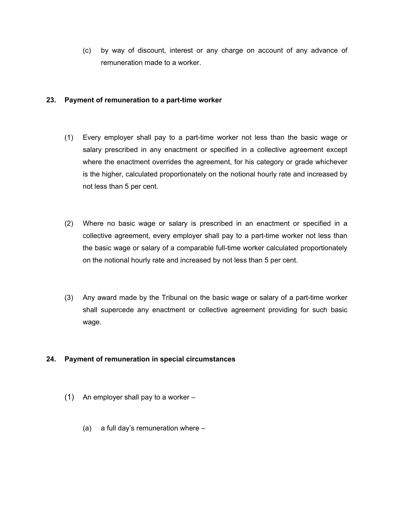(c) by way of discount, interest or any charge on account of any advance of remuneration made to a worker.

### **23. Payment of remuneration to a part-time worker**

- (1) Every employer shall pay to a part-time worker not less than the basic wage or salary prescribed in any enactment or specified in a collective agreement except where the enactment overrides the agreement, for his category or grade whichever is the higher, calculated proportionately on the notional hourly rate and increased by not less than 5 per cent.
- (2) Where no basic wage or salary is prescribed in an enactment or specified in a collective agreement, every employer shall pay to a part-time worker not less than the basic wage or salary of a comparable full-time worker calculated proportionately on the notional hourly rate and increased by not less than 5 per cent.
- (3) Any award made by the Tribunal on the basic wage or salary of a part-time worker shall supercede any enactment or collective agreement providing for such basic wage.

# **24. Payment of remuneration in special circumstances**

- (1) An employer shall pay to a worker
	- (a) a full day's remuneration where –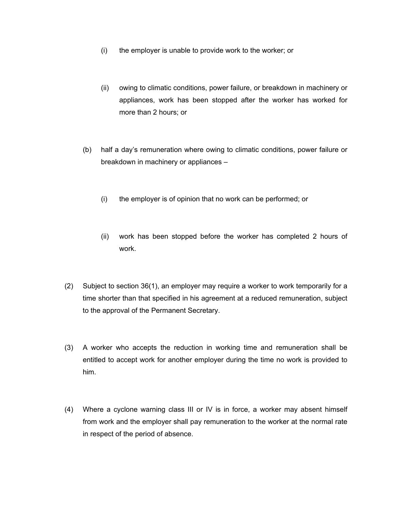- (i) the employer is unable to provide work to the worker; or
- (ii) owing to climatic conditions, power failure, or breakdown in machinery or appliances, work has been stopped after the worker has worked for more than 2 hours; or
- (b) half a day's remuneration where owing to climatic conditions, power failure or breakdown in machinery or appliances –
	- (i) the employer is of opinion that no work can be performed; or
	- (ii) work has been stopped before the worker has completed 2 hours of work.
- (2) Subject to section 36(1), an employer may require a worker to work temporarily for a time shorter than that specified in his agreement at a reduced remuneration, subject to the approval of the Permanent Secretary.
- (3) A worker who accepts the reduction in working time and remuneration shall be entitled to accept work for another employer during the time no work is provided to him.
- (4) Where a cyclone warning class III or IV is in force, a worker may absent himself from work and the employer shall pay remuneration to the worker at the normal rate in respect of the period of absence.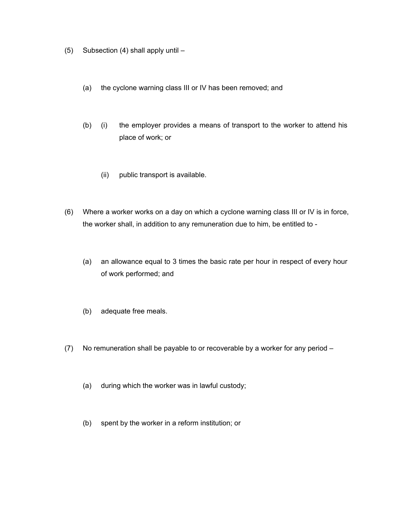- (5) Subsection (4) shall apply until
	- (a) the cyclone warning class III or IV has been removed; and
	- (b) (i) the employer provides a means of transport to the worker to attend his place of work; or
		- (ii) public transport is available.
- (6) Where a worker works on a day on which a cyclone warning class III or IV is in force, the worker shall, in addition to any remuneration due to him, be entitled to -
	- (a) an allowance equal to 3 times the basic rate per hour in respect of every hour of work performed; and
	- (b) adequate free meals.
- (7) No remuneration shall be payable to or recoverable by a worker for any period
	- (a) during which the worker was in lawful custody;
	- (b) spent by the worker in a reform institution; or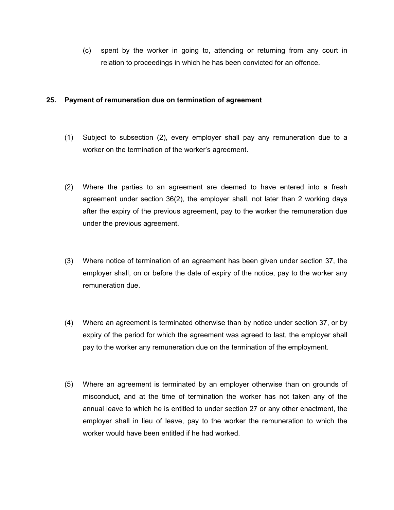(c) spent by the worker in going to, attending or returning from any court in relation to proceedings in which he has been convicted for an offence.

#### **25. Payment of remuneration due on termination of agreement**

- (1) Subject to subsection (2), every employer shall pay any remuneration due to a worker on the termination of the worker's agreement.
- (2) Where the parties to an agreement are deemed to have entered into a fresh agreement under section 36(2), the employer shall, not later than 2 working days after the expiry of the previous agreement, pay to the worker the remuneration due under the previous agreement.
- (3) Where notice of termination of an agreement has been given under section 37, the employer shall, on or before the date of expiry of the notice, pay to the worker any remuneration due.
- (4) Where an agreement is terminated otherwise than by notice under section 37, or by expiry of the period for which the agreement was agreed to last, the employer shall pay to the worker any remuneration due on the termination of the employment.
- (5) Where an agreement is terminated by an employer otherwise than on grounds of misconduct, and at the time of termination the worker has not taken any of the annual leave to which he is entitled to under section 27 or any other enactment, the employer shall in lieu of leave, pay to the worker the remuneration to which the worker would have been entitled if he had worked.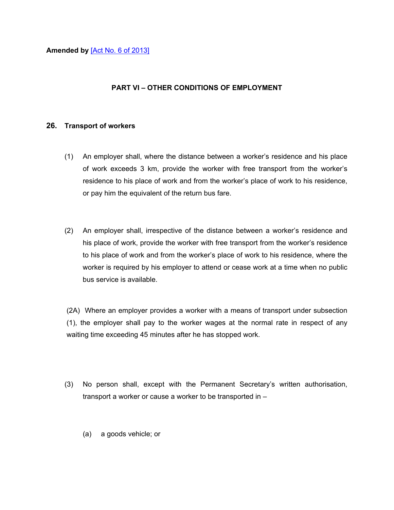## **PART VI – OTHER CONDITIONS OF EMPLOYMENT**

#### **26. Transport of workers**

- (1) An employer shall, where the distance between a worker's residence and his place of work exceeds 3 km, provide the worker with free transport from the worker's residence to his place of work and from the worker's place of work to his residence, or pay him the equivalent of the return bus fare.
- (2) An employer shall, irrespective of the distance between a worker's residence and his place of work, provide the worker with free transport from the worker's residence to his place of work and from the worker's place of work to his residence, where the worker is required by his employer to attend or cease work at a time when no public bus service is available.

(2A) Where an employer provides a worker with a means of transport under subsection (1), the employer shall pay to the worker wages at the normal rate in respect of any waiting time exceeding 45 minutes after he has stopped work.

- (3) No person shall, except with the Permanent Secretary's written authorisation, transport a worker or cause a worker to be transported in –
	- (a) a goods vehicle; or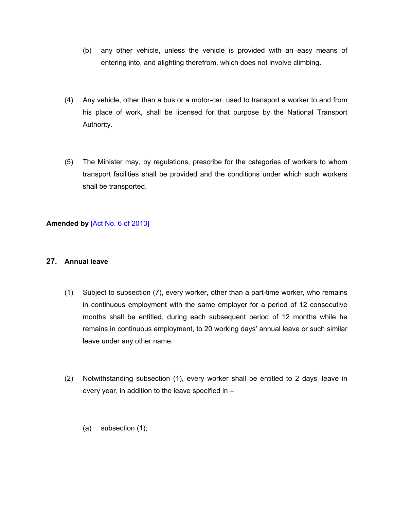- (b) any other vehicle, unless the vehicle is provided with an easy means of entering into, and alighting therefrom, which does not involve climbing.
- (4) Any vehicle, other than a bus or a motor-car, used to transport a worker to and from his place of work, shall be licensed for that purpose by the National Transport Authority.
- (5) The Minister may, by regulations, prescribe for the categories of workers to whom transport facilities shall be provided and the conditions under which such workers shall be transported.

## **Amended by** [Act No. 6 of [2013\]](https://supremecourt.govmu.org/_layouts/CLIS.DMS/search/searchdocumentbykey.aspx?ID=%5BAct%20No.%206%20of%202013%5D&list=Legislations)

## **27. Annual leave**

- (1) Subject to subsection (7), every worker, other than a part-time worker, who remains in continuous employment with the same employer for a period of 12 consecutive months shall be entitled, during each subsequent period of 12 months while he remains in continuous employment, to 20 working days' annual leave or such similar leave under any other name.
- (2) Notwithstanding subsection (1), every worker shall be entitled to 2 days' leave in every year, in addition to the leave specified in –
	- (a) subsection (1);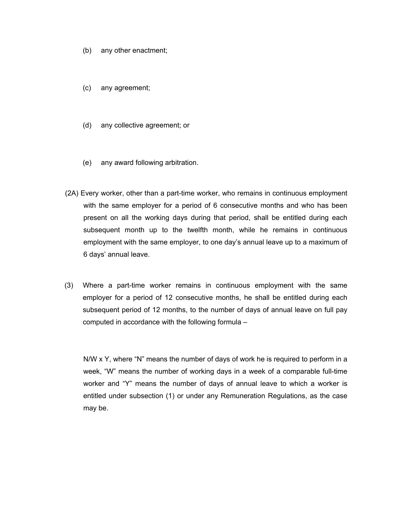- (b) any other enactment;
- (c) any agreement;
- (d) any collective agreement; or
- (e) any award following arbitration.
- (2A) Every worker, other than a part-time worker, who remains in continuous employment with the same employer for a period of 6 consecutive months and who has been present on all the working days during that period, shall be entitled during each subsequent month up to the twelfth month, while he remains in continuous employment with the same employer, to one day's annual leave up to a maximum of 6 days' annual leave.
- (3) Where a part-time worker remains in continuous employment with the same employer for a period of 12 consecutive months, he shall be entitled during each subsequent period of 12 months, to the number of days of annual leave on full pay computed in accordance with the following formula –

N/W x Y, where "N" means the number of days of work he is required to perform in a week, "W" means the number of working days in a week of a comparable full-time worker and "Y" means the number of days of annual leave to which a worker is entitled under subsection (1) or under any Remuneration Regulations, as the case may be.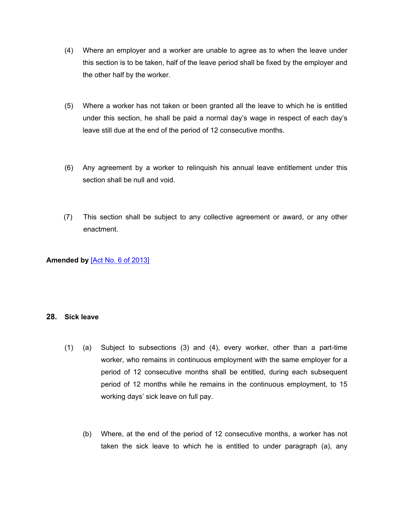- (4) Where an employer and a worker are unable to agree as to when the leave under this section is to be taken, half of the leave period shall be fixed by the employer and the other half by the worker.
- (5) Where a worker has not taken or been granted all the leave to which he is entitled under this section, he shall be paid a normal day's wage in respect of each day's leave still due at the end of the period of 12 consecutive months.
- (6) Any agreement by a worker to relinquish his annual leave entitlement under this section shall be null and void.
- (7) This section shall be subject to any collective agreement or award, or any other enactment.

**Amended by** [Act No. 6 of [2013\]](https://supremecourt.govmu.org/_layouts/CLIS.DMS/search/searchdocumentbykey.aspx?ID=%5BAct%20No.%206%20of%202013%5D&list=Legislations)

#### **28. Sick leave**

- (1) (a) Subject to subsections (3) and (4), every worker, other than a part-time worker, who remains in continuous employment with the same employer for a period of 12 consecutive months shall be entitled, during each subsequent period of 12 months while he remains in the continuous employment, to 15 working days' sick leave on full pay.
	- (b) Where, at the end of the period of 12 consecutive months, a worker has not taken the sick leave to which he is entitled to under paragraph (a), any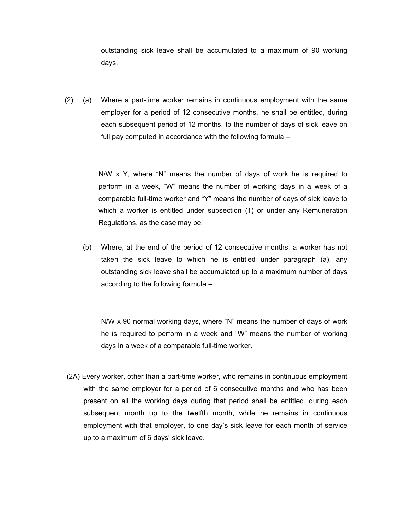outstanding sick leave shall be accumulated to a maximum of 90 working days.

(2) (a) Where a part-time worker remains in continuous employment with the same employer for a period of 12 consecutive months, he shall be entitled, during each subsequent period of 12 months, to the number of days of sick leave on full pay computed in accordance with the following formula –

> N/W x Y, where "N" means the number of days of work he is required to perform in a week, "W" means the number of working days in a week of a comparable full-time worker and "Y" means the number of days of sick leave to which a worker is entitled under subsection (1) or under any Remuneration Regulations, as the case may be.

(b) Where, at the end of the period of 12 consecutive months, a worker has not taken the sick leave to which he is entitled under paragraph (a), any outstanding sick leave shall be accumulated up to a maximum number of days according to the following formula –

N/W x 90 normal working days, where "N" means the number of days of work he is required to perform in a week and "W" means the number of working days in a week of a comparable full-time worker.

(2A) Every worker, other than a part-time worker, who remains in continuous employment with the same employer for a period of 6 consecutive months and who has been present on all the working days during that period shall be entitled, during each subsequent month up to the twelfth month, while he remains in continuous employment with that employer, to one day's sick leave for each month of service up to a maximum of 6 days' sick leave.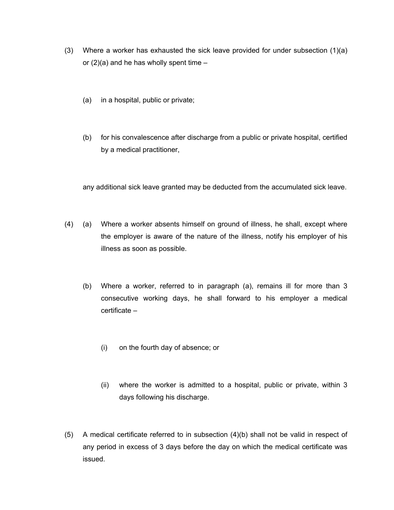- (3) Where a worker has exhausted the sick leave provided for under subsection (1)(a) or  $(2)(a)$  and he has wholly spent time  $-$ 
	- (a) in a hospital, public or private;
	- (b) for his convalescence after discharge from a public or private hospital, certified by a medical practitioner,

any additional sick leave granted may be deducted from the accumulated sick leave.

- (4) (a) Where a worker absents himself on ground of illness, he shall, except where the employer is aware of the nature of the illness, notify his employer of his illness as soon as possible.
	- (b) Where a worker, referred to in paragraph (a), remains ill for more than 3 consecutive working days, he shall forward to his employer a medical certificate –
		- (i) on the fourth day of absence; or
		- (ii) where the worker is admitted to a hospital, public or private, within 3 days following his discharge.
- (5) A medical certificate referred to in subsection (4)(b) shall not be valid in respect of any period in excess of 3 days before the day on which the medical certificate was issued.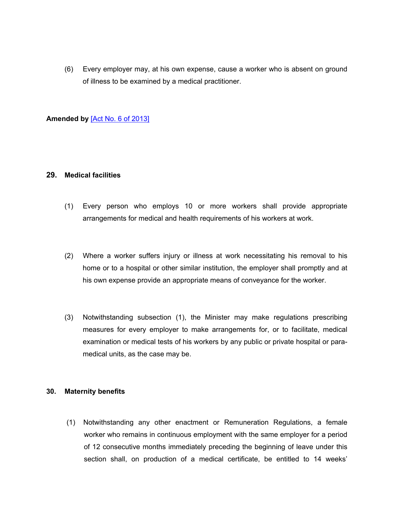(6) Every employer may, at his own expense, cause a worker who is absent on ground of illness to be examined by a medical practitioner.

## **Amended by** [Act No. 6 of [2013\]](https://supremecourt.govmu.org/_layouts/CLIS.DMS/search/searchdocumentbykey.aspx?ID=%5BAct%20No.%206%20of%202013%5D&list=Legislations)

## **29. Medical facilities**

- (1) Every person who employs 10 or more workers shall provide appropriate arrangements for medical and health requirements of his workers at work.
- (2) Where a worker suffers injury or illness at work necessitating his removal to his home or to a hospital or other similar institution, the employer shall promptly and at his own expense provide an appropriate means of conveyance for the worker.
- (3) Notwithstanding subsection (1), the Minister may make regulations prescribing measures for every employer to make arrangements for, or to facilitate, medical examination or medical tests of his workers by any public or private hospital or paramedical units, as the case may be.

#### **30. Maternity benefits**

(1) Notwithstanding any other enactment or Remuneration Regulations, a female worker who remains in continuous employment with the same employer for a period of 12 consecutive months immediately preceding the beginning of leave under this section shall, on production of a medical certificate, be entitled to 14 weeks'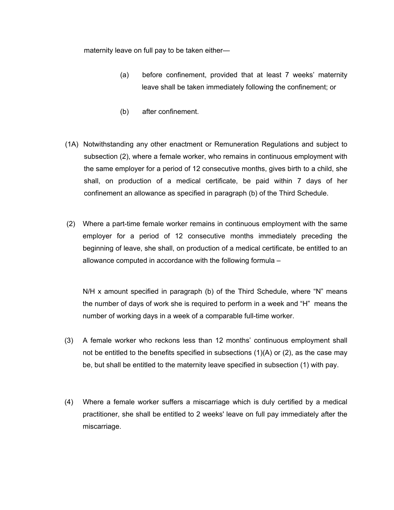maternity leave on full pay to be taken either—

- (a) before confinement, provided that at least 7 weeks' maternity leave shall be taken immediately following the confinement; or
- (b) after confinement.
- (1A) Notwithstanding any other enactment or Remuneration Regulations and subject to subsection (2), where a female worker, who remains in continuous employment with the same employer for a period of 12 consecutive months, gives birth to a child, she shall, on production of a medical certificate, be paid within 7 days of her confinement an allowance as specified in paragraph (b) of the Third Schedule.
- (2) Where a part-time female worker remains in continuous employment with the same employer for a period of 12 consecutive months immediately preceding the beginning of leave, she shall, on production of a medical certificate, be entitled to an allowance computed in accordance with the following formula –

N/H x amount specified in paragraph (b) of the Third Schedule, where "N" means the number of days of work she is required to perform in a week and "H" means the number of working days in a week of a comparable full-time worker.

- (3) A female worker who reckons less than 12 months' continuous employment shall not be entitled to the benefits specified in subsections (1)(A) or (2), as the case may be, but shall be entitled to the maternity leave specified in subsection (1) with pay.
- (4) Where a female worker suffers a miscarriage which is duly certified by a medical practitioner, she shall be entitled to 2 weeks' leave on full pay immediately after the miscarriage.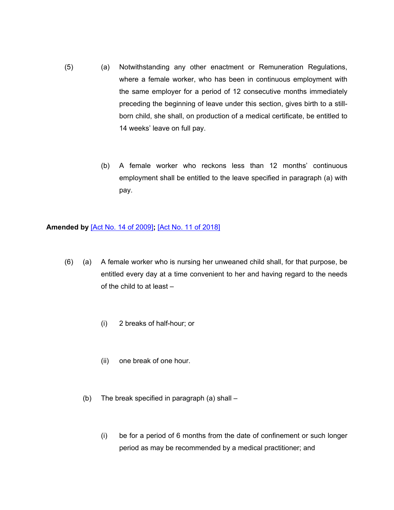- (5) (a) Notwithstanding any other enactment or Remuneration Regulations, where a female worker, who has been in continuous employment with the same employer for a period of 12 consecutive months immediately preceding the beginning of leave under this section, gives birth to a stillborn child, she shall, on production of a medical certificate, be entitled to 14 weeks' leave on full pay.
	- (b) A female worker who reckons less than 12 months' continuous employment shall be entitled to the leave specified in paragraph (a) with pay.

**Amended by** [Act No. 14 of [2009\]](https://supremecourt.govmu.org/_layouts/CLIS.DMS/search/searchdocumentbykey.aspx?ID=%5BAct%20No.%2014%20of%202009%5D&list=Legislations)**;** [Act No. 11 of [2018\]](https://supremecourt.govmu.org/_layouts/CLIS.DMS/search/searchdocumentbykey.aspx?ID=%5BAct%20No.%2011%20of%202018%5D&list=Legislations)

- (6) (a) A female worker who is nursing her unweaned child shall, for that purpose, be entitled every day at a time convenient to her and having regard to the needs of the child to at least –
	- (i) 2 breaks of half-hour; or
	- (ii) one break of one hour.
	- (b) The break specified in paragraph (a) shall
		- (i) be for a period of 6 months from the date of confinement or such longer period as may be recommended by a medical practitioner; and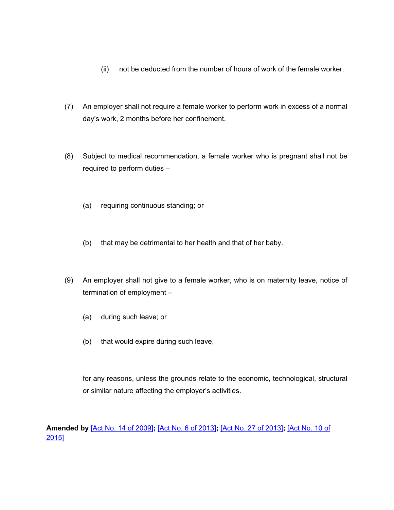- (ii) not be deducted from the number of hours of work of the female worker.
- (7) An employer shall not require a female worker to perform work in excess of a normal day's work, 2 months before her confinement.
- (8) Subject to medical recommendation, a female worker who is pregnant shall not be required to perform duties –
	- (a) requiring continuous standing; or
	- (b) that may be detrimental to her health and that of her baby.
- (9) An employer shall not give to a female worker, who is on maternity leave, notice of termination of employment –
	- (a) during such leave; or
	- (b) that would expire during such leave,

for any reasons, unless the grounds relate to the economic, technological, structural or similar nature affecting the employer's activities.

**Amended by** [Act No. 14 of [2009\]](https://supremecourt.govmu.org/_layouts/CLIS.DMS/search/searchdocumentbykey.aspx?ID=%5BAct%20No.%2014%20of%202009%5D&list=Legislations)**;** [Act No. 6 of [2013\]](https://supremecourt.govmu.org/_layouts/CLIS.DMS/search/searchdocumentbykey.aspx?ID=%5BAct%20No.%206%20of%202013%5D&list=Legislations)**;** [Act No. 27 of [2013\]](https://supremecourt.govmu.org/_layouts/CLIS.DMS/search/searchdocumentbykey.aspx?ID=%5BAct%20No.%2027%20of%202013%5D&list=Legislations)**;** [\[Act](https://supremecourt.govmu.org/_layouts/CLIS.DMS/search/searchdocumentbykey.aspx?ID=%5BAct%20No.%2010%20of%202015%5D&list=Legislations) No. 10 of [2015\]](https://supremecourt.govmu.org/_layouts/CLIS.DMS/search/searchdocumentbykey.aspx?ID=%5BAct%20No.%2010%20of%202015%5D&list=Legislations)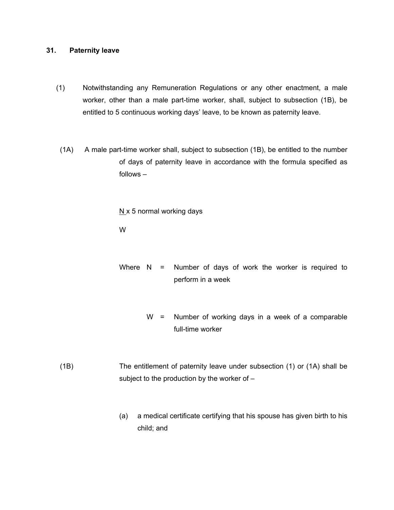### **31. Paternity leave**

- (1) Notwithstanding any Remuneration Regulations or any other enactment, a male worker, other than a male part-time worker, shall, subject to subsection (1B), be entitled to 5 continuous working days' leave, to be known as paternity leave.
- (1A) A male part-time worker shall, subject to subsection (1B), be entitled to the number of days of paternity leave in accordance with the formula specified as follows –

 $N \times 5$  normal working days

W

- Where  $N =$  Number of days of work the worker is required to perform in a week
	- $W =$  Number of working days in a week of a comparable full-time worker
- (1B) The entitlement of paternity leave under subsection (1) or (1A) shall be subject to the production by the worker of –
	- (a) a medical certificate certifying that his spouse has given birth to his child; and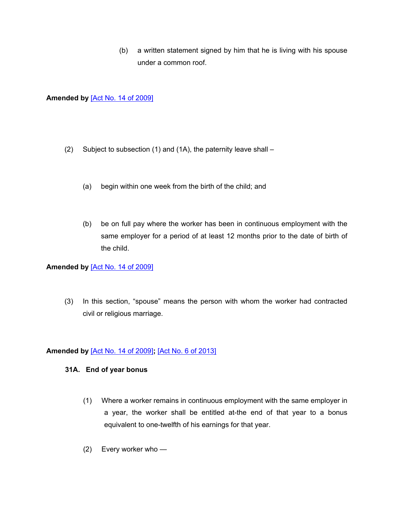(b) a written statement signed by him that he is living with his spouse under a common roof.

**Amended by** [Act No. 14 of [2009\]](https://supremecourt.govmu.org/_layouts/CLIS.DMS/search/searchdocumentbykey.aspx?ID=%5BAct%20No.%2014%20of%202009%5D&list=Legislations)

- (2) Subject to subsection (1) and (1A), the paternity leave shall
	- (a) begin within one week from the birth of the child; and
	- (b) be on full pay where the worker has been in continuous employment with the same employer for a period of at least 12 months prior to the date of birth of the child.

# **Amended by** [Act No. 14 of [2009\]](https://supremecourt.govmu.org/_layouts/CLIS.DMS/search/searchdocumentbykey.aspx?ID=%5BAct%20No.%2014%20of%202009%5D&list=Legislations)

(3) In this section, "spouse" means the person with whom the worker had contracted civil or religious marriage.

# **Amended by** [Act No. 14 of [2009\]](https://supremecourt.govmu.org/_layouts/CLIS.DMS/search/searchdocumentbykey.aspx?ID=%5BAct%20No.%2014%20of%202009%5D&list=Legislations)**;** [Act No. 6 of [2013\]](https://supremecourt.govmu.org/_layouts/CLIS.DMS/search/searchdocumentbykey.aspx?ID=%5BAct%20No.%206%20of%202013%5D&list=Legislations)

## **31A. End of year bonus**

- (1) Where a worker remains in continuous employment with the same employer in a year, the worker shall be entitled at-the end of that year to a bonus equivalent to one-twelfth of his earnings for that year.
- (2) Every worker who —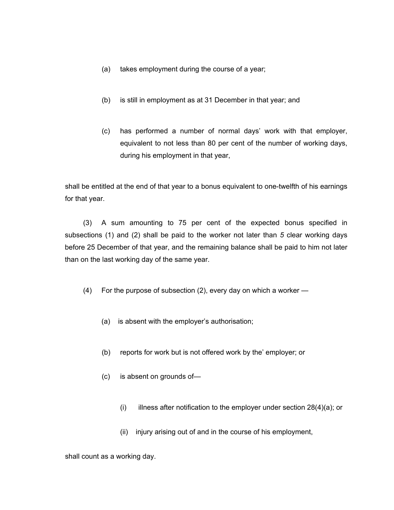- (a) takes employment during the course of a year;
- (b) is still in employment as at 31 December in that year; and
- (c) has performed a number of normal days' work with that employer, equivalent to not less than 80 per cent of the number of working days, during his employment in that year,

shall be entitled at the end of that year to a bonus equivalent to one-twelfth of his earnings for that year.

(3) A sum amounting to 75 per cent of the expected bonus specified in subsections (1) and (2) shall be paid to the worker not later than *5* clear working days before 25 December of that year, and the remaining balance shall be paid to him not later than on the last working day of the same year.

- (4) For the purpose of subsection (2), every day on which a worker
	- (a) is absent with the employer's authorisation;
	- (b) reports for work but is not offered work by the' employer; or
	- (c) is absent on grounds of—
		- (i) illness after notification to the employer under section  $28(4)(a)$ ; or
		- (ii) injury arising out of and in the course of his employment,

#### shall count as a working day.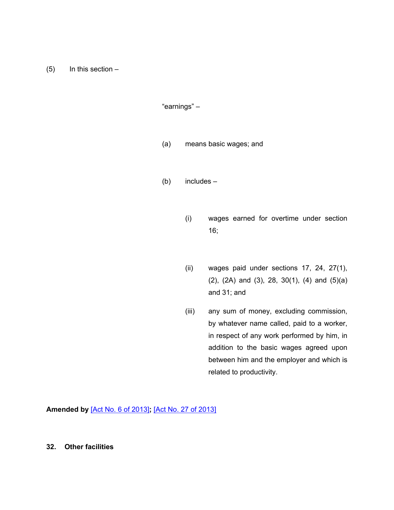$(5)$  In this section –

"earnings" –

- (a) means basic wages; and
- (b) includes
	- (i) wages earned for overtime under section 16;
	- (ii) wages paid under sections 17, 24, 27(1), (2), (2A) and (3), 28, 30(1), (4) and (5)(a) and 31; and
	- (iii) any sum of money, excluding commission, by whatever name called, paid to a worker, in respect of any work performed by him, in addition to the basic wages agreed upon between him and the employer and which is related to productivity.

**Amended by** [Act No. 6 of [2013\]](https://supremecourt.govmu.org/_layouts/CLIS.DMS/search/searchdocumentbykey.aspx?ID=%5BAct%20No.%206%20of%202013%5D&list=Legislations)**;** [Act No. 27 of [2013\]](https://supremecourt.govmu.org/_layouts/CLIS.DMS/search/searchdocumentbykey.aspx?ID=%5BAct%20No.%2027%20of%202013%5D&list=Legislations)

## **32. Other facilities**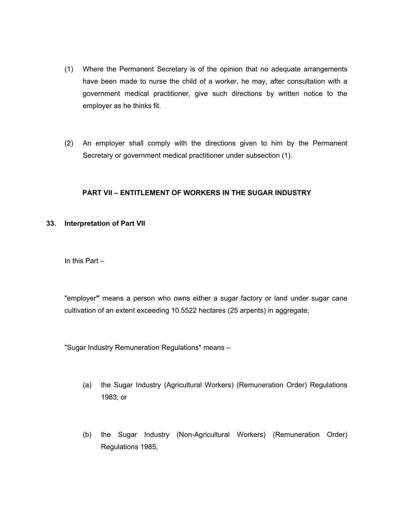- (1) Where the Permanent Secretary is of the opinion that no adequate arrangements have been made to nurse the child of a worker, he may, after consultation with a government medical practitioner, give such directions by written notice to the employer as he thinks fit.
- (2) An employer shall comply with the directions given to him by the Permanent Secretary or government medical practitioner under subsection (1).

## **PART VII – ENTITLEMENT OF WORKERS IN THE SUGAR INDUSTRY**

#### **33. Interpretation of Part VII**

In this Part –

"employer**"** means a person who owns either a sugar factory or land under sugar cane cultivation of an extent exceeding 10.5522 hectares (25 arpents) in aggregate;

"Sugar Industry Remuneration Regulations" means –

- (a) the Sugar Industry (Agricultural Workers) (Remuneration Order) Regulations 1983; or
- (b) the Sugar Industry (Non-Agricultural Workers) (Remuneration Order) Regulations 1985,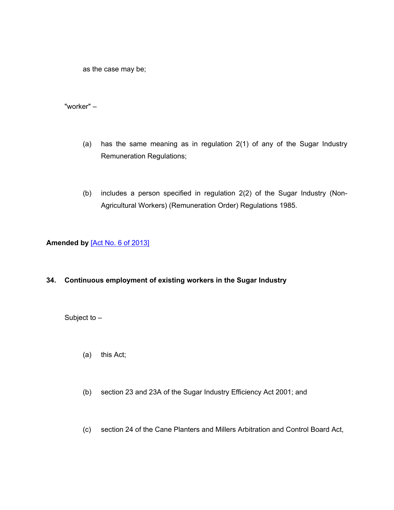as the case may be;

"worker" –

- (a) has the same meaning as in regulation 2(1) of any of the Sugar Industry Remuneration Regulations;
- (b) includes a person specified in regulation 2(2) of the Sugar Industry (Non-Agricultural Workers) (Remuneration Order) Regulations 1985.

**Amended by** [Act No. 6 of [2013\]](https://supremecourt.govmu.org/_layouts/CLIS.DMS/search/searchdocumentbykey.aspx?ID=%5BAct%20No.%206%20of%202013%5D&list=Legislations)

**34. Continuous employment of existing workers in the Sugar Industry**

Subject to –

- (a) this Act;
- (b) section 23 and 23A of the Sugar Industry Efficiency Act 2001; and
- (c) section 24 of the Cane Planters and Millers Arbitration and Control Board Act,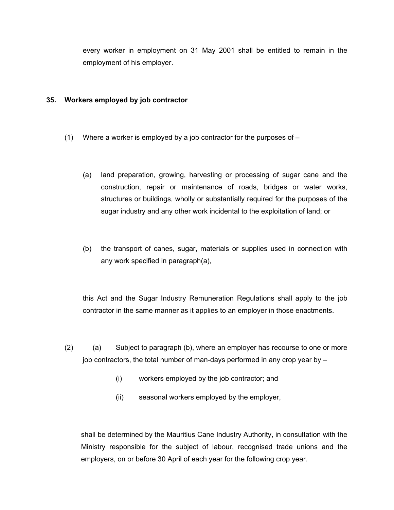every worker in employment on 31 May 2001 shall be entitled to remain in the employment of his employer.

## **35. Workers employed by job contractor**

- (1) Where a worker is employed by a job contractor for the purposes of
	- (a) land preparation, growing, harvesting or processing of sugar cane and the construction, repair or maintenance of roads, bridges or water works, structures or buildings, wholly or substantially required for the purposes of the sugar industry and any other work incidental to the exploitation of land; or
	- (b) the transport of canes, sugar, materials or supplies used in connection with any work specified in paragraph(a),

this Act and the Sugar Industry Remuneration Regulations shall apply to the job contractor in the same manner as it applies to an employer in those enactments.

- (2) (a) Subject to paragraph (b), where an employer has recourse to one or more job contractors, the total number of man-days performed in any crop year by –
	- (i) workers employed by the job contractor; and
	- (ii) seasonal workers employed by the employer,

shall be determined by the Mauritius Cane Industry Authority, in consultation with the Ministry responsible for the subject of labour, recognised trade unions and the employers, on or before 30 April of each year for the following crop year.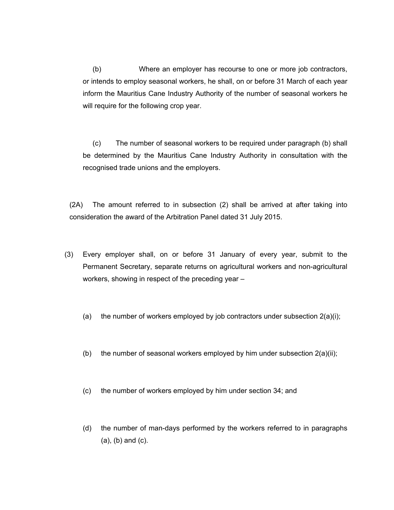(b) Where an employer has recourse to one or more job contractors, or intends to employ seasonal workers, he shall, on or before 31 March of each year inform the Mauritius Cane Industry Authority of the number of seasonal workers he will require for the following crop year.

(c) The number of seasonal workers to be required under paragraph (b) shall be determined by the Mauritius Cane Industry Authority in consultation with the recognised trade unions and the employers.

(2A) The amount referred to in subsection (2) shall be arrived at after taking into consideration the award of the Arbitration Panel dated 31 July 2015.

- (3) Every employer shall, on or before 31 January of every year, submit to the Permanent Secretary, separate returns on agricultural workers and non-agricultural workers, showing in respect of the preceding year –
	- (a) the number of workers employed by job contractors under subsection  $2(a)(i)$ ;
	- (b) the number of seasonal workers employed by him under subsection  $2(a)(ii)$ ;
	- (c) the number of workers employed by him under section 34; and
	- (d) the number of man-days performed by the workers referred to in paragraphs (a), (b) and (c).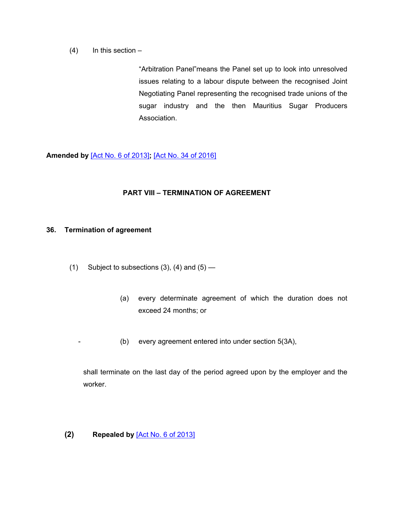$(4)$  In this section –

"Arbitration Panel"means the Panel set up to look into unresolved issues relating to a labour dispute between the recognised Joint Negotiating Panel representing the recognised trade unions of the sugar industry and the then Mauritius Sugar Producers Association.

**Amended by** [Act No. 6 of [2013\]](https://supremecourt.govmu.org/_layouts/CLIS.DMS/search/searchdocumentbykey.aspx?ID=%5BAct%20No.%206%20of%202013%5D&list=Legislations)**;** [Act No. 34 of [2016\]](https://supremecourt.govmu.org/_layouts/CLIS.DMS/search/searchdocumentbykey.aspx?ID=%5BAct%20No.%2034%20of%202016%5D&list=Legislations)

# **PART VIII – TERMINATION OF AGREEMENT**

### **36. Termination of agreement**

- (1) Subject to subsections  $(3)$ ,  $(4)$  and  $(5)$ 
	- (a) every determinate agreement of which the duration does not exceed 24 months; or
	- (b) every agreement entered into under section 5(3A),

shall terminate on the last day of the period agreed upon by the employer and the worker.

**(2) Repealed by** [Act No. 6 of [2013\]](https://supremecourt.govmu.org/_layouts/CLIS.DMS/search/searchdocumentbykey.aspx?ID=%5BAct%20No.%206%20of%202013%5D&list=Legislations)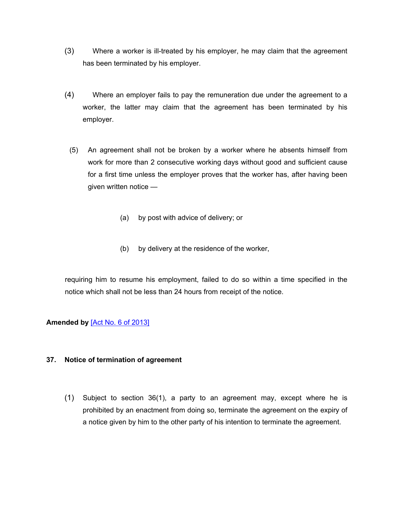- (3) Where a worker is ill-treated by his employer, he may claim that the agreement has been terminated by his employer.
- (4) Where an employer fails to pay the remuneration due under the agreement to a worker, the latter may claim that the agreement has been terminated by his employer.
	- (5) An agreement shall not be broken by a worker where he absents himself from work for more than 2 consecutive working days without good and sufficient cause for a first time unless the employer proves that the worker has, after having been given written notice —
		- (a) by post with advice of delivery; or
		- (b) by delivery at the residence of the worker,

requiring him to resume his employment, failed to do so within a time specified in the notice which shall not be less than 24 hours from receipt of the notice.

# **Amended by** [Act No. 6 of [2013\]](https://supremecourt.govmu.org/_layouts/CLIS.DMS/search/searchdocumentbykey.aspx?ID=%5BAct%20No.%206%20of%202013%5D&list=Legislations)

## **37. Notice of termination of agreement**

(1) Subject to section 36(1), a party to an agreement may, except where he is prohibited by an enactment from doing so, terminate the agreement on the expiry of a notice given by him to the other party of his intention to terminate the agreement.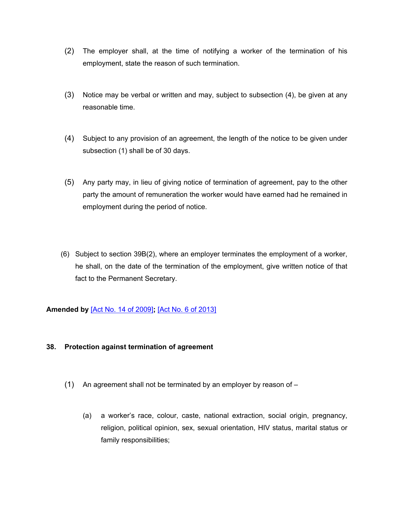- (2) The employer shall, at the time of notifying a worker of the termination of his employment, state the reason of such termination.
- (3) Notice may be verbal or written and may, subject to subsection (4), be given at any reasonable time.
- (4) Subject to any provision of an agreement, the length of the notice to be given under subsection (1) shall be of 30 days.
- (5) Any party may, in lieu of giving notice of termination of agreement, pay to the other party the amount of remuneration the worker would have earned had he remained in employment during the period of notice.
- (6) Subject to section 39B(2), where an employer terminates the employment of a worker, he shall, on the date of the termination of the employment, give written notice of that fact to the Permanent Secretary.

**Amended by** [Act No. 14 of [2009\]](https://supremecourt.govmu.org/_layouts/CLIS.DMS/search/searchdocumentbykey.aspx?ID=%5BAct%20No.%2014%20of%202009%5D&list=Legislations)**;** [Act No. 6 of [2013\]](https://supremecourt.govmu.org/_layouts/CLIS.DMS/search/searchdocumentbykey.aspx?ID=%5BAct%20No.%206%20of%202013%5D&list=Legislations)

## **38. Protection against termination of agreement**

- (1) An agreement shall not be terminated by an employer by reason of
	- (a) a worker's race, colour, caste, national extraction, social origin, pregnancy, religion, political opinion, sex, sexual orientation, HIV status, marital status or family responsibilities;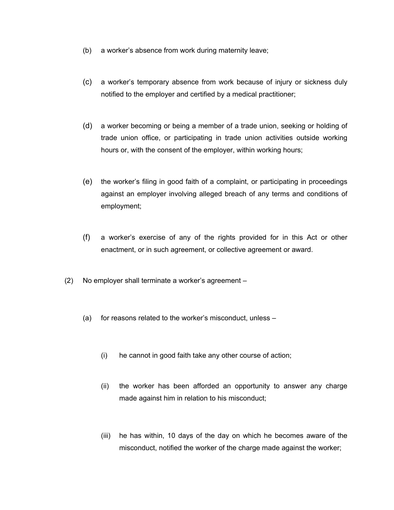- (b) a worker's absence from work during maternity leave;
- (c) a worker's temporary absence from work because of injury or sickness duly notified to the employer and certified by a medical practitioner;
- (d) a worker becoming or being a member of a trade union, seeking or holding of trade union office, or participating in trade union activities outside working hours or, with the consent of the employer, within working hours;
- (e) the worker's filing in good faith of a complaint, or participating in proceedings against an employer involving alleged breach of any terms and conditions of employment;
- (f) a worker's exercise of any of the rights provided for in this Act or other enactment, or in such agreement, or collective agreement or award.
- (2) No employer shall terminate a worker's agreement
	- (a) for reasons related to the worker's misconduct, unless
		- (i) he cannot in good faith take any other course of action;
		- (ii) the worker has been afforded an opportunity to answer any charge made against him in relation to his misconduct;
		- (iii) he has within, 10 days of the day on which he becomes aware of the misconduct, notified the worker of the charge made against the worker;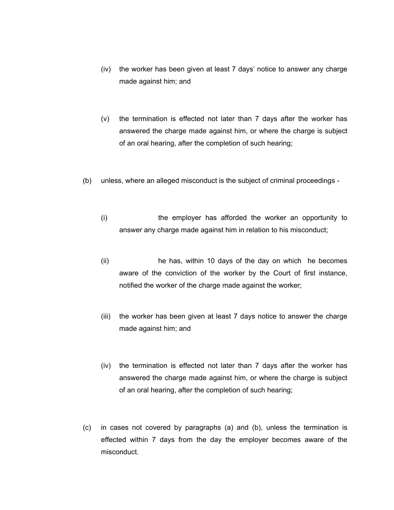- (iv) the worker has been given at least 7 days' notice to answer any charge made against him; and
- (v) the termination is effected not later than 7 days after the worker has answered the charge made against him, or where the charge is subject of an oral hearing, after the completion of such hearing;
- (b) unless, where an alleged misconduct is the subject of criminal proceedings
	- (i) the employer has afforded the worker an opportunity to answer any charge made against him in relation to his misconduct;
	- (ii) he has, within 10 days of the day on which he becomes aware of the conviction of the worker by the Court of first instance, notified the worker of the charge made against the worker;
	- (iii) the worker has been given at least 7 days notice to answer the charge made against him; and
	- (iv) the termination is effected not later than 7 days after the worker has answered the charge made against him, or where the charge is subject of an oral hearing, after the completion of such hearing;
- (c) in cases not covered by paragraphs (a) and (b), unless the termination is effected within 7 days from the day the employer becomes aware of the misconduct.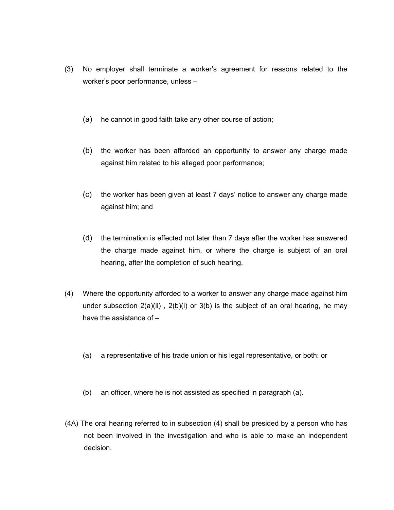- (3) No employer shall terminate a worker's agreement for reasons related to the worker's poor performance, unless –
	- (a) he cannot in good faith take any other course of action;
	- (b) the worker has been afforded an opportunity to answer any charge made against him related to his alleged poor performance;
	- (c) the worker has been given at least 7 days' notice to answer any charge made against him; and
	- (d) the termination is effected not later than 7 days after the worker has answered the charge made against him, or where the charge is subject of an oral hearing, after the completion of such hearing.
- (4) Where the opportunity afforded to a worker to answer any charge made against him under subsection 2(a)(ii) , 2(b)(i) or 3(b) is the subject of an oral hearing, he may have the assistance of –
	- (a) a representative of his trade union or his legal representative, or both: or
	- (b) an officer, where he is not assisted as specified in paragraph (a).
- (4A) The oral hearing referred to in subsection (4) shall be presided by a person who has not been involved in the investigation and who is able to make an independent decision.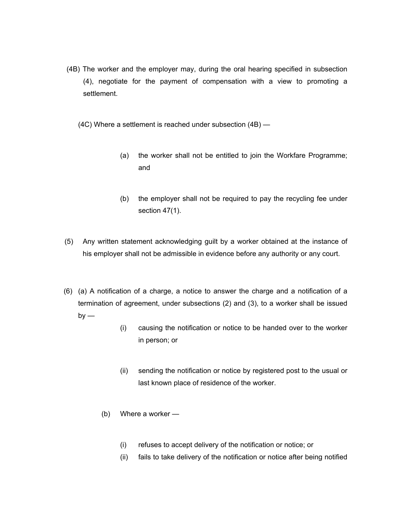- (4B) The worker and the employer may, during the oral hearing specified in subsection (4), negotiate for the payment of compensation with a view to promoting a settlement.
	- (4C) Where a settlement is reached under subsection (4B)
		- (a) the worker shall not be entitled to join the Workfare Programme; and
		- (b) the employer shall not be required to pay the recycling fee under section 47(1).
- (5) Any written statement acknowledging guilt by a worker obtained at the instance of his employer shall not be admissible in evidence before any authority or any court.
- (6) (a) A notification of a charge, a notice to answer the charge and a notification of a termination of agreement, under subsections (2) and (3), to a worker shall be issued  $bv -$ 
	- (i) causing the notification or notice to be handed over to the worker in person; or
	- (ii) sending the notification or notice by registered post to the usual or last known place of residence of the worker.
	- (b) Where a worker
		- (i) refuses to accept delivery of the notification or notice; or
		- (ii) fails to take delivery of the notification or notice after being notified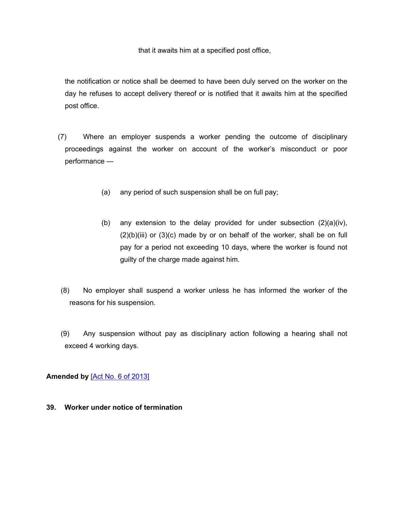that it awaits him at a specified post office,

the notification or notice shall be deemed to have been duly served on the worker on the day he refuses to accept delivery thereof or is notified that it awaits him at the specified post office.

- (7) Where an employer suspends a worker pending the outcome of disciplinary proceedings against the worker on account of the worker's misconduct or poor performance —
	- (a) any period of such suspension shall be on full pay;
	- (b) any extension to the delay provided for under subsection  $(2)(a)(iv)$ ,  $(2)(b)(iii)$  or  $(3)(c)$  made by or on behalf of the worker, shall be on full pay for a period not exceeding 10 days, where the worker is found not guilty of the charge made against him.
- (8) No employer shall suspend a worker unless he has informed the worker of the reasons for his suspension.
- (9) Any suspension without pay as disciplinary action following a hearing shall not exceed 4 working days.

# **Amended by** [Act No. 6 of [2013\]](https://supremecourt.govmu.org/_layouts/CLIS.DMS/search/searchdocumentbykey.aspx?ID=%5BAct%20No.%206%20of%202013%5D&list=Legislations)

**39. Worker under notice of termination**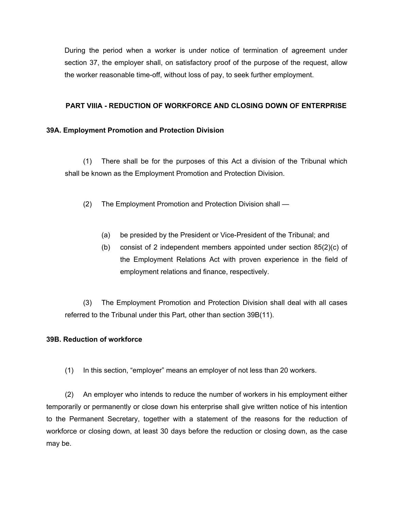During the period when a worker is under notice of termination of agreement under section 37, the employer shall, on satisfactory proof of the purpose of the request, allow the worker reasonable time-off, without loss of pay, to seek further employment.

## **PART VIIlA - REDUCTION OF WORKFORCE AND CLOSING DOWN OF ENTERPRISE**

### **39A. Employment Promotion and Protection Division**

(1) There shall be for the purposes of this Act a division of the Tribunal which shall be known as the Employment Promotion and Protection Division.

- (2) The Employment Promotion and Protection Division shall
	- (a) be presided by the President or Vice-President of the Tribunal; and
	- (b) consist of 2 independent members appointed under section 85(2)(c) of the Employment Relations Act with proven experience in the field of employment relations and finance, respectively.

(3) The Employment Promotion and Protection Division shall deal with all cases referred to the Tribunal under this Part, other than section 39B(11).

## **39B. Reduction of workforce**

(1) In this section, "employer" means an employer of not less than 20 workers.

(2) An employer who intends to reduce the number of workers in his employment either temporarily or permanently or close down his enterprise shall give written notice of his intention to the Permanent Secretary, together with a statement of the reasons for the reduction of workforce or closing down, at least 30 days before the reduction or closing down, as the case may be.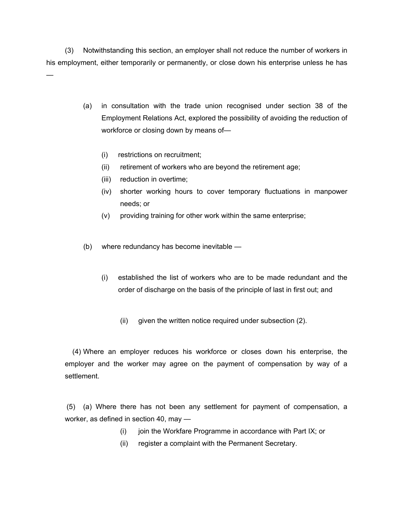(3) Notwithstanding this section, an employer shall not reduce the number of workers in his employment, either temporarily or permanently, or close down his enterprise unless he has

- (a) in consultation with the trade union recognised under section 38 of the Employment Relations Act, explored the possibility of avoiding the reduction of workforce or closing down by means of—
	- (i) restrictions on recruitment;
	- (ii) retirement of workers who are beyond the retirement age;
	- (iii) reduction in overtime;

—

- (iv) shorter working hours to cover temporary fluctuations in manpower needs; or
- (v) providing training for other work within the same enterprise;
- (b) where redundancy has become inevitable
	- (i) established the list of workers who are to be made redundant and the order of discharge on the basis of the principle of last in first out; and
		- (ii) given the written notice required under subsection (2).

(4) Where an employer reduces his workforce or closes down his enterprise, the employer and the worker may agree on the payment of compensation by way of a settlement.

(5) (a) Where there has not been any settlement for payment of compensation, a worker, as defined in section 40, may —

- $(i)$  join the Workfare Programme in accordance with Part IX; or
- (ii) register a complaint with the Permanent Secretary.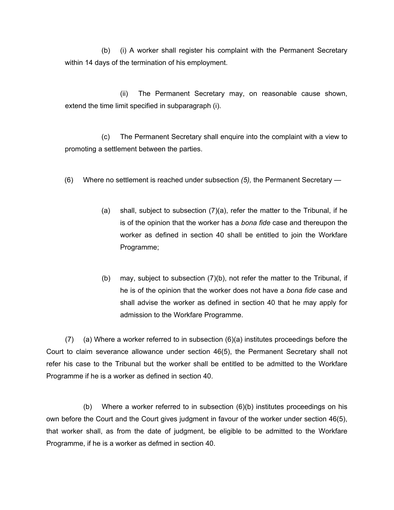(b) (i) A worker shall register his complaint with the Permanent Secretary within 14 days of the termination of his employment.

(ii) The Permanent Secretary may, on reasonable cause shown, extend the time limit specified in subparagraph (i).

(c) The Permanent Secretary shall enquire into the complaint with a view to promoting a settlement between the parties.

- (6) Where no settlement is reached under subsection *(5),* the Permanent Secretary
	- (a) shall, subject to subsection  $(7)(a)$ , refer the matter to the Tribunal, if he is of the opinion that the worker has a *bona fide* case and thereupon the worker as defined in section 40 shall be entitled to join the Workfare Programme;
	- (b) may, subject to subsection (7)(b), not refer the matter to the Tribunal, if he is of the opinion that the worker does not have a *bona fide* case and shall advise the worker as defined in section 40 that he may apply for admission to the Workfare Programme.

 $(7)$  (a) Where a worker referred to in subsection  $(6)(a)$  institutes proceedings before the Court to claim severance allowance under section 46(5), the Permanent Secretary shall not refer his case to the Tribunal but the worker shall be entitled to be admitted to the Workfare Programme if he is a worker as defined in section 40.

(b) Where a worker referred to in subsection (6)(b) institutes proceedings on his own before the Court and the Court gives judgment in favour of the worker under section 46(5), that worker shall, as from the date of judgment, be eligible to be admitted to the Workfare Programme, if he is a worker as defmed in section 40.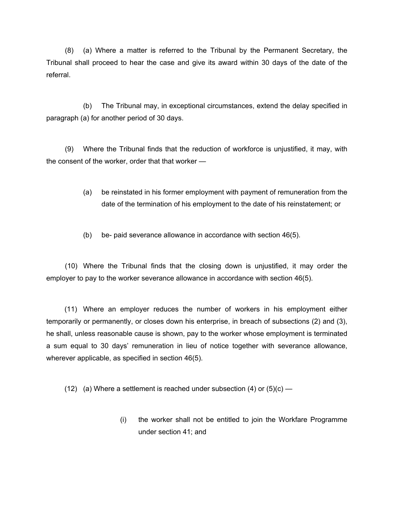(8) (a) Where a matter is referred to the Tribunal by the Permanent Secretary, the Tribunal shall proceed to hear the case and give its award within 30 days of the date of the referral.

(b) The Tribunal may, in exceptional circumstances, extend the delay specified in paragraph (a) for another period of 30 days.

(9) Where the Tribunal finds that the reduction of workforce is unjustified, it may, with the consent of the worker, order that that worker —

- (a) be reinstated in his former employment with payment of remuneration from the date of the termination of his employment to the date of his reinstatement; or
- (b) be- paid severance allowance in accordance with section 46(5).

(10) Where the Tribunal finds that the closing down is unjustified, it may order the employer to pay to the worker severance allowance in accordance with section 46(5).

(11) Where an employer reduces the number of workers in his employment either temporarily or permanently, or closes down his enterprise, in breach of subsections (2) and (3), he shall, unless reasonable cause is shown, pay to the worker whose employment is terminated a sum equal to 30 days' remuneration in lieu of notice together with severance allowance, wherever applicable, as specified in section 46(5).

(12) (a) Where a settlement is reached under subsection (4) or  $(5)(c)$  —

(i) the worker shall not be entitled to join the Workfare Programme under section 41; and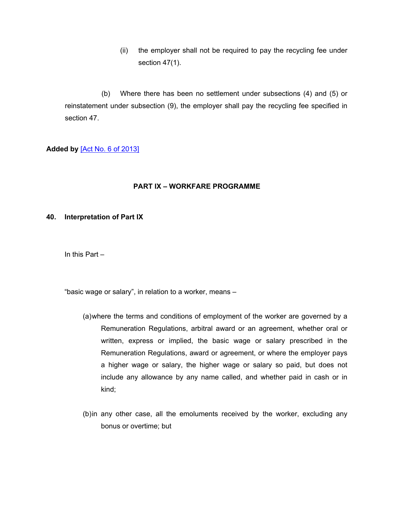(ii) the employer shall not be required to pay the recycling fee under section 47(1).

(b) Where there has been no settlement under subsections (4) and (5) or reinstatement under subsection (9), the employer shall pay the recycling fee specified in section 47.

## **Added by** [Act No. 6 of [2013\]](https://supremecourt.govmu.org/_layouts/CLIS.DMS/search/searchdocumentbykey.aspx?ID=%5BAct%20No.%206%20of%202013%5D&list=Legislations)

## **PART IX – WORKFARE PROGRAMME**

### **40. Interpretation of Part IX**

In this Part –

"basic wage or salary", in relation to a worker, means –

- (a)where the terms and conditions of employment of the worker are governed by a Remuneration Regulations, arbitral award or an agreement, whether oral or written, express or implied, the basic wage or salary prescribed in the Remuneration Regulations, award or agreement, or where the employer pays a higher wage or salary, the higher wage or salary so paid, but does not include any allowance by any name called, and whether paid in cash or in kind;
- (b)in any other case, all the emoluments received by the worker, excluding any bonus or overtime; but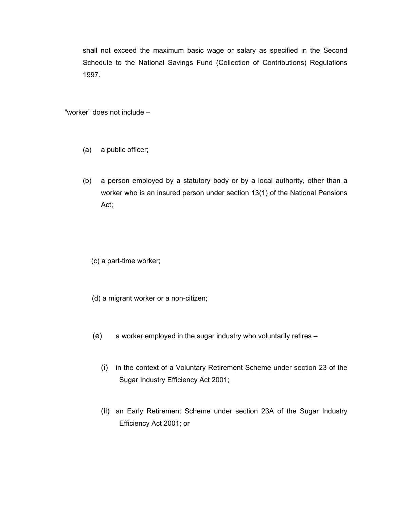shall not exceed the maximum basic wage or salary as specified in the Second Schedule to the National Savings Fund (Collection of Contributions) Regulations 1997.

"worker" does not include –

- (a) a public officer;
- (b) a person employed by a statutory body or by a local authority, other than a worker who is an insured person under section 13(1) of the National Pensions Act;

(c) a part-time worker;

- (d) a migrant worker or a non-citizen;
- (e) a worker employed in the sugar industry who voluntarily retires
	- (i) in the context of a Voluntary Retirement Scheme under section 23 of the Sugar Industry Efficiency Act 2001;
	- (ii) an Early Retirement Scheme under section 23A of the Sugar Industry Efficiency Act 2001; or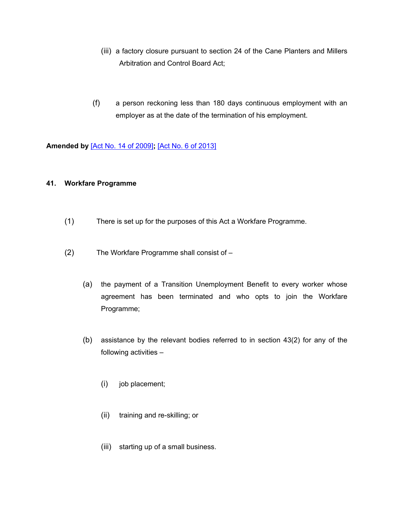- (iii) a factory closure pursuant to section 24 of the Cane Planters and Millers Arbitration and Control Board Act;
- (f) a person reckoning less than 180 days continuous employment with an employer as at the date of the termination of his employment.

**Amended by** [Act No. 14 of [2009\]](https://supremecourt.govmu.org/_layouts/CLIS.DMS/search/searchdocumentbykey.aspx?ID=%5BAct%20No.%2014%20of%202009%5D&list=Legislations)**;** [Act No. 6 of [2013\]](https://supremecourt.govmu.org/_layouts/CLIS.DMS/search/searchdocumentbykey.aspx?ID=%5BAct%20No.%206%20of%202013%5D&list=Legislations)

## **41. Workfare Programme**

- (1) There is set up for the purposes of this Act a Workfare Programme.
- (2) The Workfare Programme shall consist of
	- (a) the payment of a Transition Unemployment Benefit to every worker whose agreement has been terminated and who opts to join the Workfare Programme;
	- (b) assistance by the relevant bodies referred to in section 43(2) for any of the following activities –
		- (i) job placement;
		- (ii) training and re-skilling; or
		- (iii) starting up of a small business.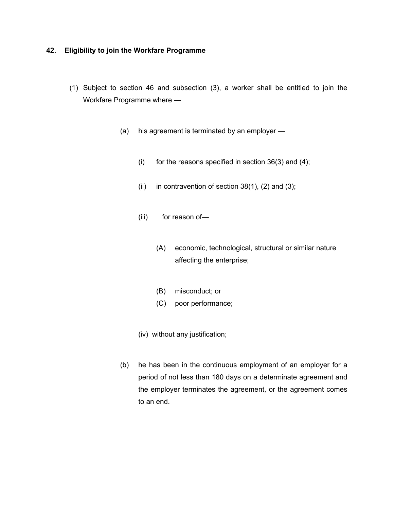## **42. Eligibility to join the Workfare Programme**

- (1) Subject to section 46 and subsection (3), a worker shall be entitled to join the Workfare Programme where —
	- (a) his agreement is terminated by an employer
		- (i) for the reasons specified in section  $36(3)$  and  $(4)$ ;
		- (ii) in contravention of section  $38(1)$ , (2) and (3);
		- (iii) for reason of—
			- (A) economic, technological, structural or similar nature affecting the enterprise;
			- (B) misconduct; or
			- (C) poor performance;
		- (iv) without any justification;
	- (b) he has been in the continuous employment of an employer for a period of not less than 180 days on a determinate agreement and the employer terminates the agreement, or the agreement comes to an end.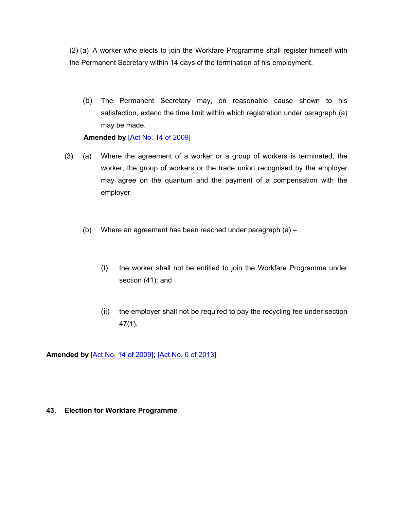(2) (a) A worker who elects to join the Workfare Programme shall register himself with the Permanent Secretary within 14 days of the termination of his employment.

(b) The Permanent Secretary may, on reasonable cause shown to his satisfaction, extend the time limit within which registration under paragraph (a) may be made.

## **Amended by** [Act No. 14 of [2009\]](https://supremecourt.govmu.org/_layouts/CLIS.DMS/search/searchdocumentbykey.aspx?ID=%5BAct%20No.%2014%20of%202009%5D&list=Legislations)

- (3) (a) Where the agreement of a worker or a group of workers is terminated, the worker, the group of workers or the trade union recognised by the employer may agree on the quantum and the payment of a compensation with the employer.
	- (b) Where an agreement has been reached under paragraph (a)
		- (i) the worker shall not be entitled to join the Workfare Programme under section (41); and
		- (ii) the employer shall not be required to pay the recycling fee under section 47(1).

**Amended by** [Act No. 14 of [2009\]](https://supremecourt.govmu.org/_layouts/CLIS.DMS/search/searchdocumentbykey.aspx?ID=%5BAct%20No.%2014%20of%202009%5D&list=Legislations)**;** [Act No. 6 of [2013\]](https://supremecourt.govmu.org/_layouts/CLIS.DMS/search/searchdocumentbykey.aspx?ID=%5BAct%20No.%206%20of%202013%5D&list=Legislations)

# **43. Election for Workfare Programme**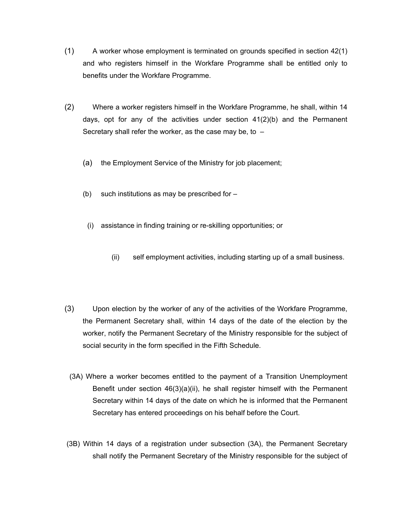- (1) A worker whose employment is terminated on grounds specified in section 42(1) and who registers himself in the Workfare Programme shall be entitled only to benefits under the Workfare Programme.
- (2) Where a worker registers himself in the Workfare Programme, he shall, within 14 days, opt for any of the activities under section 41(2)(b) and the Permanent Secretary shall refer the worker, as the case may be, to  $-$ 
	- (a) the Employment Service of the Ministry for job placement;
	- (b) such institutions as may be prescribed for
		- (i) assistance in finding training or re-skilling opportunities; or
			- (ii) self employment activities, including starting up of a small business.
- (3) Upon election by the worker of any of the activities of the Workfare Programme, the Permanent Secretary shall, within 14 days of the date of the election by the worker, notify the Permanent Secretary of the Ministry responsible for the subject of social security in the form specified in the Fifth Schedule.
	- (3A) Where a worker becomes entitled to the payment of a Transition Unemployment Benefit under section 46(3)(a)(ii), he shall register himself with the Permanent Secretary within 14 days of the date on which he is informed that the Permanent Secretary has entered proceedings on his behalf before the Court.
- (3B) Within 14 days of a registration under subsection (3A), the Permanent Secretary shall notify the Permanent Secretary of the Ministry responsible for the subject of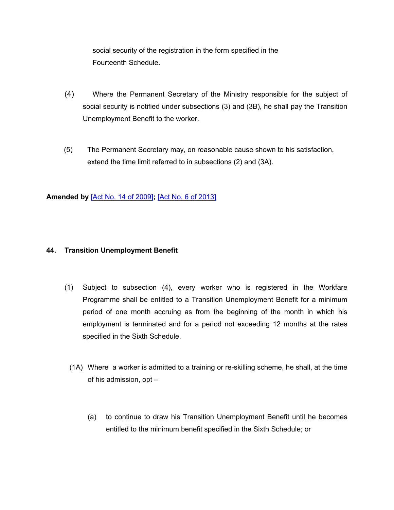social security of the registration in the form specified in the Fourteenth Schedule.

- (4) Where the Permanent Secretary of the Ministry responsible for the subject of social security is notified under subsections (3) and (3B), he shall pay the Transition Unemployment Benefit to the worker.
- (5) The Permanent Secretary may, on reasonable cause shown to his satisfaction, extend the time limit referred to in subsections (2) and (3A).

**Amended by** [Act No. 14 of [2009\]](https://supremecourt.govmu.org/_layouts/CLIS.DMS/search/searchdocumentbykey.aspx?ID=%5BAct%20No.%2014%20of%202009%5D&list=Legislations)**;** [Act No. 6 of [2013\]](https://supremecourt.govmu.org/_layouts/CLIS.DMS/search/searchdocumentbykey.aspx?ID=%5BAct%20No.%206%20of%202013%5D&list=Legislations)

#### **44. Transition Unemployment Benefit**

- (1) Subject to subsection (4), every worker who is registered in the Workfare Programme shall be entitled to a Transition Unemployment Benefit for a minimum period of one month accruing as from the beginning of the month in which his employment is terminated and for a period not exceeding 12 months at the rates specified in the Sixth Schedule.
	- (1A) Where a worker is admitted to a training or re-skilling scheme, he shall, at the time of his admission, opt –
		- (a) to continue to draw his Transition Unemployment Benefit until he becomes entitled to the minimum benefit specified in the Sixth Schedule; or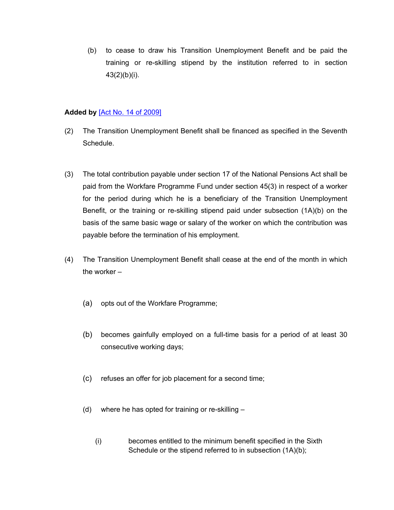(b) to cease to draw his Transition Unemployment Benefit and be paid the training or re-skilling stipend by the institution referred to in section 43(2)(b)(i).

#### **Added by** [Act No. 14 of [2009\]](https://supremecourt.govmu.org/_layouts/CLIS.DMS/search/searchdocumentbykey.aspx?ID=%5BAct%20No.%2014%20of%202009%5D&list=Legislations)

- (2) The Transition Unemployment Benefit shall be financed as specified in the Seventh Schedule.
- (3) The total contribution payable under section 17 of the National Pensions Act shall be paid from the Workfare Programme Fund under section 45(3) in respect of a worker for the period during which he is a beneficiary of the Transition Unemployment Benefit, or the training or re-skilling stipend paid under subsection (1A)(b) on the basis of the same basic wage or salary of the worker on which the contribution was payable before the termination of his employment.
- (4) The Transition Unemployment Benefit shall cease at the end of the month in which the worker –
	- (a) opts out of the Workfare Programme;
	- (b) becomes gainfully employed on a full-time basis for a period of at least 30 consecutive working days;
	- (c) refuses an offer for job placement for a second time;
	- (d) where he has opted for training or re-skilling
		- (i) becomes entitled to the minimum benefit specified in the Sixth Schedule or the stipend referred to in subsection  $(1A)(b)$ ;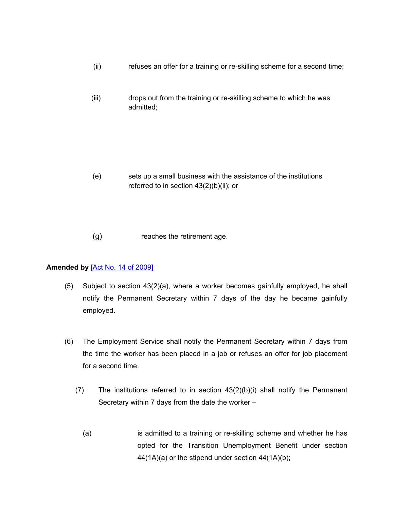- (ii) refuses an offer for a training or re-skilling scheme for a second time;
- (iii) drops out from the training or re-skilling scheme to which he was admitted;

- (e) sets up a small business with the assistance of the institutions referred to in section 43(2)(b)(ii); or
- (g) reaches the retirement age.

#### **Amended by** [Act No. 14 of [2009\]](https://supremecourt.govmu.org/_layouts/CLIS.DMS/search/searchdocumentbykey.aspx?ID=%5BAct%20No.%2014%20of%202009%5D&list=Legislations)

- (5) Subject to section 43(2)(a), where a worker becomes gainfully employed, he shall notify the Permanent Secretary within 7 days of the day he became gainfully employed.
- (6) The Employment Service shall notify the Permanent Secretary within 7 days from the time the worker has been placed in a job or refuses an offer for job placement for a second time.
	- (7) The institutions referred to in section 43(2)(b)(i) shall notify the Permanent Secretary within 7 days from the date the worker –
		- (a) is admitted to a training or re-skilling scheme and whether he has opted for the Transition Unemployment Benefit under section 44(1A)(a) or the stipend under section 44(1A)(b);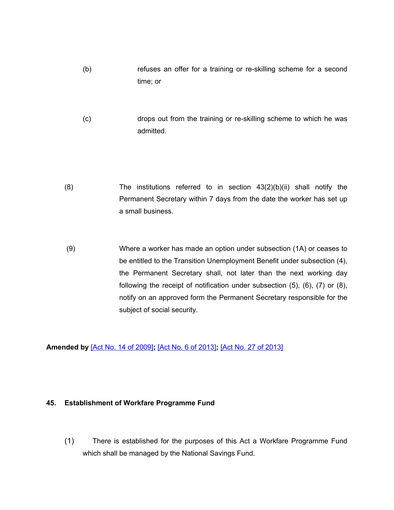- (b) refuses an offer for a training or re-skilling scheme for a second time; or
- (c) drops out from the training or re-skilling scheme to which he was admitted.
- (8) The institutions referred to in section  $43(2)(b)(ii)$  shall notify the Permanent Secretary within 7 days from the date the worker has set up a small business.
- (9) Where a worker has made an option under subsection (1A) or ceases to be entitled to the Transition Unemployment Benefit under subsection (4), the Permanent Secretary shall, not later than the next working day following the receipt of notification under subsection (5), (6), (7) or (8), notify on an approved form the Permanent Secretary responsible for the subject of social security.

**Amended by** [Act No. 14 of [2009\]](https://supremecourt.govmu.org/_layouts/CLIS.DMS/search/searchdocumentbykey.aspx?ID=%5BAct%20No.%2014%20of%202009%5D&list=Legislations)**;** [Act No. 6 of [2013\]](https://supremecourt.govmu.org/_layouts/CLIS.DMS/search/searchdocumentbykey.aspx?ID=%5BAct%20No.%206%20of%202013%5D&list=Legislations)**;** [Act No. 27 of [2013\]](https://supremecourt.govmu.org/_layouts/CLIS.DMS/search/searchdocumentbykey.aspx?ID=%5BAct%20No.%2027%20of%202013%5D&list=Legislations)

#### **45. Establishment of Workfare Programme Fund**

(1) There is established for the purposes of this Act a Workfare Programme Fund which shall be managed by the National Savings Fund.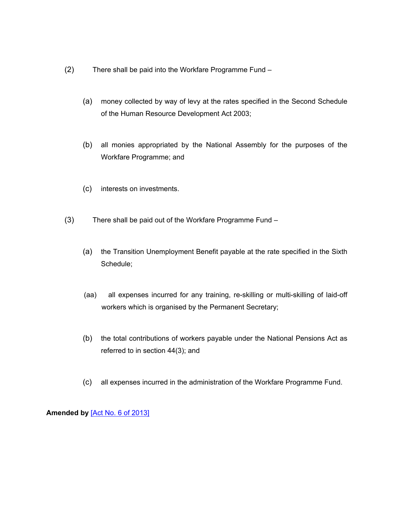- (2) There shall be paid into the Workfare Programme Fund
	- (a) money collected by way of levy at the rates specified in the Second Schedule of the Human Resource Development Act 2003;
	- (b) all monies appropriated by the National Assembly for the purposes of the Workfare Programme; and
	- (c) interests on investments.
- (3) There shall be paid out of the Workfare Programme Fund
	- (a) the Transition Unemployment Benefit payable at the rate specified in the Sixth Schedule;
	- (aa) all expenses incurred for any training, re-skilling or multi-skilling of laid-off workers which is organised by the Permanent Secretary;
	- (b) the total contributions of workers payable under the National Pensions Act as referred to in section 44(3); and
	- (c) all expenses incurred in the administration of the Workfare Programme Fund.

**Amended by** [Act No. 6 of [2013\]](https://supremecourt.govmu.org/_layouts/CLIS.DMS/search/searchdocumentbykey.aspx?ID=%5BAct%20No.%206%20of%202013%5D&list=Legislations)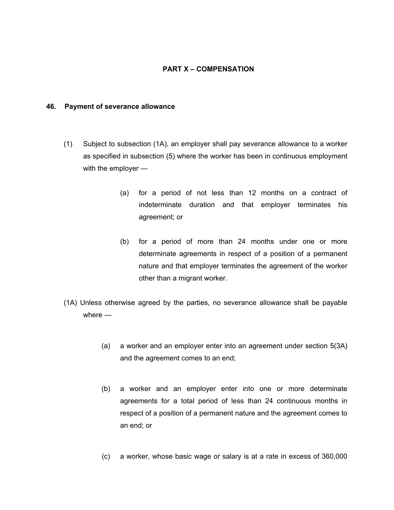## **PART X – COMPENSATION**

#### **46. Payment of severance allowance**

- (1) Subject to subsection (1A), an employer shall pay severance allowance to a worker as specified in subsection (5) where the worker has been in continuous employment with the employer —
	- (a) for a period of not less than 12 months on a contract of indeterminate duration and that employer terminates his agreement; or
	- (b) for a period of more than 24 months under one or more determinate agreements in respect of a position of a permanent nature and that employer terminates the agreement of the worker other than a migrant worker.
- (1A) Unless otherwise agreed by the parties, no severance allowance shall be payable where —
	- (a) a worker and an employer enter into an agreement under section 5(3A) and the agreement comes to an end;
	- (b) a worker and an employer enter into one or more determinate agreements for a total period of less than 24 continuous months in respect of a position of a permanent nature and the agreement comes to an end; or
	- (c) a worker, whose basic wage or salary is at a rate in excess of 360,000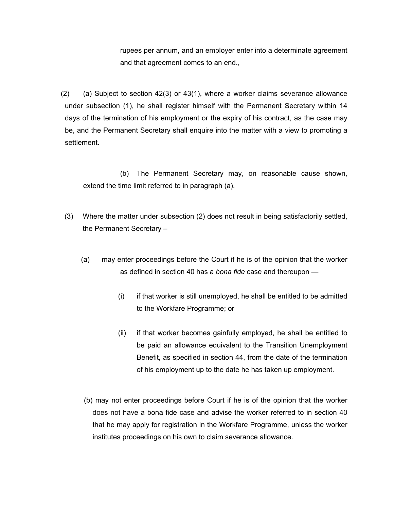rupees per annum, and an employer enter into a determinate agreement and that agreement comes to an end.,

(2) (a) Subject to section 42(3) or 43(1), where a worker claims severance allowance under subsection (1), he shall register himself with the Permanent Secretary within 14 days of the termination of his employment or the expiry of his contract, as the case may be, and the Permanent Secretary shall enquire into the matter with a view to promoting a settlement.

(b) The Permanent Secretary may, on reasonable cause shown, extend the time limit referred to in paragraph (a).

- (3) Where the matter under subsection (2) does not result in being satisfactorily settled, the Permanent Secretary –
	- (a) may enter proceedings before the Court if he is of the opinion that the worker as defined in section 40 has a *bona fide* case and thereupon —
		- (i) if that worker is still unemployed, he shall be entitled to be admitted to the Workfare Programme; or
		- (ii) if that worker becomes gainfully employed, he shall be entitled to be paid an allowance equivalent to the Transition Unemployment Benefit, as specified in section 44, from the date of the termination of his employment up to the date he has taken up employment.
	- (b) may not enter proceedings before Court if he is of the opinion that the worker does not have a bona fide case and advise the worker referred to in section 40 that he may apply for registration in the Workfare Programme, unless the worker institutes proceedings on his own to claim severance allowance.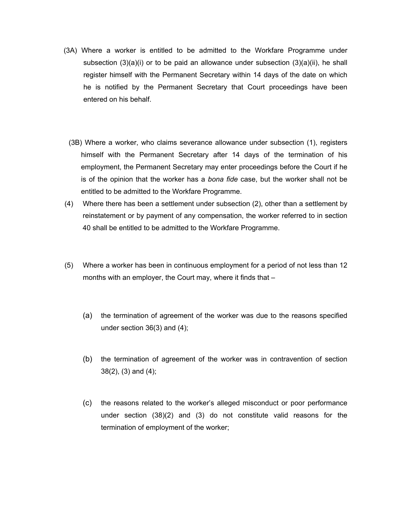- (3A) Where a worker is entitled to be admitted to the Workfare Programme under subsection  $(3)(a)(i)$  or to be paid an allowance under subsection  $(3)(a)(ii)$ , he shall register himself with the Permanent Secretary within 14 days of the date on which he is notified by the Permanent Secretary that Court proceedings have been entered on his behalf.
	- (3B) Where a worker, who claims severance allowance under subsection (1), registers himself with the Permanent Secretary after 14 days of the termination of his employment, the Permanent Secretary may enter proceedings before the Court if he is of the opinion that the worker has a *bona fide* case, but the worker shall not be entitled to be admitted to the Workfare Programme.
- (4) Where there has been a settlement under subsection (2), other than a settlement by reinstatement or by payment of any compensation, the worker referred to in section 40 shall be entitled to be admitted to the Workfare Programme.
- (5) Where a worker has been in continuous employment for a period of not less than 12 months with an employer, the Court may, where it finds that –
	- (a) the termination of agreement of the worker was due to the reasons specified under section 36(3) and (4);
	- (b) the termination of agreement of the worker was in contravention of section 38(2), (3) and (4);
	- (c) the reasons related to the worker's alleged misconduct or poor performance under section (38)(2) and (3) do not constitute valid reasons for the termination of employment of the worker;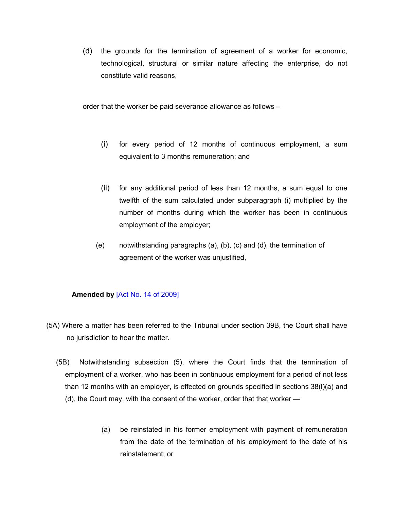(d) the grounds for the termination of agreement of a worker for economic, technological, structural or similar nature affecting the enterprise, do not constitute valid reasons,

order that the worker be paid severance allowance as follows –

- (i) for every period of 12 months of continuous employment, a sum equivalent to 3 months remuneration; and
- (ii) for any additional period of less than 12 months, a sum equal to one twelfth of the sum calculated under subparagraph (i) multiplied by the number of months during which the worker has been in continuous employment of the employer;
- (e) notwithstanding paragraphs (a), (b), (c) and (d), the termination of agreement of the worker was unjustified,

# **Amended by** [Act No. 14 of [2009\]](https://supremecourt.govmu.org/_layouts/CLIS.DMS/search/searchdocumentbykey.aspx?ID=%5BAct%20No.%2014%20of%202009%5D&list=Legislations)

- (5A) Where a matter has been referred to the Tribunal under section 39B, the Court shall have no jurisdiction to hear the matter.
	- (5B) Notwithstanding subsection (5), where the Court finds that the termination of employment of a worker, who has been in continuous employment for a period of not less than 12 months with an employer, is effected on grounds specified in sections 38(l)(a) and (d), the Court may, with the consent of the worker, order that that worker —
		- (a) be reinstated in his former employment with payment of remuneration from the date of the termination of his employment to the date of his reinstatement; or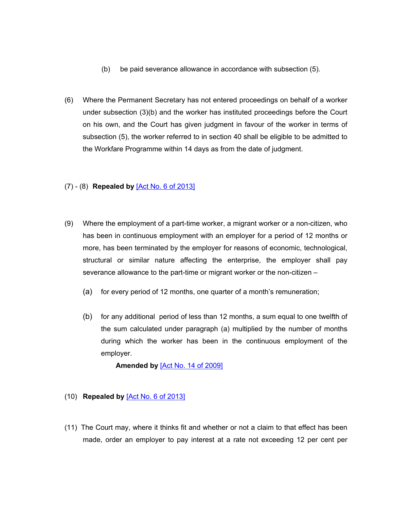- (b) be paid severance allowance in accordance with subsection (5).
- (6) Where the Permanent Secretary has not entered proceedings on behalf of a worker under subsection (3)(b) and the worker has instituted proceedings before the Court on his own, and the Court has given judgment in favour of the worker in terms of subsection (5), the worker referred to in section 40 shall be eligible to be admitted to the Workfare Programme within 14 days as from the date of judgment.

#### (7) - (8) **Repealed by** [Act No. 6 of [2013\]](https://supremecourt.govmu.org/_layouts/CLIS.DMS/search/searchdocumentbykey.aspx?ID=%5BAct%20No.%206%20of%202013%5D&list=Legislations)

- (9) Where the employment of a part-time worker, a migrant worker or a non-citizen, who has been in continuous employment with an employer for a period of 12 months or more, has been terminated by the employer for reasons of economic, technological, structural or similar nature affecting the enterprise, the employer shall pay severance allowance to the part-time or migrant worker or the non-citizen –
	- (a) for every period of 12 months, one quarter of a month's remuneration;
	- (b) for any additional period of less than 12 months, a sum equal to one twelfth of the sum calculated under paragraph (a) multiplied by the number of months during which the worker has been in the continuous employment of the employer.

**Amended by** [Act No. 14 of [2009\]](https://supremecourt.govmu.org/_layouts/CLIS.DMS/search/searchdocumentbykey.aspx?ID=%5BAct%20No.%2014%20of%202009%5D&list=Legislations)

# (10) **Repealed by** [Act No. 6 of [2013\]](https://supremecourt.govmu.org/_layouts/CLIS.DMS/search/searchdocumentbykey.aspx?ID=%5BAct%20No.%206%20of%202013%5D&list=Legislations)

(11) The Court may, where it thinks fit and whether or not a claim to that effect has been made, order an employer to pay interest at a rate not exceeding 12 per cent per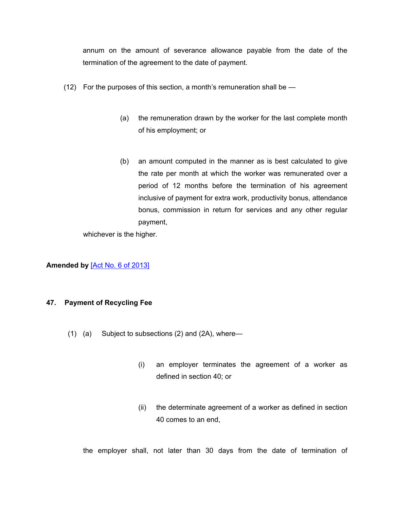annum on the amount of severance allowance payable from the date of the termination of the agreement to the date of payment.

- (12) For the purposes of this section, a month's remuneration shall be
	- (a) the remuneration drawn by the worker for the last complete month of his employment; or
	- (b) an amount computed in the manner as is best calculated to give the rate per month at which the worker was remunerated over a period of 12 months before the termination of his agreement inclusive of payment for extra work, productivity bonus, attendance bonus, commission in return for services and any other regular payment,

whichever is the higher.

**Amended by** [Act No. 6 of [2013\]](https://supremecourt.govmu.org/_layouts/CLIS.DMS/search/searchdocumentbykey.aspx?ID=%5BAct%20No.%206%20of%202013%5D&list=Legislations)

#### **47. Payment of Recycling Fee**

- (1) (a) Subject to subsections (2) and (2A), where—
	- (i) an employer terminates the agreement of a worker as defined in section 40; or
	- (ii) the determinate agreement of a worker as defined in section 40 comes to an end,

the employer shall, not later than 30 days from the date of termination of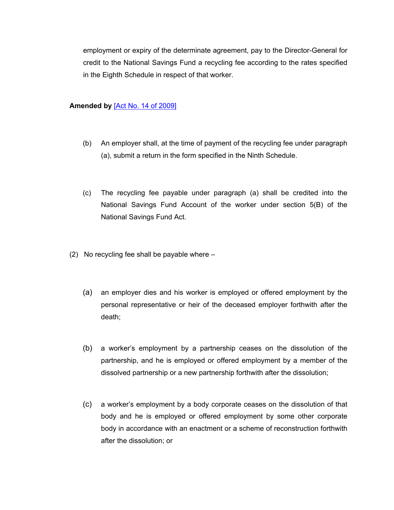employment or expiry of the determinate agreement, pay to the Director-General for credit to the National Savings Fund a recycling fee according to the rates specified in the Eighth Schedule in respect of that worker.

#### **Amended by** [Act No. 14 of [2009\]](https://supremecourt.govmu.org/_layouts/CLIS.DMS/search/searchdocumentbykey.aspx?ID=%5BAct%20No.%2014%20of%202009%5D&list=Legislations)

- (b) An employer shall, at the time of payment of the recycling fee under paragraph (a), submit a return in the form specified in the Ninth Schedule.
- (c) The recycling fee payable under paragraph (a) shall be credited into the National Savings Fund Account of the worker under section 5(B) of the National Savings Fund Act.
- (2) No recycling fee shall be payable where
	- (a) an employer dies and his worker is employed or offered employment by the personal representative or heir of the deceased employer forthwith after the death;
	- (b) a worker's employment by a partnership ceases on the dissolution of the partnership, and he is employed or offered employment by a member of the dissolved partnership or a new partnership forthwith after the dissolution;
	- (c) a worker's employment by a body corporate ceases on the dissolution of that body and he is employed or offered employment by some other corporate body in accordance with an enactment or a scheme of reconstruction forthwith after the dissolution; or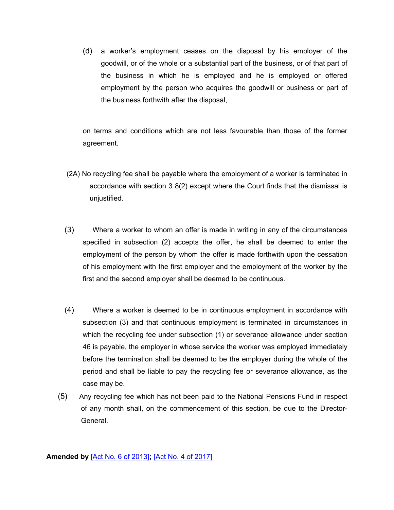(d) a worker's employment ceases on the disposal by his employer of the goodwill, or of the whole or a substantial part of the business, or of that part of the business in which he is employed and he is employed or offered employment by the person who acquires the goodwill or business or part of the business forthwith after the disposal,

on terms and conditions which are not less favourable than those of the former agreement.

- (2A) No recycling fee shall be payable where the employment of a worker is terminated in accordance with section 3 8(2) except where the Court finds that the dismissal is unjustified.
- (3) Where a worker to whom an offer is made in writing in any of the circumstances specified in subsection (2) accepts the offer, he shall be deemed to enter the employment of the person by whom the offer is made forthwith upon the cessation of his employment with the first employer and the employment of the worker by the first and the second employer shall be deemed to be continuous.
- (4) Where a worker is deemed to be in continuous employment in accordance with subsection (3) and that continuous employment is terminated in circumstances in which the recycling fee under subsection (1) or severance allowance under section 46 is payable, the employer in whose service the worker was employed immediately before the termination shall be deemed to be the employer during the whole of the period and shall be liable to pay the recycling fee or severance allowance, as the case may be.
- (5) Any recycling fee which has not been paid to the National Pensions Fund in respect of any month shall, on the commencement of this section, be due to the Director-General.

**Amended by** [Act No. 6 of [2013\]](https://supremecourt.govmu.org/_layouts/CLIS.DMS/search/searchdocumentbykey.aspx?ID=%5BAct%20No.%206%20of%202013%5D&list=Legislations)**;** [Act No. 4 of [2017\]](https://supremecourt.govmu.org/_layouts/CLIS.DMS/search/searchdocumentbykey.aspx?ID=%5BAct%20No.%204%20of%202017%5D&list=Legislations)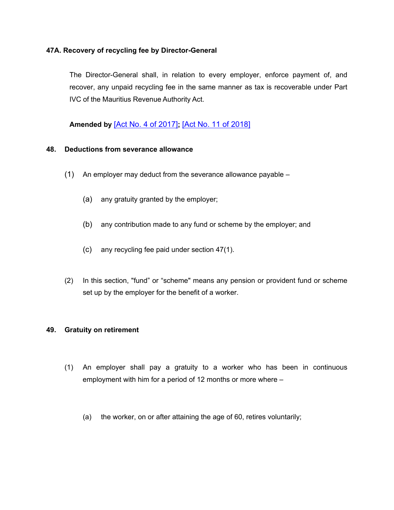## **47A. Recovery of recycling fee by Director-General**

The Director-General shall, in relation to every employer, enforce payment of, and recover, any unpaid recycling fee in the same manner as tax is recoverable under Part IVC of the Mauritius Revenue Authority Act.

**Amended by** [Act No. 4 of [2017\]](https://supremecourt.govmu.org/_layouts/CLIS.DMS/search/searchdocumentbykey.aspx?ID=%5BAct%20No.%204%20of%202017%5D&list=Legislations)**;** [Act No. 11 of [2018\]](https://supremecourt.govmu.org/_layouts/CLIS.DMS/search/searchdocumentbykey.aspx?ID=%5BAct%20No.%2011%20of%202018%5D&list=Legislations)

#### **48. Deductions from severance allowance**

- (1) An employer may deduct from the severance allowance payable
	- (a) any gratuity granted by the employer;
	- (b) any contribution made to any fund or scheme by the employer; and
	- (c) any recycling fee paid under section 47(1).
- (2) In this section, "fund" or "scheme" means any pension or provident fund or scheme set up by the employer for the benefit of a worker.

#### **49. Gratuity on retirement**

- (1) An employer shall pay a gratuity to a worker who has been in continuous employment with him for a period of 12 months or more where –
	- (a) the worker, on or after attaining the age of 60, retires voluntarily;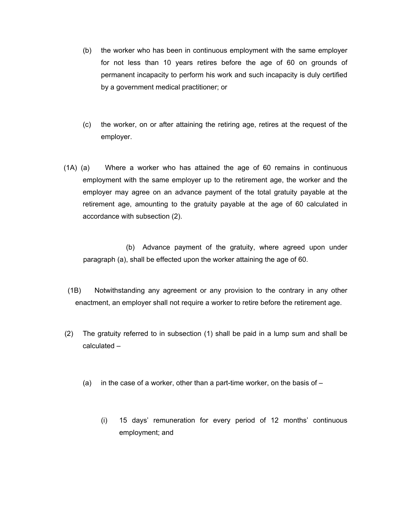- (b) the worker who has been in continuous employment with the same employer for not less than 10 years retires before the age of 60 on grounds of permanent incapacity to perform his work and such incapacity is duly certified by a government medical practitioner; or
- (c) the worker, on or after attaining the retiring age, retires at the request of the employer.
- (1A) (a) Where a worker who has attained the age of 60 remains in continuous employment with the same employer up to the retirement age, the worker and the employer may agree on an advance payment of the total gratuity payable at the retirement age, amounting to the gratuity payable at the age of 60 calculated in accordance with subsection (2).

 (b) Advance payment of the gratuity, where agreed upon under paragraph (a), shall be effected upon the worker attaining the age of 60.

- (1B) Notwithstanding any agreement or any provision to the contrary in any other enactment, an employer shall not require a worker to retire before the retirement age.
- (2) The gratuity referred to in subsection (1) shall be paid in a lump sum and shall be calculated –
	- (a) in the case of a worker, other than a part-time worker, on the basis of  $-$ 
		- (i) 15 days' remuneration for every period of 12 months' continuous employment; and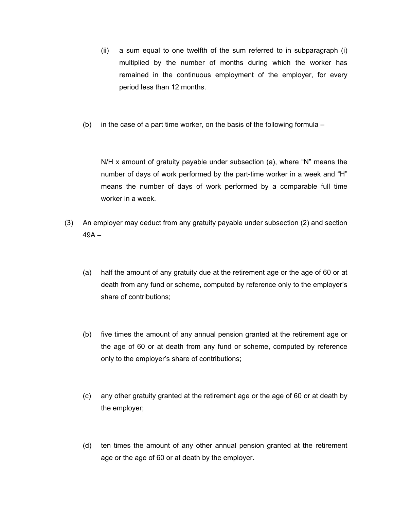- (ii) a sum equal to one twelfth of the sum referred to in subparagraph (i) multiplied by the number of months during which the worker has remained in the continuous employment of the employer, for every period less than 12 months.
- (b) in the case of a part time worker, on the basis of the following formula  $-$

N/H x amount of gratuity payable under subsection (a), where "N" means the number of days of work performed by the part-time worker in a week and "H" means the number of days of work performed by a comparable full time worker in a week.

- (3) An employer may deduct from any gratuity payable under subsection (2) and section 49A –
	- (a) half the amount of any gratuity due at the retirement age or the age of 60 or at death from any fund or scheme, computed by reference only to the employer's share of contributions;
	- (b) five times the amount of any annual pension granted at the retirement age or the age of 60 or at death from any fund or scheme, computed by reference only to the employer's share of contributions;
	- (c) any other gratuity granted at the retirement age or the age of 60 or at death by the employer;
	- (d) ten times the amount of any other annual pension granted at the retirement age or the age of 60 or at death by the employer.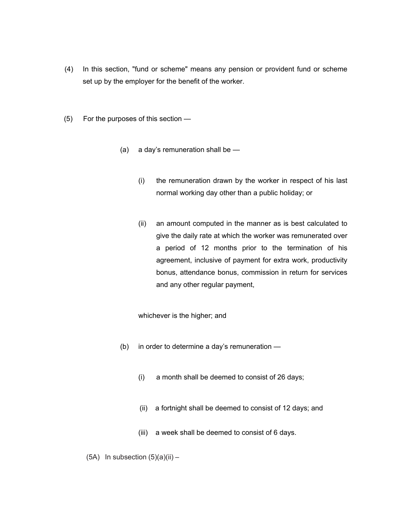- (4) In this section, "fund or scheme" means any pension or provident fund or scheme set up by the employer for the benefit of the worker.
- (5) For the purposes of this section
	- (a) a day's remuneration shall be
		- (i) the remuneration drawn by the worker in respect of his last normal working day other than a public holiday; or
		- (ii) an amount computed in the manner as is best calculated to give the daily rate at which the worker was remunerated over a period of 12 months prior to the termination of his agreement, inclusive of payment for extra work, productivity bonus, attendance bonus, commission in return for services and any other regular payment,

whichever is the higher; and

- (b) in order to determine a day's remuneration
	- (i) a month shall be deemed to consist of 26 days;
	- (ii) a fortnight shall be deemed to consist of 12 days; and
	- (iii) a week shall be deemed to consist of 6 days.
- (5A) In subsection  $(5)(a)(ii)$  –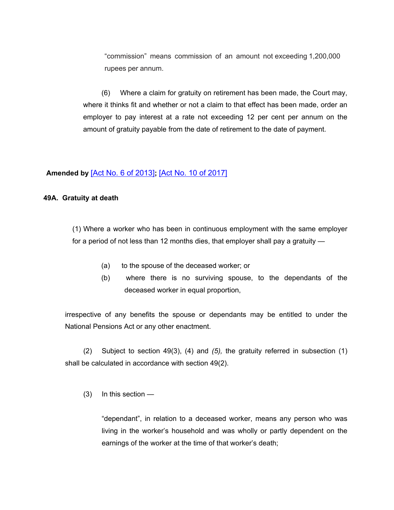"commission" means commission of an amount not exceeding 1,200,000 rupees per annum.

(6) Where a claim for gratuity on retirement has been made, the Court may, where it thinks fit and whether or not a claim to that effect has been made, order an employer to pay interest at a rate not exceeding 12 per cent per annum on the amount of gratuity payable from the date of retirement to the date of payment.

## **Amended by** [Act No. 6 of [2013\]](https://supremecourt.govmu.org/_layouts/CLIS.DMS/search/searchdocumentbykey.aspx?ID=%5BAct%20No.%206%20of%202013%5D&list=Legislations)**;** [Act No. 10 of [2017\]](https://supremecourt.govmu.org/_layouts/CLIS.DMS/search/searchdocumentbykey.aspx?ID=%5BAct%20No.%2010%20of%202017%5D&list=Legislations)

#### **49A. Gratuity at death**

(1) Where a worker who has been in continuous employment with the same employer for a period of not less than 12 months dies, that employer shall pay a gratuity —

- (a) to the spouse of the deceased worker; or
- (b) where there is no surviving spouse, to the dependants of the deceased worker in equal proportion,

irrespective of any benefits the spouse or dependants may be entitled to under the National Pensions Act or any other enactment.

(2) Subject to section 49(3), (4) and *(5),* the gratuity referred in subsection (1) shall be calculated in accordance with section 49(2).

(3) In this section —

"dependant", in relation to a deceased worker, means any person who was living in the worker's household and was wholly or partly dependent on the earnings of the worker at the time of that worker's death;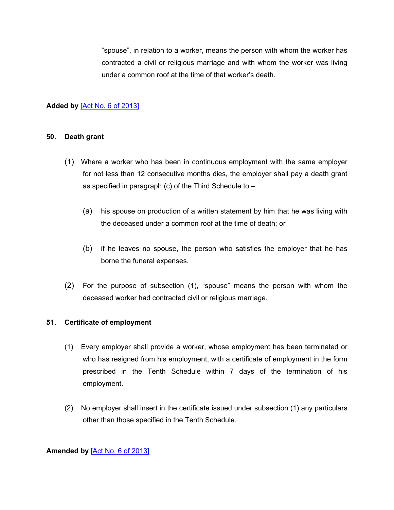"spouse", in relation to a worker, means the person with whom the worker has contracted a civil or religious marriage and with whom the worker was living under a common roof at the time of that worker's death.

## **Added by** [Act No. 6 of [2013\]](https://supremecourt.govmu.org/_layouts/CLIS.DMS/search/searchdocumentbykey.aspx?ID=%5BAct%20No.%206%20of%202013%5D&list=Legislations)

#### **50. Death grant**

- (1) Where a worker who has been in continuous employment with the same employer for not less than 12 consecutive months dies, the employer shall pay a death grant as specified in paragraph (c) of the Third Schedule to  $-$ 
	- (a) his spouse on production of a written statement by him that he was living with the deceased under a common roof at the time of death; or
	- (b) if he leaves no spouse, the person who satisfies the employer that he has borne the funeral expenses.
- (2) For the purpose of subsection (1), "spouse" means the person with whom the deceased worker had contracted civil or religious marriage.

#### **51. Certificate of employment**

- (1) Every employer shall provide a worker, whose employment has been terminated or who has resigned from his employment, with a certificate of employment in the form prescribed in the Tenth Schedule within 7 days of the termination of his employment.
- (2) No employer shall insert in the certificate issued under subsection (1) any particulars other than those specified in the Tenth Schedule.

#### **Amended by** [Act No. 6 of [2013\]](https://supremecourt.govmu.org/_layouts/CLIS.DMS/search/searchdocumentbykey.aspx?ID=%5BAct%20No.%206%20of%202013%5D&list=Legislations)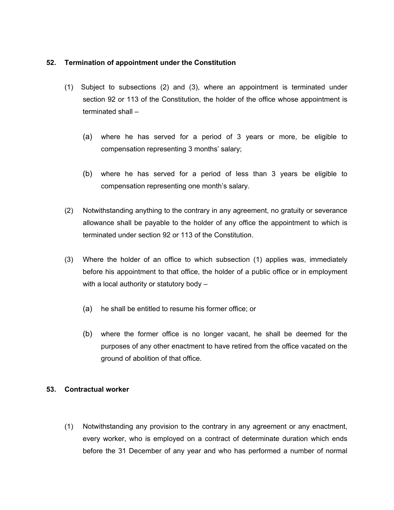## **52. Termination of appointment under the Constitution**

- (1) Subject to subsections (2) and (3), where an appointment is terminated under section 92 or 113 of the Constitution, the holder of the office whose appointment is terminated shall –
	- (a) where he has served for a period of 3 years or more, be eligible to compensation representing 3 months' salary;
	- (b) where he has served for a period of less than 3 years be eligible to compensation representing one month's salary.
- (2) Notwithstanding anything to the contrary in any agreement, no gratuity or severance allowance shall be payable to the holder of any office the appointment to which is terminated under section 92 or 113 of the Constitution.
- (3) Where the holder of an office to which subsection (1) applies was, immediately before his appointment to that office, the holder of a public office or in employment with a local authority or statutory body –
	- (a) he shall be entitled to resume his former office; or
	- (b) where the former office is no longer vacant, he shall be deemed for the purposes of any other enactment to have retired from the office vacated on the ground of abolition of that office.

#### **53. Contractual worker**

(1) Notwithstanding any provision to the contrary in any agreement or any enactment, every worker, who is employed on a contract of determinate duration which ends before the 31 December of any year and who has performed a number of normal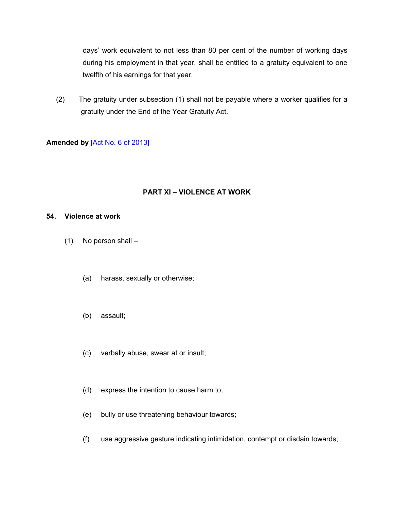days' work equivalent to not less than 80 per cent of the number of working days during his employment in that year, shall be entitled to a gratuity equivalent to one twelfth of his earnings for that year.

 (2) The gratuity under subsection (1) shall not be payable where a worker qualifies for a gratuity under the End of the Year Gratuity Act.

# **Amended by** [Act No. 6 of [2013\]](https://supremecourt.govmu.org/_layouts/CLIS.DMS/search/searchdocumentbykey.aspx?ID=%5BAct%20No.%206%20of%202013%5D&list=Legislations)

## **PART XI – VIOLENCE AT WORK**

#### **54. Violence at work**

- (1) No person shall
	- (a) harass, sexually or otherwise;
	- (b) assault;
	- (c) verbally abuse, swear at or insult;
	- (d) express the intention to cause harm to;
	- (e) bully or use threatening behaviour towards;
	- (f) use aggressive gesture indicating intimidation, contempt or disdain towards;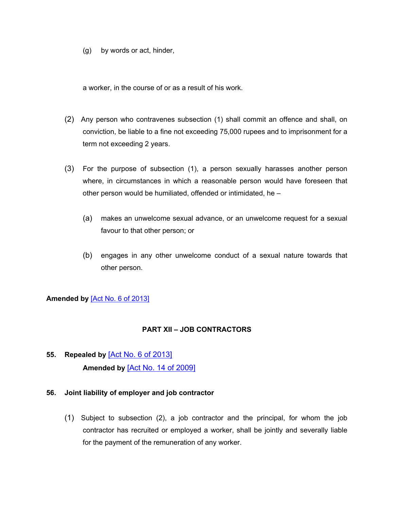(g) by words or act, hinder,

a worker, in the course of or as a result of his work.

- (2) Any person who contravenes subsection (1) shall commit an offence and shall, on conviction, be liable to a fine not exceeding 75,000 rupees and to imprisonment for a term not exceeding 2 years.
- (3) For the purpose of subsection (1), a person sexually harasses another person where, in circumstances in which a reasonable person would have foreseen that other person would be humiliated, offended or intimidated, he –
	- (a) makes an unwelcome sexual advance, or an unwelcome request for a sexual favour to that other person; or
	- (b) engages in any other unwelcome conduct of a sexual nature towards that other person.

#### **Amended by** [Act No. 6 of [2013\]](https://supremecourt.govmu.org/_layouts/CLIS.DMS/search/searchdocumentbykey.aspx?ID=%5BAct%20No.%206%20of%202013%5D&list=Legislations)

#### **PART XII – JOB CONTRACTORS**

# **55. Repealed by** [Act No. 6 of [2013\]](https://supremecourt.govmu.org/_layouts/CLIS.DMS/search/searchdocumentbykey.aspx?ID=%5BAct%20No.%206%20of%202013%5D&list=Legislations) **Amended by** [Act No. 14 of [2009\]](https://supremecourt.govmu.org/_layouts/CLIS.DMS/search/searchdocumentbykey.aspx?ID=%5BAct%20No.%2014%20of%202009%5D&list=Legislations)

#### **56. Joint liability of employer and job contractor**

(1) Subject to subsection (2), a job contractor and the principal, for whom the job contractor has recruited or employed a worker, shall be jointly and severally liable for the payment of the remuneration of any worker.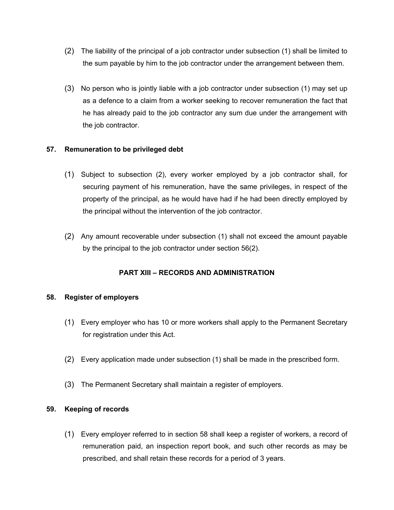- (2) The liability of the principal of a job contractor under subsection (1) shall be limited to the sum payable by him to the job contractor under the arrangement between them.
- (3) No person who is jointly liable with a job contractor under subsection (1) may set up as a defence to a claim from a worker seeking to recover remuneration the fact that he has already paid to the job contractor any sum due under the arrangement with the job contractor.

## **57. Remuneration to be privileged debt**

- (1) Subject to subsection (2), every worker employed by a job contractor shall, for securing payment of his remuneration, have the same privileges, in respect of the property of the principal, as he would have had if he had been directly employed by the principal without the intervention of the job contractor.
- (2) Any amount recoverable under subsection (1) shall not exceed the amount payable by the principal to the job contractor under section 56(2).

# **PART XIII – RECORDS AND ADMINISTRATION**

#### **58. Register of employers**

- (1) Every employer who has 10 or more workers shall apply to the Permanent Secretary for registration under this Act.
- (2) Every application made under subsection (1) shall be made in the prescribed form.
- (3) The Permanent Secretary shall maintain a register of employers.

#### **59. Keeping of records**

(1) Every employer referred to in section 58 shall keep a register of workers, a record of remuneration paid, an inspection report book, and such other records as may be prescribed, and shall retain these records for a period of 3 years.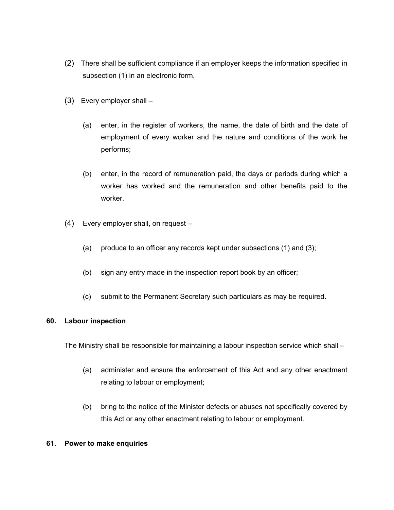- (2) There shall be sufficient compliance if an employer keeps the information specified in subsection (1) in an electronic form.
- (3) Every employer shall
	- (a) enter, in the register of workers, the name, the date of birth and the date of employment of every worker and the nature and conditions of the work he performs;
	- (b) enter, in the record of remuneration paid, the days or periods during which a worker has worked and the remuneration and other benefits paid to the worker.
- (4) Every employer shall, on request
	- (a) produce to an officer any records kept under subsections (1) and (3);
	- (b) sign any entry made in the inspection report book by an officer;
	- (c) submit to the Permanent Secretary such particulars as may be required.

#### **60. Labour inspection**

The Ministry shall be responsible for maintaining a labour inspection service which shall –

- (a) administer and ensure the enforcement of this Act and any other enactment relating to labour or employment;
- (b) bring to the notice of the Minister defects or abuses not specifically covered by this Act or any other enactment relating to labour or employment.

#### **61. Power to make enquiries**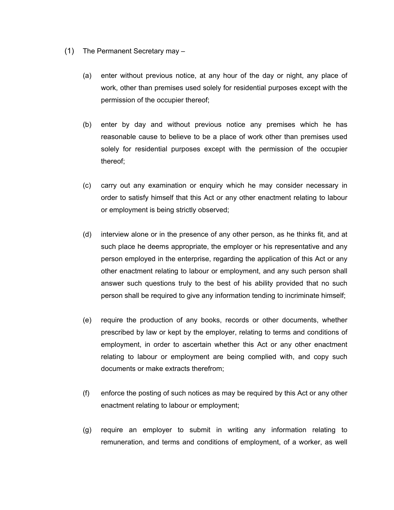- (1) The Permanent Secretary may
	- (a) enter without previous notice, at any hour of the day or night, any place of work, other than premises used solely for residential purposes except with the permission of the occupier thereof;
	- (b) enter by day and without previous notice any premises which he has reasonable cause to believe to be a place of work other than premises used solely for residential purposes except with the permission of the occupier thereof;
	- (c) carry out any examination or enquiry which he may consider necessary in order to satisfy himself that this Act or any other enactment relating to labour or employment is being strictly observed;
	- (d) interview alone or in the presence of any other person, as he thinks fit, and at such place he deems appropriate, the employer or his representative and any person employed in the enterprise, regarding the application of this Act or any other enactment relating to labour or employment, and any such person shall answer such questions truly to the best of his ability provided that no such person shall be required to give any information tending to incriminate himself;
	- (e) require the production of any books, records or other documents, whether prescribed by law or kept by the employer, relating to terms and conditions of employment, in order to ascertain whether this Act or any other enactment relating to labour or employment are being complied with, and copy such documents or make extracts therefrom;
	- (f) enforce the posting of such notices as may be required by this Act or any other enactment relating to labour or employment;
	- (g) require an employer to submit in writing any information relating to remuneration, and terms and conditions of employment, of a worker, as well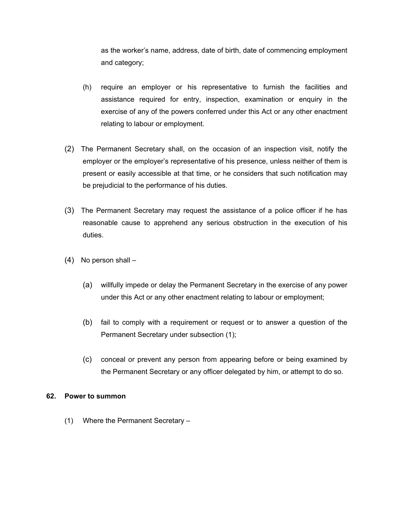as the worker's name, address, date of birth, date of commencing employment and category;

- (h) require an employer or his representative to furnish the facilities and assistance required for entry, inspection, examination or enquiry in the exercise of any of the powers conferred under this Act or any other enactment relating to labour or employment.
- (2) The Permanent Secretary shall, on the occasion of an inspection visit, notify the employer or the employer's representative of his presence, unless neither of them is present or easily accessible at that time, or he considers that such notification may be prejudicial to the performance of his duties.
- (3) The Permanent Secretary may request the assistance of a police officer if he has reasonable cause to apprehend any serious obstruction in the execution of his duties.
- (4) No person shall
	- (a) willfully impede or delay the Permanent Secretary in the exercise of any power under this Act or any other enactment relating to labour or employment;
	- (b) fail to comply with a requirement or request or to answer a question of the Permanent Secretary under subsection (1);
	- (c) conceal or prevent any person from appearing before or being examined by the Permanent Secretary or any officer delegated by him, or attempt to do so.

#### **62. Power to summon**

(1) Where the Permanent Secretary –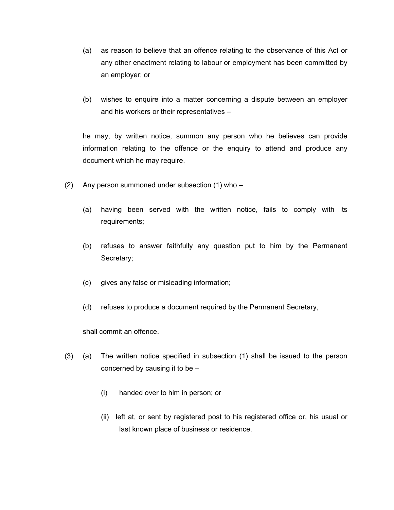- (a) as reason to believe that an offence relating to the observance of this Act or any other enactment relating to labour or employment has been committed by an employer; or
- (b) wishes to enquire into a matter concerning a dispute between an employer and his workers or their representatives –

he may, by written notice, summon any person who he believes can provide information relating to the offence or the enquiry to attend and produce any document which he may require.

- (2) Any person summoned under subsection (1) who
	- (a) having been served with the written notice, fails to comply with its requirements;
	- (b) refuses to answer faithfully any question put to him by the Permanent Secretary;
	- (c) gives any false or misleading information;
	- (d) refuses to produce a document required by the Permanent Secretary,

shall commit an offence.

- (3) (a) The written notice specified in subsection (1) shall be issued to the person concerned by causing it to be –
	- (i) handed over to him in person; or
	- (ii) left at, or sent by registered post to his registered office or, his usual or last known place of business or residence.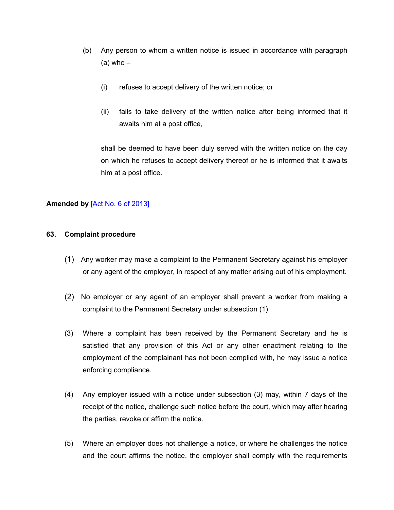- (b) Any person to whom a written notice is issued in accordance with paragraph  $(a)$  who  $-$ 
	- (i) refuses to accept delivery of the written notice; or
	- (ii) fails to take delivery of the written notice after being informed that it awaits him at a post office,

shall be deemed to have been duly served with the written notice on the day on which he refuses to accept delivery thereof or he is informed that it awaits him at a post office.

# **Amended by** [Act No. 6 of [2013\]](https://supremecourt.govmu.org/_layouts/CLIS.DMS/search/searchdocumentbykey.aspx?ID=%5BAct%20No.%206%20of%202013%5D&list=Legislations)

#### **63. Complaint procedure**

- (1) Any worker may make a complaint to the Permanent Secretary against his employer or any agent of the employer, in respect of any matter arising out of his employment.
- (2) No employer or any agent of an employer shall prevent a worker from making a complaint to the Permanent Secretary under subsection (1).
- (3) Where a complaint has been received by the Permanent Secretary and he is satisfied that any provision of this Act or any other enactment relating to the employment of the complainant has not been complied with, he may issue a notice enforcing compliance.
- (4) Any employer issued with a notice under subsection (3) may, within 7 days of the receipt of the notice, challenge such notice before the court, which may after hearing the parties, revoke or affirm the notice.
- (5) Where an employer does not challenge a notice, or where he challenges the notice and the court affirms the notice, the employer shall comply with the requirements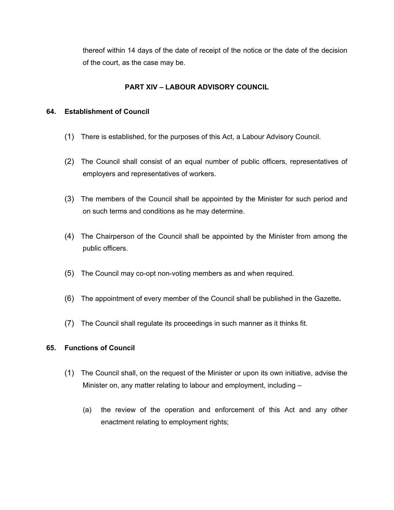thereof within 14 days of the date of receipt of the notice or the date of the decision of the court, as the case may be.

# **PART XIV – LABOUR ADVISORY COUNCIL**

#### **64. Establishment of Council**

- (1) There is established, for the purposes of this Act, a Labour Advisory Council.
- (2) The Council shall consist of an equal number of public officers, representatives of employers and representatives of workers.
- (3) The members of the Council shall be appointed by the Minister for such period and on such terms and conditions as he may determine.
- (4) The Chairperson of the Council shall be appointed by the Minister from among the public officers.
- (5) The Council may co-opt non-voting members as and when required.
- (6) The appointment of every member of the Council shall be published in the Gazette**.**
- (7) The Council shall regulate its proceedings in such manner as it thinks fit.

#### **65. Functions of Council**

- (1) The Council shall, on the request of the Minister or upon its own initiative, advise the Minister on, any matter relating to labour and employment, including –
	- (a) the review of the operation and enforcement of this Act and any other enactment relating to employment rights;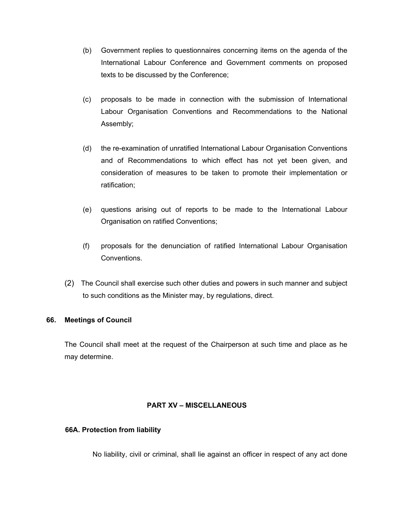- (b) Government replies to questionnaires concerning items on the agenda of the International Labour Conference and Government comments on proposed texts to be discussed by the Conference;
- (c) proposals to be made in connection with the submission of International Labour Organisation Conventions and Recommendations to the National Assembly;
- (d) the re-examination of unratified International Labour Organisation Conventions and of Recommendations to which effect has not yet been given, and consideration of measures to be taken to promote their implementation or ratification;
- (e) questions arising out of reports to be made to the International Labour Organisation on ratified Conventions;
- (f) proposals for the denunciation of ratified International Labour Organisation Conventions.
- (2) The Council shall exercise such other duties and powers in such manner and subject to such conditions as the Minister may, by regulations, direct.

#### **66. Meetings of Council**

The Council shall meet at the request of the Chairperson at such time and place as he may determine.

# **PART XV – MISCELLANEOUS**

#### **66A. Protection from liability**

No liability, civil or criminal, shall lie against an officer in respect of any act done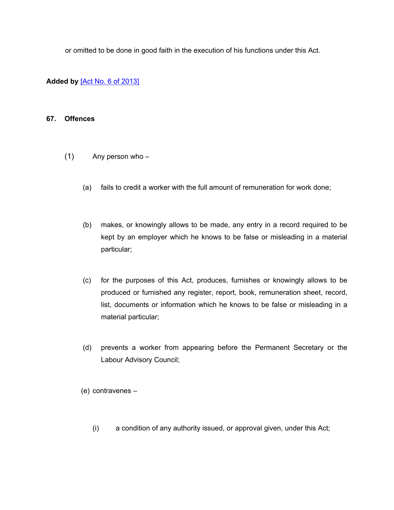or omitted to be done in good faith in the execution of his functions under this Act.

**Added by** [Act No. 6 of [2013\]](https://supremecourt.govmu.org/_layouts/CLIS.DMS/search/searchdocumentbykey.aspx?ID=%5BAct%20No.%206%20of%202013%5D&list=Legislations)

#### **67. Offences**

- (1) Any person who
	- (a) fails to credit a worker with the full amount of remuneration for work done;
	- (b) makes, or knowingly allows to be made, any entry in a record required to be kept by an employer which he knows to be false or misleading in a material particular;
	- (c) for the purposes of this Act, produces, furnishes or knowingly allows to be produced or furnished any register, report, book, remuneration sheet, record, list, documents or information which he knows to be false or misleading in a material particular;
	- (d) prevents a worker from appearing before the Permanent Secretary or the Labour Advisory Council;

(e) contravenes –

(i) a condition of any authority issued, or approval given, under this Act;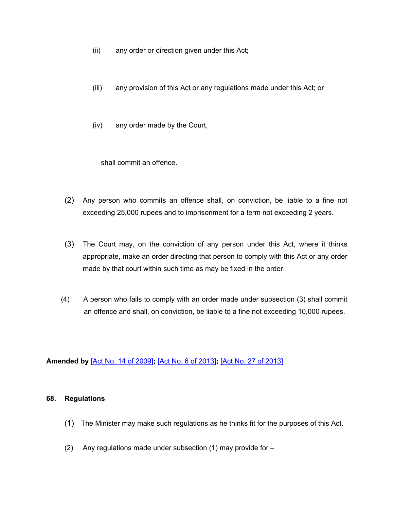- (ii) any order or direction given under this Act;
- (iii) any provision of this Act or any regulations made under this Act; or
- (iv) any order made by the Court,

shall commit an offence.

- (2) Any person who commits an offence shall, on conviction, be liable to a fine not exceeding 25,000 rupees and to imprisonment for a term not exceeding 2 years.
- (3) The Court may, on the conviction of any person under this Act, where it thinks appropriate, make an order directing that person to comply with this Act or any order made by that court within such time as may be fixed in the order.
- (4) A person who fails to comply with an order made under subsection (3) shall commit an offence and shall, on conviction, be liable to a fine not exceeding 10,000 rupees.

**Amended by** [Act No. 14 of [2009\]](https://supremecourt.govmu.org/_layouts/CLIS.DMS/search/searchdocumentbykey.aspx?ID=%5BAct%20No.%2014%20of%202009%5D&list=Legislations)**;** [Act No. 6 of [2013\]](https://supremecourt.govmu.org/_layouts/CLIS.DMS/search/searchdocumentbykey.aspx?ID=%5BAct%20No.%206%20of%202013%5D&list=Legislations)**;** [Act No. 27 of [2013\]](https://supremecourt.govmu.org/_layouts/CLIS.DMS/search/searchdocumentbykey.aspx?ID=%5BAct%20No.%2027%20of%202013%5D&list=Legislations)

#### **68. Regulations**

- (1) The Minister may make such regulations as he thinks fit for the purposes of this Act.
- (2) Any regulations made under subsection (1) may provide for –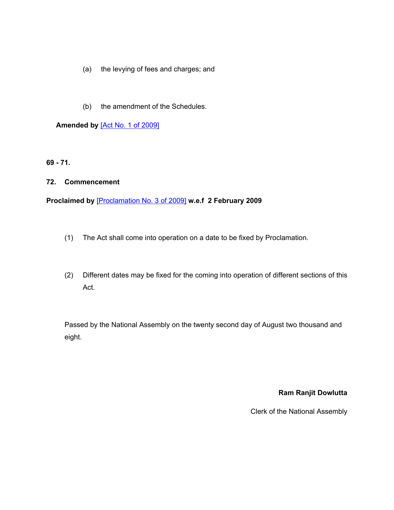- (a) the levying of fees and charges; and
- (b) the amendment of the Schedules.

 **Amended by** [Act No. 1 of [2009\]](https://supremecourt.govmu.org/_layouts/CLIS.DMS/search/searchdocumentbykey.aspx?ID=%5BAct%20No.%201%20of%202009%5D&list=Legislations)

**69 - 71.**

## **72. Commencement**

**Proclaimed by** [\[Proclamation](https://supremecourt.govmu.org/_layouts/CLIS.DMS/search/searchdocumentbykey.aspx?ID=%5BProclamation%20No.%203%20of%202009%5D&list=Legislations) No. 3 of 2009] **w.e.f 2 February 2009**

- (1) The Act shall come into operation on a date to be fixed by Proclamation.
- (2) Different dates may be fixed for the coming into operation of different sections of this Act.

Passed by the National Assembly on the twenty second day of August two thousand and eight.

**Ram Ranjit Dowlutta**

Clerk of the National Assembly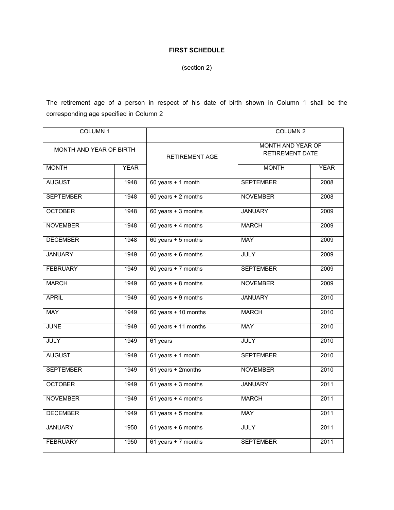## **FIRST SCHEDULE**

(section 2)

The retirement age of a person in respect of his date of birth shown in Column 1 shall be the corresponding age specified in Column 2

| COLUMN <sub>1</sub>     |             |                                       | <b>COLUMN 2</b>                                    |             |
|-------------------------|-------------|---------------------------------------|----------------------------------------------------|-------------|
| MONTH AND YEAR OF BIRTH |             | <b>RETIREMENT AGE</b>                 | <b>MONTH AND YEAR OF</b><br><b>RETIREMENT DATE</b> |             |
| <b>MONTH</b>            | <b>YEAR</b> |                                       | <b>MONTH</b>                                       | <b>YEAR</b> |
| <b>AUGUST</b>           | 1948        | 60 years $+1$ month                   | <b>SEPTEMBER</b>                                   | 2008        |
| <b>SEPTEMBER</b>        | 1948        | 60 years $+ 2$ months                 | <b>NOVEMBER</b>                                    | 2008        |
| <b>OCTOBER</b>          | 1948        | 60 years $+3$ months                  | <b>JANUARY</b>                                     | 2009        |
| <b>NOVEMBER</b>         | 1948        | 60 years $+4$ months                  | <b>MARCH</b>                                       | 2009        |
| <b>DECEMBER</b>         | 1948        | $60 \text{ years} + 5 \text{ months}$ | <b>MAY</b>                                         | 2009        |
| <b>JANUARY</b>          | 1949        | $60 \text{ years} + 6 \text{ months}$ | <b>JULY</b>                                        | 2009        |
| <b>FEBRUARY</b>         | 1949        | 60 years $+ 7$ months                 | <b>SEPTEMBER</b>                                   | 2009        |
| <b>MARCH</b>            | 1949        | 60 years $+ 8$ months                 | <b>NOVEMBER</b>                                    | 2009        |
| <b>APRIL</b>            | 1949        | $60 \text{ years} + 9 \text{ months}$ | <b>JANUARY</b>                                     | 2010        |
| <b>MAY</b>              | 1949        | 60 years + 10 months                  | <b>MARCH</b>                                       | 2010        |
| <b>JUNE</b>             | 1949        | 60 years $+$ 11 months                | <b>MAY</b>                                         | 2010        |
| <b>JULY</b>             | 1949        | 61 years                              | <b>JULY</b>                                        | 2010        |
| <b>AUGUST</b>           | 1949        | 61 years + 1 month                    | <b>SEPTEMBER</b>                                   | 2010        |
| <b>SEPTEMBER</b>        | 1949        | 61 years + 2months                    | <b>NOVEMBER</b>                                    | 2010        |
| <b>OCTOBER</b>          | 1949        | $61$ years + 3 months                 | <b>JANUARY</b>                                     | 2011        |
| <b>NOVEMBER</b>         | 1949        | $61$ years + 4 months                 | <b>MARCH</b>                                       | 2011        |
| <b>DECEMBER</b>         | 1949        | $61$ years + 5 months                 | <b>MAY</b>                                         | 2011        |
| <b>JANUARY</b>          | 1950        | 61 years $+ 6$ months                 | <b>JULY</b>                                        | 2011        |
| <b>FEBRUARY</b>         | 1950        | 61 years $+ 7$ months                 | <b>SEPTEMBER</b>                                   | 2011        |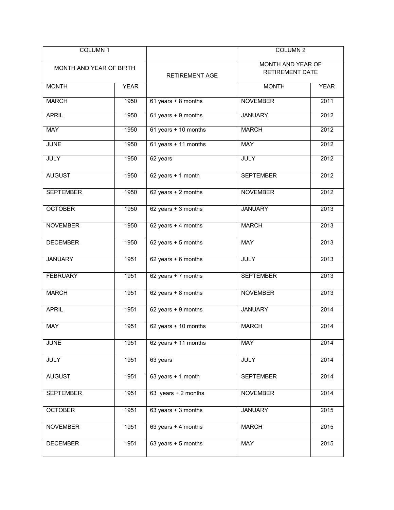| COLUMN 1                |             |                                       | COLUMN <sub>2</sub>                         |             |
|-------------------------|-------------|---------------------------------------|---------------------------------------------|-------------|
| MONTH AND YEAR OF BIRTH |             | <b>RETIREMENT AGE</b>                 | MONTH AND YEAR OF<br><b>RETIREMENT DATE</b> |             |
| <b>MONTH</b>            | <b>YEAR</b> |                                       | <b>MONTH</b>                                | <b>YEAR</b> |
| <b>MARCH</b>            | 1950        | 61 years + 8 months                   | <b>NOVEMBER</b>                             | 2011        |
| <b>APRIL</b>            | 1950        | $61$ years + 9 months                 | <b>JANUARY</b>                              | 2012        |
| <b>MAY</b>              | 1950        | $61$ years + 10 months                | <b>MARCH</b>                                | 2012        |
| <b>JUNE</b>             | 1950        | 61 years + 11 months                  | <b>MAY</b>                                  | 2012        |
| <b>JULY</b>             | 1950        | 62 years                              | <b>JULY</b>                                 | 2012        |
| <b>AUGUST</b>           | 1950        | 62 years + 1 month                    | <b>SEPTEMBER</b>                            | 2012        |
| <b>SEPTEMBER</b>        | 1950        | $62$ years + 2 months                 | <b>NOVEMBER</b>                             | 2012        |
| <b>OCTOBER</b>          | 1950        | $62$ years + 3 months                 | <b>JANUARY</b>                              | 2013        |
| <b>NOVEMBER</b>         | 1950        | $62 \text{ years} + 4 \text{ months}$ | <b>MARCH</b>                                | 2013        |
| <b>DECEMBER</b>         | 1950        | 62 years $+5$ months                  | <b>MAY</b>                                  | 2013        |
| <b>JANUARY</b>          | 1951        | $62$ years + 6 months                 | <b>JULY</b>                                 | 2013        |
| <b>FEBRUARY</b>         | 1951        | 62 years + 7 months                   | <b>SEPTEMBER</b>                            | 2013        |
| <b>MARCH</b>            | 1951        | 62 years $+ 8$ months                 | <b>NOVEMBER</b>                             | 2013        |
| <b>APRIL</b>            | 1951        | $62$ years + 9 months                 | <b>JANUARY</b>                              | 2014        |
| <b>MAY</b>              | 1951        | 62 years + 10 months                  | <b>MARCH</b>                                | 2014        |
| <b>JUNE</b>             | 1951        | 62 years $+11$ months                 | MAY                                         | 2014        |
| <b>JULY</b>             | 1951        | 63 years                              | <b>JULY</b>                                 | 2014        |
| <b>AUGUST</b>           | 1951        | 63 years + 1 month                    | <b>SEPTEMBER</b>                            | 2014        |
| <b>SEPTEMBER</b>        | 1951        | 63 years $+ 2$ months                 | <b>NOVEMBER</b>                             | 2014        |
| <b>OCTOBER</b>          | 1951        | 63 years + 3 months                   | <b>JANUARY</b>                              | 2015        |
| <b>NOVEMBER</b>         | 1951        | 63 years $+$ 4 months                 | <b>MARCH</b>                                | 2015        |
| <b>DECEMBER</b>         | 1951        | 63 years + 5 months                   | MAY                                         | 2015        |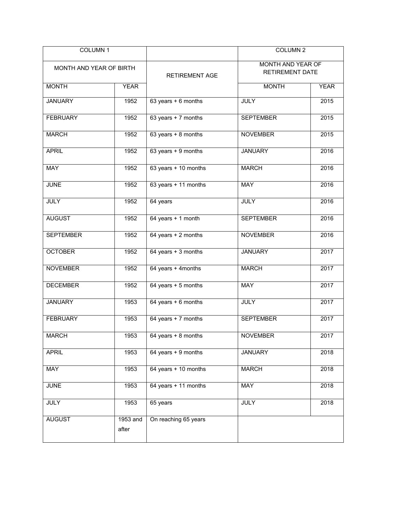| COLUMN 1                |                   |                                       | COLUMN <sub>2</sub>                         |             |
|-------------------------|-------------------|---------------------------------------|---------------------------------------------|-------------|
| MONTH AND YEAR OF BIRTH |                   | <b>RETIREMENT AGE</b>                 | MONTH AND YEAR OF<br><b>RETIREMENT DATE</b> |             |
| <b>MONTH</b>            | <b>YEAR</b>       |                                       | <b>MONTH</b>                                | <b>YEAR</b> |
| <b>JANUARY</b>          | 1952              | 63 years $+ 6$ months                 | <b>JULY</b>                                 | 2015        |
| <b>FEBRUARY</b>         | 1952              | 63 years $+ 7$ months                 | <b>SEPTEMBER</b>                            | 2015        |
| <b>MARCH</b>            | 1952              | 63 years + 8 months                   | <b>NOVEMBER</b>                             | 2015        |
| <b>APRIL</b>            | 1952              | 63 years + 9 months                   | <b>JANUARY</b>                              | 2016        |
| MAY                     | 1952              | 63 years + 10 months                  | <b>MARCH</b>                                | 2016        |
| <b>JUNE</b>             | 1952              | 63 years + 11 months                  | MAY                                         | 2016        |
| <b>JULY</b>             | 1952              | 64 years                              | <b>JULY</b>                                 | 2016        |
| <b>AUGUST</b>           | 1952              | 64 years $+ 1$ month                  | <b>SEPTEMBER</b>                            | 2016        |
| <b>SEPTEMBER</b>        | 1952              | $64$ years + 2 months                 | <b>NOVEMBER</b>                             | 2016        |
| <b>OCTOBER</b>          | 1952              | $64$ years + 3 months                 | <b>JANUARY</b>                              | 2017        |
| <b>NOVEMBER</b>         | 1952              | $64$ years + 4months                  | <b>MARCH</b>                                | 2017        |
| <b>DECEMBER</b>         | 1952              | $64$ years + 5 months                 | MAY                                         | 2017        |
| <b>JANUARY</b>          | 1953              | 64 years + 6 months                   | <b>JULY</b>                                 | 2017        |
| <b>FEBRUARY</b>         | 1953              | $64 \text{ years} + 7 \text{ months}$ | <b>SEPTEMBER</b>                            | 2017        |
| <b>MARCH</b>            | 1953              | 64 years $+8$ months                  | <b>NOVEMBER</b>                             | 2017        |
| <b>APRIL</b>            | 1953              | 64 years $+9$ months                  | <b>JANUARY</b>                              | 2018        |
| <b>MAY</b>              | 1953              | 64 years + 10 months                  | <b>MARCH</b>                                | 2018        |
| <b>JUNE</b>             | 1953              | 64 years + 11 months                  | <b>MAY</b>                                  | 2018        |
| <b>JULY</b>             | 1953              | 65 years                              | <b>JULY</b>                                 | 2018        |
| <b>AUGUST</b>           | 1953 and<br>after | On reaching 65 years                  |                                             |             |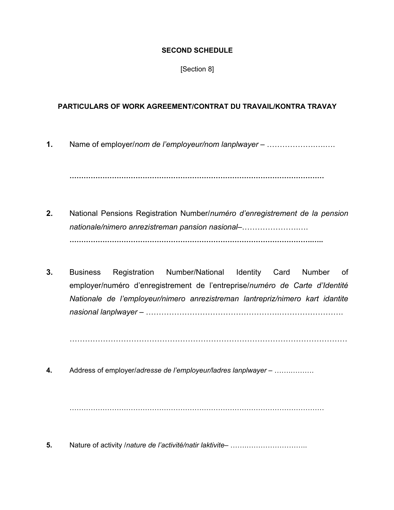#### **SECOND SCHEDULE**

[Section 8]

### **PARTICULARS OF WORK AGREEMENT/CONTRAT DU TRAVAIL/KONTRA TRAVAY**

**1.** Name of employer/*nom de l'employeur/nom lanplwayer* – ……………….….….

**………………………………………………………………………………………………**

- **2.** National Pensions Registration Number/*numéro d'enregistrement de la pension nationale/nimero anrezistreman pansion nasional*–………………….…. **………………………………………………………………………………………….…..**
- **3.** Business Registration Number/National Identity Card Number of employer/numéro d'enregistrement de l'entreprise/*numéro de Carte d'Identité Nationale de l'employeur/nimero anrezistreman lantrepriz/nimero kart idantite nasional lanplwayer* – …………………………………………….…………………….

………………………………………………………………………………………………

**4.** Address of employer/*adresse de l'employeur/ladres lanplwayer* – …….……….

………………………………………………………………………………………………

**5.** Nature of activity /*nature de l'activité/natir laktivite*– …….……………………..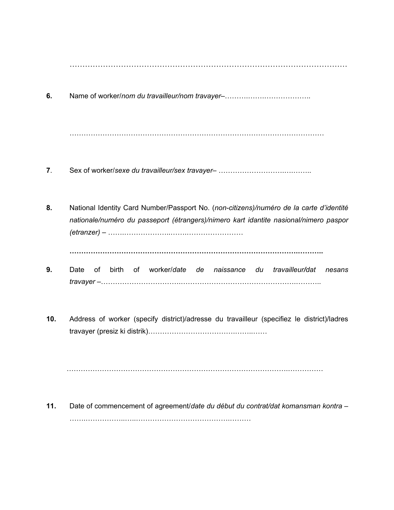| 6.  |                                                                                                                                                                                  |  |  |  |  |  |
|-----|----------------------------------------------------------------------------------------------------------------------------------------------------------------------------------|--|--|--|--|--|
|     |                                                                                                                                                                                  |  |  |  |  |  |
| 7.  |                                                                                                                                                                                  |  |  |  |  |  |
| 8.  | National Identity Card Number/Passport No. (non-citizens)/numéro de la carte d'identité<br>nationale/numéro du passeport (étrangers)/nimero kart idantite nasional/nimero paspor |  |  |  |  |  |
| 9.  | Date<br>du travailleur/dat<br>of<br>birth<br>of<br>worker/date<br>de naissance<br>nesans                                                                                         |  |  |  |  |  |
| 10. | Address of worker (specify district)/adresse du travailleur (specifiez le district)/ladres                                                                                       |  |  |  |  |  |
|     |                                                                                                                                                                                  |  |  |  |  |  |

**11.** Date of commencement of agreement/*date du début du contrat/dat komansman kontra* – …….……………..…..………………………………….………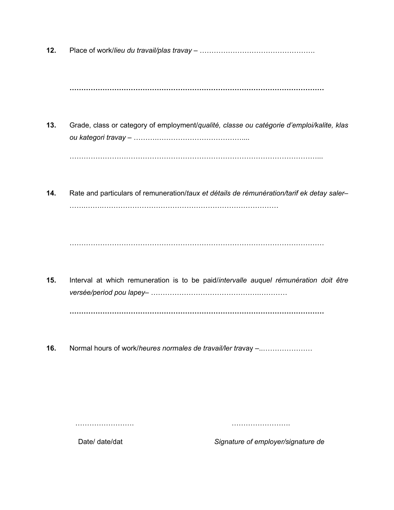**12.** Place of work/*lieu du travail/plas travay* – ………………………………………….

**………………………………………………………………………………………………**

- **13.** Grade, class or category of employment/*qualité, classe ou catégorie d'emploi/kalite, klas ou kategori travay* – ……….……………………………….... ……………………………………………………………………………………………...
- **14.** Rate and particulars of remuneration/*taux et détails de rémunération/tarif ek detay saler* …….…….…………………………………………………………………

………………………………………………………………………………………………

- **15.** Interval at which remuneration is to be paid/*intervalle auquel rémunération doit être versée/period pou lapey*– ……………………………………….………… **………………………………………………………………………………………………**
- **16.** Normal hours of work/*heures normales de travail/ler tra*vay –..…………………

……………………. …………………….

Date/ date/dat *Signature of employer/signature de*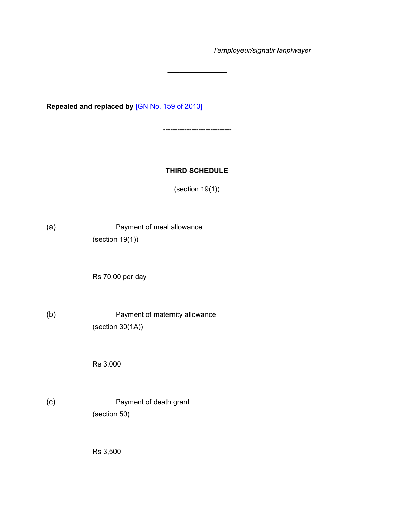*l'employeur/signatir lanplwayer*

**Repealed and replaced by** [GN No. 159 of [2013\]](https://supremecourt.govmu.org/_layouts/CLIS.DMS/search/searchdocumentbykey.aspx?ID=%5BGN%20No.%20159%20of%202013%5D&list=Legislations)

**-----------------------------**

 $\overline{\phantom{a}}$  . The set of the set of the set of the set of the set of the set of the set of the set of the set of the set of the set of the set of the set of the set of the set of the set of the set of the set of the set o

### **THIRD SCHEDULE**

(section 19(1))

(a) Payment of meal allowance (section 19(1))

Rs 70.00 per day

(b) Payment of maternity allowance (section 30(1A))

Rs 3,000

(c) Payment of death grant (section 50)

Rs 3,500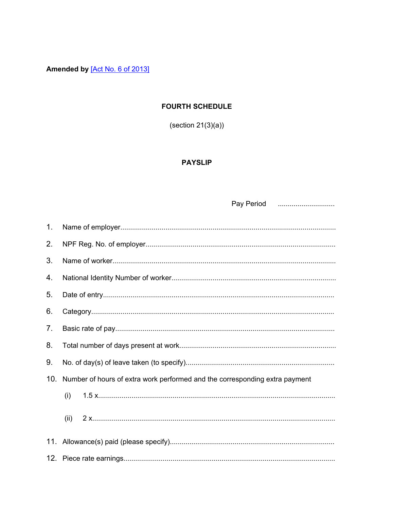Amended by [Act No. 6 of 2013]

#### **FOURTH SCHEDULE**

 $(section 21(3)(a))$ 

#### **PAYSLIP**

Pay Period  $1.$  $2.$ 3.  $\overline{4}$ 5. 6  $7^{\circ}$ 8 9. 10. Number of hours of extra work performed and the corresponding extra payment  $(i)$  $(ii)$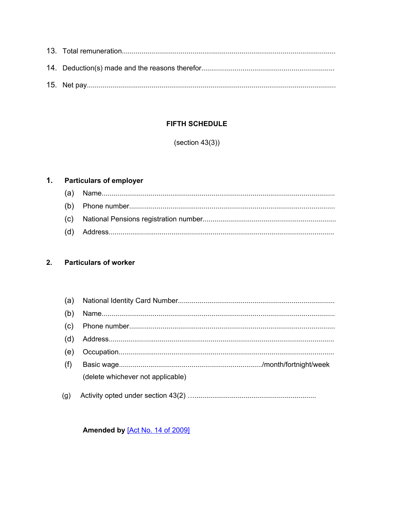### FIFTH SCHEDULE

 $(section 43(3))$ 

# 1. Particulars of employer

# 2. Particulars of worker

| (a) |                                   |
|-----|-----------------------------------|
| (b) |                                   |
| (C) |                                   |
| (d) |                                   |
| (e) |                                   |
| (f) |                                   |
|     | (delete whichever not applicable) |
| (g) |                                   |

### Amended by [Act No. 14 of 2009]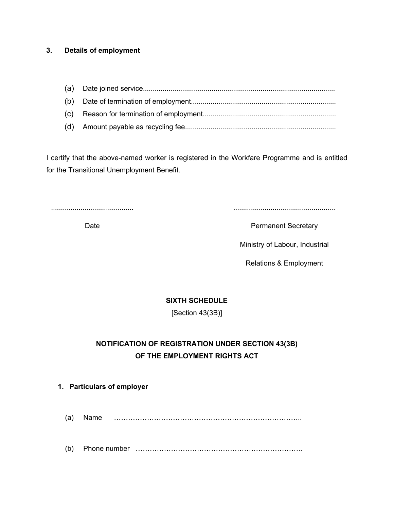#### **3. Details of employment**

I certify that the above-named worker is registered in the Workfare Programme and is entitled for the Transitional Unemployment Benefit.

.......................................... ....................................................

Date **Date Permanent Secretary** 

Ministry of Labour, Industrial

Relations & Employment

# **SIXTH SCHEDULE**

[Section 43(3B)]

# **NOTIFICATION OF REGISTRATION UNDER SECTION 43(3B) OF THE EMPLOYMENT RIGHTS ACT**

#### **1. Particulars of employer**

(a) Name ……………………………………………………………………..

(b) Phone number ……………………………………………………………..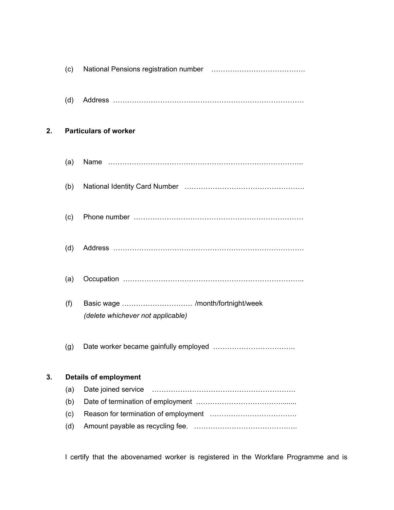|    | (c) |                                                                        |
|----|-----|------------------------------------------------------------------------|
|    | (d) |                                                                        |
| 2. |     | <b>Particulars of worker</b>                                           |
|    | (a) |                                                                        |
|    | (b) |                                                                        |
|    | (c) |                                                                        |
|    | (d) |                                                                        |
|    | (a) |                                                                        |
|    | (f) | Basic wage  /month/fortnight/week<br>(delete whichever not applicable) |
|    | (g) |                                                                        |
| 3. |     | <b>Details of employment</b>                                           |
|    | (a) | Date joined service                                                    |
|    | (b) |                                                                        |
|    | (c) |                                                                        |
|    | (d) |                                                                        |
|    |     |                                                                        |

I certify that the abovenamed worker is registered in the Workfare Programme and is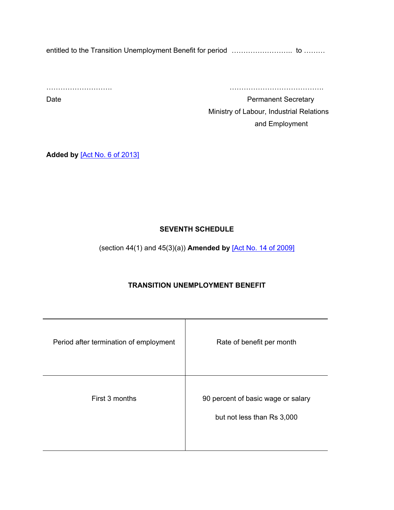entitled to the Transition Unemployment Benefit for period …………………………………………………………

………………………. …………………………………. Date **Date** Permanent Secretary

Ministry of Labour, Industrial Relations and Employment

**Added by** [Act No. 6 of [2013\]](https://supremecourt.govmu.org/_layouts/CLIS.DMS/search/searchdocumentbykey.aspx?ID=%5BAct%20No.%206%20of%202013%5D&list=Legislations)

# **SEVENTH SCHEDULE**

(section 44(1) and 45(3)(a)) **Amended by** [Act No. 14 of [2009\]](https://supremecourt.govmu.org/_layouts/CLIS.DMS/search/searchdocumentbykey.aspx?ID=%5BAct%20No.%2014%20of%202009%5D&list=Legislations)

# **TRANSITION UNEMPLOYMENT BENEFIT**

| Period after termination of employment | Rate of benefit per month                                        |
|----------------------------------------|------------------------------------------------------------------|
| First 3 months                         | 90 percent of basic wage or salary<br>but not less than Rs 3,000 |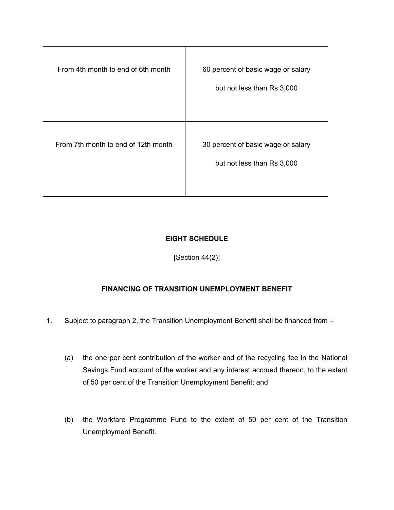| From 4th month to end of 6th month  | 60 percent of basic wage or salary<br>but not less than Rs 3,000 |
|-------------------------------------|------------------------------------------------------------------|
| From 7th month to end of 12th month | 30 percent of basic wage or salary<br>but not less than Rs 3,000 |

### **EIGHT SCHEDULE**

[Section 44(2)]

# **FINANCING OF TRANSITION UNEMPLOYMENT BENEFIT**

- 1. Subject to paragraph 2, the Transition Unemployment Benefit shall be financed from
	- (a) the one per cent contribution of the worker and of the recycling fee in the National Savings Fund account of the worker and any interest accrued thereon, to the extent of 50 per cent of the Transition Unemployment Benefit; and
	- (b) the Workfare Programme Fund to the extent of 50 per cent of the Transition Unemployment Benefit.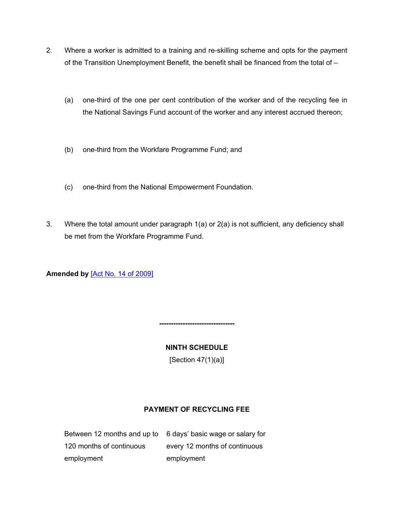- 2. Where a worker is admitted to a training and re-skilling scheme and opts for the payment of the Transition Unemployment Benefit, the benefit shall be financed from the total of –
	- (a) one-third of the one per cent contribution of the worker and of the recycling fee in the National Savings Fund account of the worker and any interest accrued thereon;
	- (b) one-third from the Workfare Programme Fund; and
	- (c) one-third from the National Empowerment Foundation.
- 3. Where the total amount under paragraph 1(a) or 2(a) is not sufficient, any deficiency shall be met from the Workfare Programme Fund.

**Amended by** [Act No. 14 of [2009\]](https://supremecourt.govmu.org/_layouts/CLIS.DMS/search/searchdocumentbykey.aspx?ID=%5BAct%20No.%2014%20of%202009%5D&list=Legislations)

**NINTH SCHEDULE**

**--------------------------------**

 $[Section 47(1)(a)]$ 

### **PAYMENT OF RECYCLING FEE**

Between 12 months and up to 6 days' basic wage or salary for 120 months of continuous every 12 months of continuous employment employment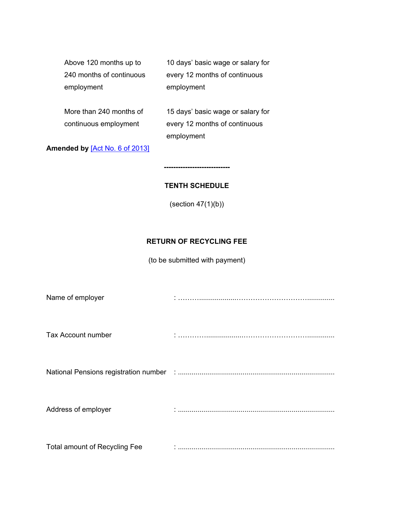employment employment

Above 120 months up to 10 days' basic wage or salary for 240 months of continuous every 12 months of continuous

More than 240 months of 15 days' basic wage or salary for continuous employment every 12 months of continuous employment

**Amended by** [Act No. 6 of [2013\]](https://supremecourt.govmu.org/_layouts/CLIS.DMS/search/searchdocumentbykey.aspx?ID=%5BAct%20No.%206%20of%202013%5D&list=Legislations)

# **TENTH SCHEDULE**

**----------------------------**

(section 47(1)(b))

### **RETURN OF RECYCLING FEE**

(to be submitted with payment)

| Name of employer                     |  |
|--------------------------------------|--|
| Tax Account number                   |  |
|                                      |  |
| Address of employer                  |  |
| <b>Total amount of Recycling Fee</b> |  |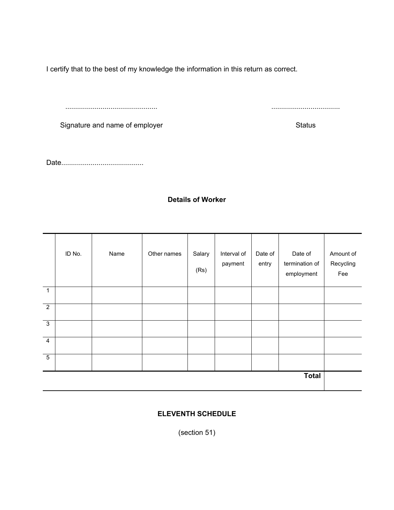I certify that to the best of my knowledge the information in this return as correct.

............................................... ...................................

Signature and name of employer Signature and name of employer

Date..........................................

### **Details of Worker**

|                         | ID No. | Name | Other names | Salary<br>(Rs) | Interval of<br>payment | Date of<br>entry | Date of<br>termination of<br>employment | Amount of<br>Recycling<br>Fee |
|-------------------------|--------|------|-------------|----------------|------------------------|------------------|-----------------------------------------|-------------------------------|
| $\overline{1}$          |        |      |             |                |                        |                  |                                         |                               |
| $\overline{2}$          |        |      |             |                |                        |                  |                                         |                               |
| $\overline{3}$          |        |      |             |                |                        |                  |                                         |                               |
| $\overline{\mathbf{4}}$ |        |      |             |                |                        |                  |                                         |                               |
| $\overline{5}$          |        |      |             |                |                        |                  |                                         |                               |
|                         |        |      |             |                |                        |                  | <b>Total</b>                            |                               |

# **ELEVENTH SCHEDULE**

(section 51)